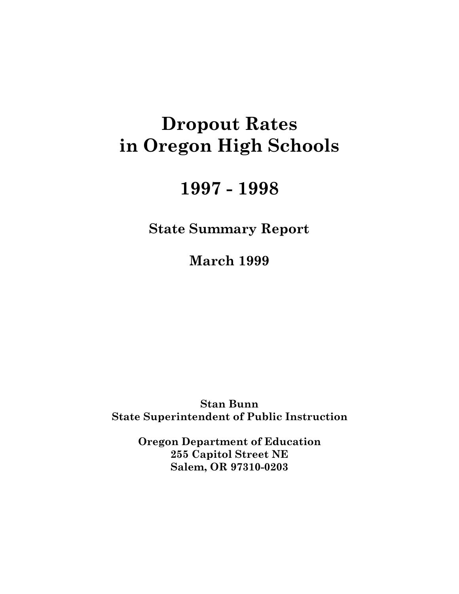# **Dropout Rates** in Oregon High Schools

# 1997 - 1998

**State Summary Report** 

**March 1999** 

**Stan Bunn State Superintendent of Public Instruction** 

> **Oregon Department of Education** 255 Capitol Street NE Salem, OR 97310-0203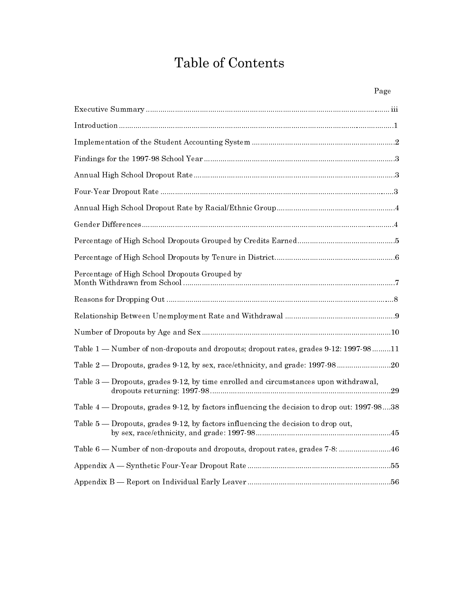# Table of Contents

| Page                                                                                 |
|--------------------------------------------------------------------------------------|
|                                                                                      |
|                                                                                      |
|                                                                                      |
|                                                                                      |
|                                                                                      |
|                                                                                      |
|                                                                                      |
|                                                                                      |
|                                                                                      |
|                                                                                      |
| Percentage of High School Dropouts Grouped by                                        |
|                                                                                      |
|                                                                                      |
|                                                                                      |
| Table 1 - Number of non-dropouts and dropouts; dropout rates, grades 9-12: 1997-9811 |
| Table 2 - Dropouts, grades 9-12, by sex, race/ethnicity, and grade: 1997-9820        |
| Table 3 — Dropouts, grades 9-12, by time enrolled and circumstances upon withdrawal, |

| Table $4$ — Dropouts, grades 9-12, by factors influencing the decision to drop out: 1997-9838 |  |
|-----------------------------------------------------------------------------------------------|--|
| Table $5$ — Dropouts, grades 9-12, by factors influencing the decision to drop out,           |  |
| Table 6 — Number of non-dropouts and dropouts, dropout rates, grades 7-8:  46                 |  |
|                                                                                               |  |
|                                                                                               |  |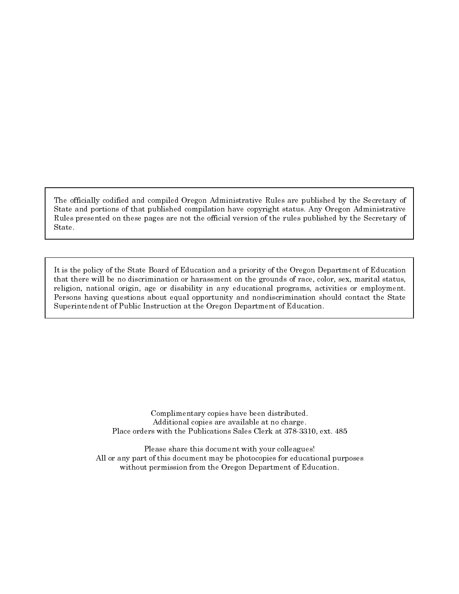The officially codified and compiled Oregon Administrative Rules are published by the Secretary of State and portions of that published compilation have copyright status. Any Oregon Administrative Rules presented on these pages are not the official version of the rules published by the Secretary of State.

It is the policy of the State Board of Education and a priority of the Oregon Department of Education that there will be no discrimination or harassment on the grounds of race, color, sex, marital status, religion, national origin, age or disability in any educational programs, activities or employment. Persons having questions about equal opportunity and nondiscrimination should contact the State Superintendent of Public Instruction at the Oregon Department of Education.

> Complimentary copies have been distributed. Additional copies are available at no charge. Place orders with the Publications Sales Clerk at 378-3310, ext. 485

Please share this document with your colleagues! All or any part of this document may be photocopies for educational purposes without permission from the Oregon Department of Education.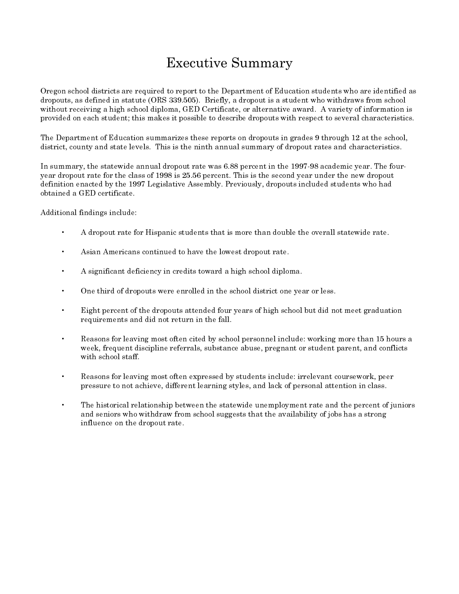# **Executive Summary**

Oregon school districts are required to report to the Department of Education students who are identified as dropouts, as defined in statute (ORS 339.505). Briefly, a dropout is a student who withdraws from school without receiving a high school diploma, GED Certificate, or alternative award. A variety of information is provided on each student; this makes it possible to describe dropouts with respect to several characteristics.

The Department of Education summarizes these reports on dropouts in grades 9 through 12 at the school, district, county and state levels. This is the ninth annual summary of dropout rates and characteristics.

In summary, the statewide annual dropout rate was 6.88 percent in the 1997-98 academic year. The fouryear dropout rate for the class of 1998 is 25.56 percent. This is the second year under the new dropout definition enacted by the 1997 Legislative Assembly. Previously, dropouts included students who had obtained a GED certificate.

Additional findings include:

- A dropout rate for Hispanic students that is more than double the overall statewide rate.
- Asian Americans continued to have the lowest dropout rate.
- $\bullet$ A significant deficiency in credits toward a high school diploma.
- $\bullet$ One third of dropouts were enrolled in the school district one year or less.
- $\mathbf{A}^{\mathcal{A}}$ Eight percent of the dropouts attended four years of high school but did not meet graduation requirements and did not return in the fall.
- Reasons for leaving most often cited by school personnel include: working more than 15 hours a  $\bullet$ week, frequent discipline referrals, substance abuse, pregnant or student parent, and conflicts with school staff.
- Reasons for leaving most often expressed by students include: irrelevant coursework, peer pressure to not achieve, different learning styles, and lack of personal attention in class.
- The historical relationship between the statewide unemployment rate and the percent of juniors and seniors who withdraw from school suggests that the availability of jobs has a strong influence on the dropout rate.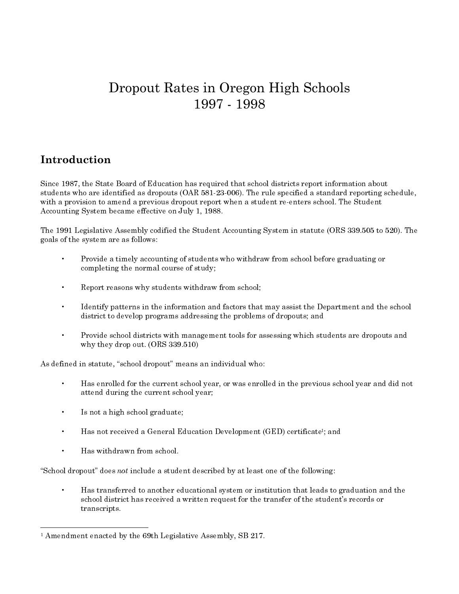# Dropout Rates in Oregon High Schools 1997 - 1998

# Introduction

Since 1987, the State Board of Education has required that school districts report information about students who are identified as dropouts (OAR 581-23-006). The rule specified a standard reporting schedule, with a provision to amend a previous dropout report when a student re-enters school. The Student Accounting System became effective on July 1, 1988.

The 1991 Legislative Assembly codified the Student Accounting System in statute (ORS 339.505 to 520). The goals of the system are as follows:

- $\ddot{\phantom{a}}$ Provide a timely accounting of students who withdraw from school before graduating or completing the normal course of study;
- $\bullet$ Report reasons why students withdraw from school;
- Identify patterns in the information and factors that may assist the Department and the school district to develop programs addressing the problems of dropouts; and
- Provide school districts with management tools for assessing which students are dropouts and why they drop out.  $(ORS 339.510)$

As defined in statute, "school dropout" means an individual who:

- $\ddot{\phantom{0}}$ Has enrolled for the current school year, or was enrolled in the previous school year and did not attend during the current school year;
- Is not a high school graduate;
- Has not received a General Education Development (GED) certificate<sup>1</sup>; and
- Has withdrawn from school.

"School dropout" does not include a student described by at least one of the following:

Has transferred to another educational system or institution that leads to graduation and the school district has received a written request for the transfer of the student's records or transcripts.

<sup>&</sup>lt;sup>1</sup> Amendment enacted by the 69th Legislative Assembly, SB 217.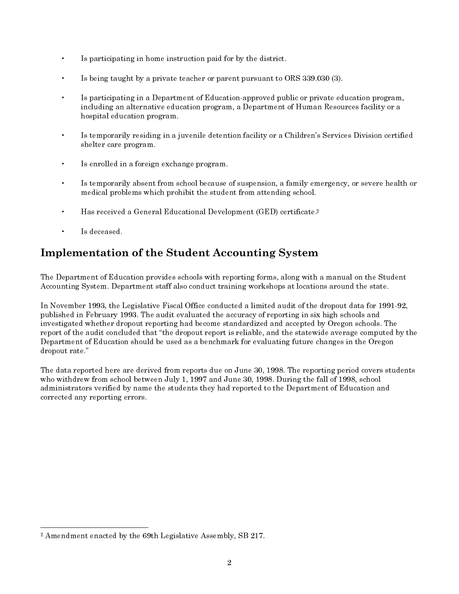- Is participating in home instruction paid for by the district.
- Is being taught by a private teacher or parent pursuant to ORS 339.030 (3).
- Is participating in a Department of Education approved public or private education program, including an alternative education program, a Department of Human Resources facility or a hospital education program.
- Is temporarily residing in a juvenile detention facility or a Children's Services Division certified shelter care program.
- $\bullet$ Is enrolled in a foreign exchange program.
- Is temporarily absent from school because of suspension, a family emergency, or severe health or medical problems which prohibit the student from attending school.
- Has received a General Educational Development (GED) certificate.<sup>2</sup>  $\bullet$
- Is deceased.

# **Implementation of the Student Accounting System**

The Department of Education provides schools with reporting forms, along with a manual on the Student Accounting System. Department staff also conduct training workshops at locations around the state.

In November 1993, the Legislative Fiscal Office conducted a limited audit of the dropout data for 1991-92, published in February 1993. The audit evaluated the accuracy of reporting in six high schools and investigated whether dropout reporting had become standardized and accepted by Oregon schools. The report of the audit concluded that "the dropout report is reliable, and the statewide average computed by the Department of Education should be used as a benchmark for evaluating future changes in the Oregon dropout rate."

The data reported here are derived from reports due on June 30, 1998. The reporting period covers students who withdrew from school between July 1, 1997 and June 30, 1998. During the fall of 1998, school administrators verified by name the students they had reported to the Department of Education and corrected any reporting errors.

<sup>&</sup>lt;sup>2</sup> Amendment enacted by the 69th Legislative Assembly, SB 217.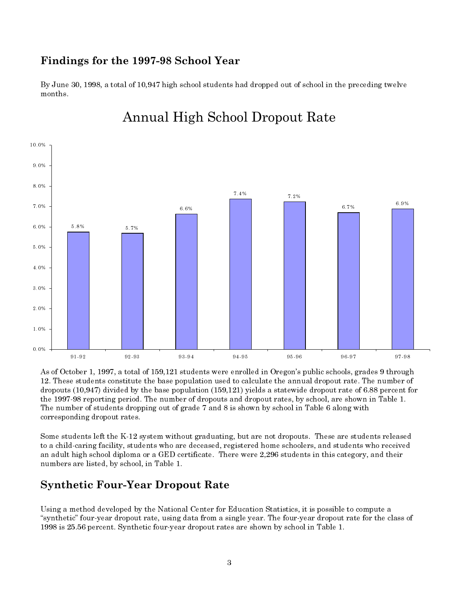## Findings for the 1997-98 School Year

By June 30, 1998, a total of 10,947 high school students had dropped out of school in the preceding twelve months.



# **Annual High School Dropout Rate**

As of October 1, 1997, a total of 159,121 students were enrolled in Oregon's public schools, grades 9 through 12. These students constitute the base population used to calculate the annual dropout rate. The number of dropouts (10,947) divided by the base population (159,121) yields a statewide dropout rate of 6.88 percent for the 1997-98 reporting period. The number of dropouts and dropout rates, by school, are shown in Table 1. The number of students dropping out of grade 7 and 8 is shown by school in Table 6 along with corresponding dropout rates.

Some students left the K-12 system without graduating, but are not dropouts. These are students released to a child-caring facility, students who are deceased, registered home schoolers, and students who received an adult high school diploma or a GED certificate. There were 2,296 students in this category, and their numbers are listed, by school, in Table 1.

## **Synthetic Four-Year Dropout Rate**

Using a method developed by the National Center for Education Statistics, it is possible to compute a "synthetic" four year dropout rate, using data from a single year. The four year dropout rate for the class of 1998 is 25.56 percent. Synthetic four-year dropout rates are shown by school in Table 1.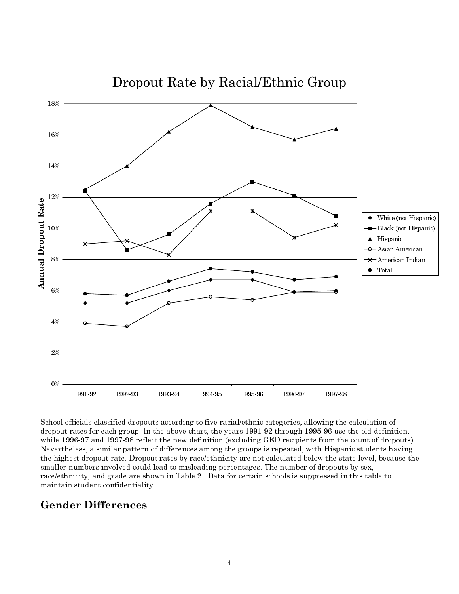

Dropout Rate by Racial/Ethnic Group

School officials classified dropouts according to five racial/ethnic categories, allowing the calculation of dropout rates for each group. In the above chart, the years 1991-92 through 1995-96 use the old definition, while 1996-97 and 1997-98 reflect the new definition (excluding GED recipients from the count of dropouts). Nevertheless, a similar pattern of differences among the groups is repeated, with Hispanic students having the highest dropout rate. Dropout rates by race/ethnicity are not calculated below the state level, because the smaller numbers involved could lead to misleading percentages. The number of dropouts by sex, race/ethnicity, and grade are shown in Table 2. Data for certain schools is suppressed in this table to maintain student confidentiality.

# **Gender Differences**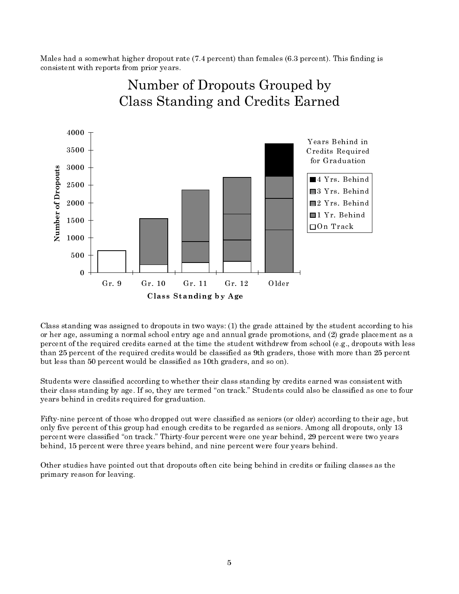Males had a somewhat higher dropout rate (7.4 percent) than females (6.3 percent). This finding is consistent with reports from prior years.



Number of Dropouts Grouped by Class Standing and Credits Earned

Class standing was assigned to dropouts in two ways: (1) the grade attained by the student according to his or her age, assuming a normal school entry age and annual grade promotions, and (2) grade placement as a percent of the required credits earned at the time the student withdrew from school (e.g., dropouts with less than 25 percent of the required credits would be classified as 9th graders, those with more than 25 percent but less than 50 percent would be classified as 10th graders, and so on).

Students were classified according to whether their class standing by credits earned was consistent with their class standing by age. If so, they are termed "on track." Students could also be classified as one to four years behind in credits required for graduation.

Fifty-nine percent of those who dropped out were classified as seniors (or older) according to their age, but only five percent of this group had enough credits to be regarded as seniors. Among all dropouts, only 13 percent were classified "on track." Thirty-four percent were one year behind, 29 percent were two years behind, 15 percent were three years behind, and nine percent were four years behind.

Other studies have pointed out that dropouts often cite being behind in credits or failing classes as the primary reason for leaving.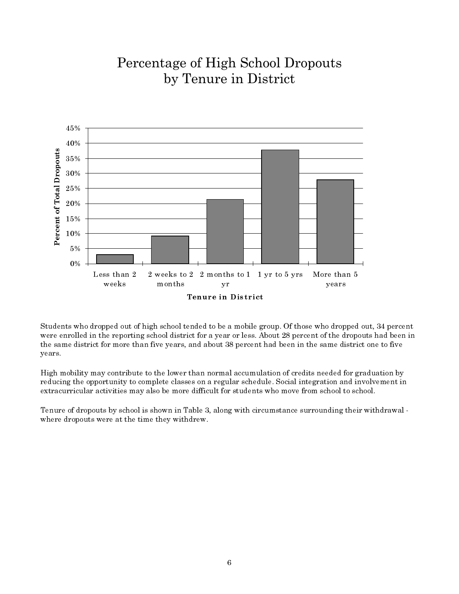# Percentage of High School Dropouts by Tenure in District



Students who dropped out of high school tended to be a mobile group. Of those who dropped out, 34 percent were enrolled in the reporting school district for a year or less. About 28 percent of the dropouts had been in the same district for more than five years, and about 38 percent had been in the same district one to five years.

High mobility may contribute to the lower than normal accumulation of credits needed for graduation by reducing the opportunity to complete classes on a regular schedule. Social integration and involvement in extracurricular activities may also be more difficult for students who move from school to school.

Tenure of dropouts by school is shown in Table 3, along with circumstance surrounding their withdrawal where dropouts were at the time they withdrew.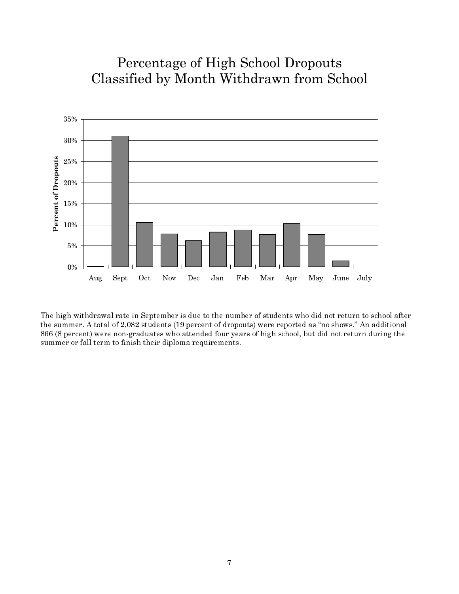# Percentage of High School Dropouts Classified by Month Withdrawn from School



The high withdrawal rate in September is due to the number of students who did not return to school after the summer. A total of 2,082 students (19 percent of dropouts) were reported as "no shows." An additional 866 (8 percent) were non-graduates who attended four years of high school, but did not return during the summer or fall term to finish their diploma requirements.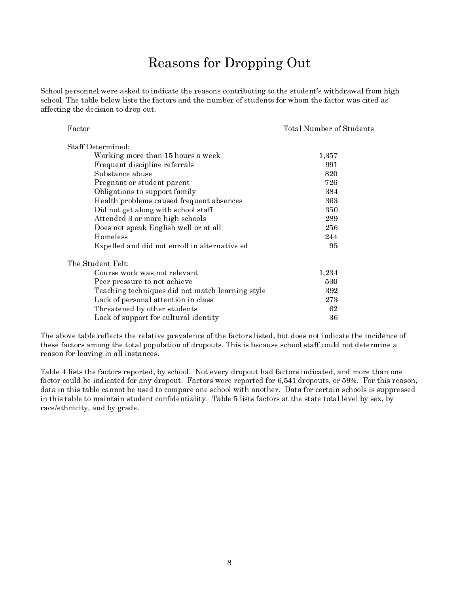# **Reasons for Dropping Out**

School personnel were asked to indicate the reasons contributing to the student's withdrawal from high school. The table below lists the factors and the number of students for whom the factor was cited as affecting the decision to drop out.

| Factor                                           | Total Number of Students |
|--------------------------------------------------|--------------------------|
| Staff Determined:                                |                          |
| Working more than 15 hours a week                | 1,357                    |
| Frequent discipline referrals                    | 991                      |
| Substance abuse                                  | 820                      |
| Pregnant or student parent                       | 726                      |
| Obligations to support family                    | 384                      |
| Health problems caused frequent absences         | 363                      |
| Did not get along with school staff              | 350                      |
| Attended 3 or more high schools                  | 289                      |
| Does not speak English well or at all            | 256                      |
| Homeless                                         | 244                      |
| Expelled and did not enroll in alternative ed    | 95                       |
| The Student Felt:                                |                          |
| Course work was not relevant                     | 1,234                    |
| Peer pressure to not achieve                     | 530                      |
| Teaching techniques did not match learning style | 392                      |
| Lack of personal attention in class              | 273                      |
| Threatened by other students                     | 62                       |
| Lack of support for cultural identity            | 36                       |

The above table reflects the relative prevalence of the factors listed, but does not indicate the incidence of these factors among the total population of dropouts. This is because school staff could not determine a reason for leaving in all instances.

Table 4 lists the factors reported, by school. Not every dropout had factors indicated, and more than one factor could be indicated for any dropout. Factors were reported for 6,541 dropouts, or 59%. For this reason, data in this table cannot be used to compare one school with another. Data for certain schools is suppressed in this table to maintain student confidentiality. Table 5 lists factors at the state total level by sex, by race/ethnicity, and by grade.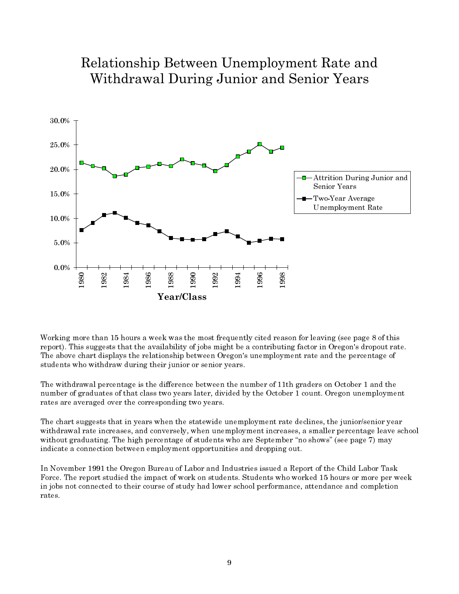

# Relationship Between Unemployment Rate and Withdrawal During Junior and Senior Years

Working more than 15 hours a week was the most frequently cited reason for leaving (see page 8 of this report). This suggests that the availability of jobs might be a contributing factor in Oregon's dropout rate. The above chart displays the relationship between Oregon's unemployment rate and the percentage of students who withdraw during their junior or senior years.

The withdrawal percentage is the difference between the number of 11th graders on October 1 and the number of graduates of that class two years later, divided by the October 1 count. Oregon unemployment rates are averaged over the corresponding two years.

The chart suggests that in years when the statewide unemployment rate declines, the junior/senior year withdrawal rate increases, and conversely, when unemployment increases, a smaller percentage leave school without graduating. The high percentage of students who are September "no shows" (see page 7) may indicate a connection between employment opportunities and dropping out.

In November 1991 the Oregon Bureau of Labor and Industries issued a Report of the Child Labor Task Force. The report studied the impact of work on students. Students who worked 15 hours or more per week in jobs not connected to their course of study had lower school performance, attendance and completion rates.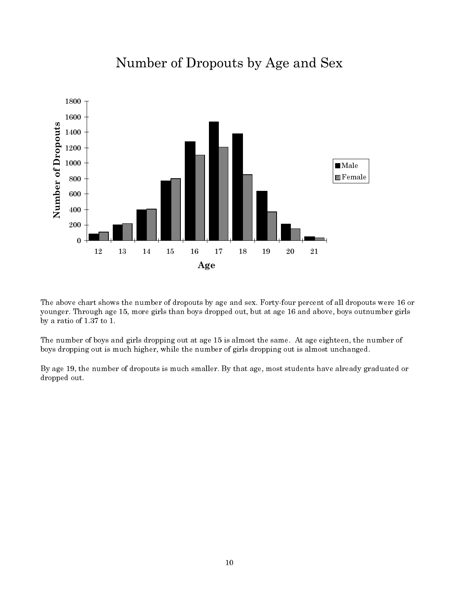

# Number of Dropouts by Age and Sex

The above chart shows the number of dropouts by age and sex. Forty-four percent of all dropouts were 16 or younger. Through age 15, more girls than boys dropped out, but at age 16 and above, boys outnumber girls by a ratio of  $1.37$  to 1.

The number of boys and girls dropping out at age 15 is almost the same. At age eighteen, the number of boys dropping out is much higher, while the number of girls dropping out is almost unchanged.

By age 19, the number of dropouts is much smaller. By that age, most students have already graduated or dropped out.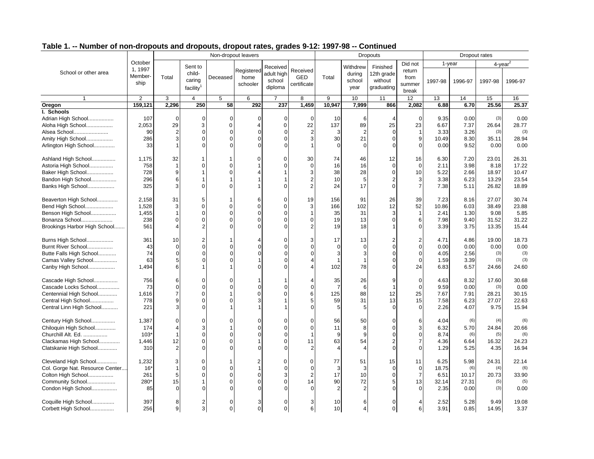|                                             |                            | <b>Tamber of fiore are poute and are poute, are pour rates, grades viz.</b> 1997-90<br>Non-dropout leavers |                             |                            |                                |                                  |                                       |                       |                              | <b>00</b>                         |                                     |              | Dropout rates     |                                |               |
|---------------------------------------------|----------------------------|------------------------------------------------------------------------------------------------------------|-----------------------------|----------------------------|--------------------------------|----------------------------------|---------------------------------------|-----------------------|------------------------------|-----------------------------------|-------------------------------------|--------------|-------------------|--------------------------------|---------------|
|                                             | October                    |                                                                                                            |                             |                            |                                |                                  |                                       |                       |                              | <b>Dropouts</b>                   |                                     |              |                   |                                |               |
| School or other area                        | 1, 1997<br>Member-<br>ship | Total                                                                                                      | Sent to<br>child-<br>caring | Deceased                   | Registered<br>home<br>schooler | Received<br>adult high<br>school | Received<br><b>GED</b><br>certificate | Total                 | Withdrew<br>during<br>school | Finished<br>12th grade<br>without | Did not<br>return<br>from<br>summer | 1997-98      | 1-year<br>1996-97 | 4-year <sup>2</sup><br>1997-98 | 1996-97       |
|                                             |                            |                                                                                                            | facility <sup>1</sup>       |                            |                                | diploma                          |                                       |                       | year                         | graduating                        | break                               |              |                   |                                |               |
|                                             | $\overline{2}$             | 3                                                                                                          | $\overline{4}$              | 5                          | 6                              |                                  | 8                                     | 9                     | 10                           | 11                                | 12                                  | 13           | 14                | 15                             | 16            |
| Oregon                                      | 159,121                    | 2,296                                                                                                      | 250                         | $\overline{58}$            | 292                            | 237                              | 1,459                                 | 10,947                | 7,999                        | 866                               | 2,082                               | 6.88         | 6.70              | 25.56                          | 25.37         |
| I. Schools                                  |                            |                                                                                                            |                             |                            |                                |                                  |                                       |                       |                              |                                   |                                     |              |                   |                                |               |
| Adrian High School                          | 107                        | $\Omega$                                                                                                   | $\mathbf 0$                 | $\Omega$                   | 0                              | 0                                | $\mathbf 0$                           | 10                    | 6                            | $\overline{4}$                    | $\mathbf 0$                         | 9.35         | 0.00              | (3)                            | 0.00          |
| Aloha High School                           | 2,053                      | 29                                                                                                         | 3                           | $\mathbf 0$                |                                | 0                                | 22                                    | 137                   | 89                           | 25                                | 23                                  | 6.67         | 7.37              | 26.64                          | 28.77         |
| Alsea School                                | 90                         | 2                                                                                                          | 0                           | $\overline{0}$             | 0                              | $\Omega$                         | $\overline{2}$                        | 3                     | $\overline{2}$               | $\Omega$                          | $\mathbf{1}$                        | 3.33         | 3.26              | (3)                            | (3)           |
| Amity High School                           | 286                        | 3                                                                                                          | $\mathbf 0$                 | $\Omega$                   | $\Omega$                       | 0                                | 3                                     | 30                    | 21                           | $\mathbf 0$                       | 9                                   | 10.49        | 8.30              | 35.11                          | 28.94         |
| Arlington High School                       | 33                         |                                                                                                            | $\Omega$                    | $\Omega$                   |                                |                                  |                                       | $\Omega$              | $\Omega$                     | $\Omega$                          | $\mathbf 0$                         | 0.00         | 9.52              | 0.00                           | 0.00          |
| Ashland High School                         | 1,175                      | 32                                                                                                         |                             |                            |                                | $\Omega$                         | 30                                    | 74                    | 46                           | 12                                | 16                                  | 6.30         | 7.20              | 23.01                          | 26.31         |
| Astoria High School                         | 758                        |                                                                                                            | $\mathbf 0$                 | $\mathbf 0$                |                                | U                                | $\mathbf 0$                           | 16                    | 16                           | $\mathbf 0$                       | $\mathbf 0$                         | 2.11         | 3.98              | 8.18                           | 17.22         |
| Baker High School                           | 728                        | 9                                                                                                          |                             | $\Omega$                   |                                |                                  | 3                                     | 38                    | 28                           | $\Omega$                          | 10                                  | 5.22         | 2.66              | 18.97                          | 10.47         |
| Bandon High School                          | 296                        | 6                                                                                                          |                             |                            |                                |                                  |                                       | 10                    | 5                            | $\overline{2}$                    | 3                                   | 3.38         | 6.23              | 13.29                          | 23.54         |
| Banks High School                           | 325                        | 3                                                                                                          | $\Omega$                    | $\Omega$                   |                                | $\Omega$                         | $\overline{2}$                        | 24                    | 17                           | $\Omega$                          | $\overline{7}$                      | 7.38         | 5.11              | 26.82                          | 18.89         |
| Beaverton High School                       | 2,158                      | 31                                                                                                         | 5                           | $\overline{1}$             | 6                              | $\Omega$                         | 19                                    | 156                   | 91                           | 26                                | 39                                  | 7.23         | 8.16              | 27.07                          | 30.74         |
| Bend High School                            | 1,528                      | 3                                                                                                          | $\Omega$                    | $\Omega$                   | $\Omega$                       | $\Omega$                         | 3                                     | 166                   | 102                          | 12                                | 52                                  | 10.86        | 6.03              | 38.49                          | 23.88         |
| Benson High School                          | 1,455                      |                                                                                                            | $\Omega$                    | $\Omega$                   | O                              | 0                                |                                       | 35                    | 31                           | 3                                 | $\mathbf{1}$                        | 2.41         | 1.30              | 9.08                           | 5.85          |
| Bonanza School                              | 238                        | $\Omega$                                                                                                   | $\Omega$                    | $\Omega$                   | $\Omega$                       | 0                                | $\Omega$                              | 19                    | 13                           | $\mathbf 0$                       | 6                                   | 7.98         | 9.40              | 31.52                          | 31.22         |
| Brookings Harbor High School                | 561                        |                                                                                                            |                             |                            |                                |                                  |                                       | 19                    | 18                           | $\overline{1}$                    | $\mathbf 0$                         | 3.39         | 3.75              | 13.35                          | 15.44         |
| Burns High School                           | 361                        | 10                                                                                                         | 2                           | $\mathbf{1}$               |                                | 0                                | 3                                     | 17                    | 13                           | $\overline{2}$                    | $\overline{2}$                      | 4.71         | 4.86              | 19.00                          | 18.73         |
| Burnt River School                          | 43                         | $\Omega$                                                                                                   | $\Omega$                    | $\Omega$                   |                                | $\Omega$                         | $\Omega$                              | $\Omega$              | $\Omega$                     | $\Omega$                          | $\mathbf 0$                         | 0.00         | 0.00              | 0.00                           | 0.00          |
| Butte Falls High School                     | 74                         | $\Omega$                                                                                                   | 0                           | $\Omega$                   |                                | $\Omega$                         |                                       | 3                     | 3                            | $\Omega$                          | $\mathbf 0$                         | 4.05         | 2.56              | (3)                            | (3)           |
| Camas Valley School                         | 63                         | 5                                                                                                          | $\Omega$                    |                            |                                | $\Omega$                         |                                       |                       |                              | $\Omega$                          | $\mathbf 0$                         | 1.59         | 3.39              | (3)                            | (3)           |
| Canby High School                           | 1,494                      | 6                                                                                                          |                             |                            |                                |                                  |                                       | 102                   | 78                           | $\Omega$                          | 24                                  | 6.83         | 6.57              | 24.66                          | 24.60         |
| Cascade High School                         | 756                        | 6                                                                                                          | $\Omega$                    | $\Omega$                   |                                |                                  |                                       | 35                    | 26                           | 9                                 | $\mathbf 0$                         | 4.63         | 8.32              | 17.60                          | 30.68         |
| Cascade Locks School                        | 73                         | $\Omega$                                                                                                   | 0                           | $\Omega$                   |                                | $\Omega$                         | $\Omega$                              | $\overline{7}$        | 6                            | $\overline{1}$                    | $\mathbf 0$                         | 9.59         | 0.00              | (3)                            | 0.00          |
| Centennial High School                      | 1,616                      |                                                                                                            | $\Omega$                    |                            | $\Omega$                       | $\Omega$                         | 6                                     | 125                   | 88                           | 12                                | 25                                  | 7.67         | 7.91              | 28.21                          | 30.15         |
| Central High School                         | 778                        | 9                                                                                                          | 0                           |                            |                                |                                  |                                       | 59                    | 31                           | 13                                | 15                                  | 7.58         | 6.23              | 27.07                          | 22.63         |
| Central Linn High School                    | 221                        | 3                                                                                                          | 0                           |                            |                                |                                  | $\Omega$                              | 5                     | 5                            | $\Omega$                          | $\mathbf 0$                         | 2.26         | 4.07              | 9.75                           | 15.94         |
| Century High School                         | 1,387                      | $\Omega$                                                                                                   | $\Omega$                    | $\Omega$                   |                                |                                  | $\Omega$                              | 56                    | 50                           | 0                                 | 6                                   | 4.04         | (6)               | (4)                            | (6)           |
| Chiloquin High School                       | 174                        |                                                                                                            | 3                           |                            |                                | 0                                | $\Omega$                              | 11                    | 8                            | $\mathbf 0$                       | 3                                   | 6.32         | 5.70              | 24.84                          | 20.66         |
| Churchill Alt. Ed.                          | 103'                       |                                                                                                            | O                           | $\cap$                     |                                | O                                |                                       | 9                     | 9                            | $\Omega$                          | $\mathbf 0$                         | 8.74         | (6)               | (5)                            | (6)           |
| Clackamas High School                       | 1,446                      | 12                                                                                                         | $\mathbf 0$                 | $\Omega$                   |                                | O                                | 11                                    | 63                    | 54                           | $\overline{2}$                    | $\overline{7}$                      | 4.36         | 6.64              | 16.32                          | 24.23         |
| Clatskanie High School                      | 310                        | 2                                                                                                          | $\Omega$                    | $\cap$                     |                                | $\Omega$                         |                                       | $\boldsymbol{\Delta}$ |                              | $\mathbf 0$                       | $\mathbf 0$                         | 1.29         | 5.25              | 4.35                           | 16.94         |
| Cleveland High School                       | 1,232                      | 3                                                                                                          | $\mathbf 0$                 | 1                          |                                | $\Omega$                         | 0                                     | 77                    | 51                           | 15                                | 11                                  | 6.25         | 5.98              | 24.31                          | 22.14         |
| Col. Gorge Nat. Resource Center             | 16'                        |                                                                                                            | $\Omega$                    | $\Omega$                   |                                | $\Omega$                         | $\Omega$                              | 3                     | 3                            | $\Omega$                          | $\mathbf 0$                         | 18.75        | (6)               | (4)                            | (6)           |
| Colton High School                          | 261                        | 5                                                                                                          | $\Omega$                    | $\Omega$                   | 0                              | 3                                | $\overline{2}$                        | 17                    | 10                           | $\mathbf 0$                       | $\overline{7}$                      | 6.51         | 10.17             | 20.73                          | 33.90         |
| Community School                            | 280*                       | 15                                                                                                         |                             | $\Omega$                   |                                | $\Omega$                         | 14                                    | 90                    | 72                           | 5                                 | 13                                  | 32.14        | 27.31             | (5)                            | (5)           |
| Condon High School                          | 85                         | $\Omega$                                                                                                   | $\Omega$                    |                            |                                |                                  |                                       | $\overline{2}$        | $\overline{2}$               | $\Omega$                          | $\Omega$                            | 2.35         | 0.00              | (3)                            | 0.00          |
| Coquille High School<br>Corbett High School | 397<br>256                 | 8<br>9                                                                                                     | $\overline{2}$<br>3         | $\mathbf 0$<br>$\mathbf 0$ | 3<br>0                         | $\mathbf 0$<br>$\overline{0}$    | 3<br>6 <sup>1</sup>                   | 10<br>10              | 6<br>$\overline{4}$          | $\mathbf 0$<br>$\mathbf 0$        | $\overline{4}$<br>6                 | 2.52<br>3.91 | 5.28<br>0.85      | 9.49<br>14.95                  | 19.08<br>3.37 |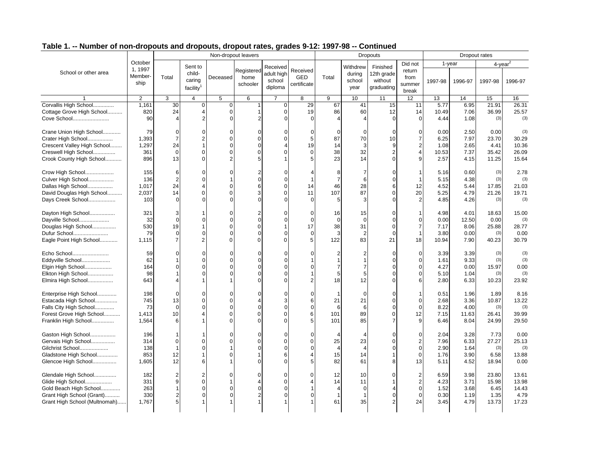|                               |                |                |                       |               | Non-dropout leavers |                |                |                |                | <b>Dropouts</b> |                |         |         | Dropout rates |         |
|-------------------------------|----------------|----------------|-----------------------|---------------|---------------------|----------------|----------------|----------------|----------------|-----------------|----------------|---------|---------|---------------|---------|
|                               | October        |                |                       |               |                     |                |                |                |                |                 | Did not        |         | 1-year  | $4$ -year $4$ |         |
| School or other area          | 1, 1997        |                | Sent to<br>child-     |               | Registered          | Received       | Received       |                | Withdrew       | Finished        | return         |         |         |               |         |
|                               | Member-        | Total          | caring                | Deceased      | home                | adult high     | <b>GED</b>     | Total          | during         | 12th grade      | from           |         |         |               |         |
|                               | ship           |                |                       |               | schooler            | school         | certificate    |                | school         | without         | summer         | 1997-98 | 1996-97 | 1997-98       | 1996-97 |
|                               |                |                | facility <sup>1</sup> |               |                     | diploma        |                |                | year           | graduating      | break          |         |         |               |         |
|                               | $\overline{2}$ | 3              | $\overline{4}$        | 5             | 6                   | $\overline{7}$ | 8              | 9              | 10             | 11              | 12             | 13      | 14      | 15            | 16      |
| Corvallis High School         | 1.161          | 30             | $\mathbf 0$           | $\mathbf 0$   | 1                   | $\Omega$       | 29             | 67             | 41             | 15              | 11             | 5.77    | 6.95    | 21.91         | 26.31   |
| Cottage Grove High School     | 820            | 24             | 4                     | $\Omega$      | 1                   | $\Omega$       | 19             | 86             | 60             | 12              | 14             | 10.49   | 7.06    | 36.99         | 25.57   |
| Cove School                   | 90             |                | $\overline{2}$        |               |                     |                |                |                |                | $\Omega$        | $\Omega$       | 4.44    | 1.08    | (3)           | (3)     |
| Crane Union High School       | 79             | $\overline{0}$ | 0                     | $\Omega$      | 0                   |                |                | $\Omega$       | $\Omega$       | $\mathbf 0$     | $\mathbf 0$    | 0.00    | 2.50    | 0.00          | (3)     |
| Crater High School            | 1,393          | $\overline{7}$ | 2                     |               | 0                   | O              | 5              | 87             | 70             | 10              | $\overline{7}$ | 6.25    | 7.97    | 23.70         | 30.29   |
| Crescent Valley High School   | 1,297          | 24             | 1                     |               | $\Omega$            |                | 19             | 14             | 3              | 9               | $\overline{2}$ | 1.08    | 2.65    | 4.41          | 10.36   |
| Creswell High School          | 361            | $\Omega$       | $\mathbf 0$           | C             | 0                   | $\Omega$       | $\Omega$       | 38             | 32             | $\overline{2}$  | $\overline{4}$ | 10.53   | 7.37    | 35.42         | 26.09   |
| Crook County High School      | 896            | 13             | $\Omega$              |               |                     |                | 5              | 23             | 14             | $\Omega$        | 9              | 2.57    | 4.15    | 11.25         | 15.64   |
| Crow High School              | 155            | 6              | 0                     |               |                     |                |                | 8              | 7              | $\mathbf 0$     |                | 5.16    | 0.60    | (3)           | 2.78    |
| Culver High School            | 136            | 2              | U                     |               | $\overline{0}$      | ∩              |                | $\overline{7}$ | 6              | $\Omega$        |                | 5.15    | 4.38    | (3)           | (3)     |
| Dallas High School            | 1,017          | 24             | 4                     | n             | 6                   | $\Omega$       | 14             | 46             | 28             | 6               | 12             | 4.52    | 5.44    | 17.85         | 21.03   |
| David Douglas High School     | 2,037          | 14             | $\Omega$              | $\mathcal{C}$ | 3                   | $\Omega$       | 11             | 107            | 87             | $\mathbf 0$     | 20             | 5.25    | 4.79    | 21.26         | 19.71   |
| Days Creek School             | 103            | $\Omega$       | $\Omega$              |               | $\Omega$            |                | $\Omega$       | 5              | 3              | $\Omega$        | $\overline{2}$ | 4.85    | 4.26    | (3)           | (3)     |
| Dayton High School            | 321            | 3              |                       |               |                     |                | $\Omega$       | 16             | 15             | $\Omega$        |                | 4.98    | 4.01    | 18.63         | 15.00   |
| Dayville School               | 32             | $\Omega$       | $\Omega$              |               | $\overline{0}$      | $\Omega$       | $\Omega$       | $\mathbf 0$    | $\overline{0}$ | $\mathbf 0$     | $\Omega$       | 0.00    | 12.50   | 0.00          | (3)     |
| Douglas High School           | 530            | 19             |                       |               | $\Omega$            |                | 17             | 38             | 31             | $\Omega$        | $\overline{7}$ | 7.17    | 8.06    | 25.88         | 28.77   |
| Dufur School                  | 79             | 0              | $\Omega$              |               | $\Omega$            |                | $\mathbf 0$    | 3              | $\overline{2}$ | $\mathbf 0$     | $\overline{1}$ | 3.80    | 0.00    | (3)           | 0.00    |
| Eagle Point High School       | 1,115          | $\overline{7}$ | $\overline{2}$        | $\Omega$      | $\Omega$            | U              | 5              | 122            | 83             | 21              | 18             | 10.94   | 7.90    | 40.23         | 30.79   |
| Echo School                   | 59             | O              | O                     |               | O                   |                |                |                |                | $\Omega$        | $\mathbf 0$    | 3.39    | 3.39    | (3)           | (3)     |
| Eddyville School              | 62             |                | 0                     |               | $\Omega$            |                |                |                |                | $\Omega$        | $\mathbf 0$    | 1.61    | 9.33    | (3)           | (3)     |
| Elgin High School             | 164            |                |                       |               | $\Omega$            |                |                | 7              |                | $\Omega$        | $\Omega$       | 4.27    | 0.00    | 15.97         | 0.00    |
| Elkton High School            | 98             |                | 0                     |               | 0                   | 0              |                | 5              | 5              | $\Omega$        | $\mathbf 0$    | 5.10    | 1.04    | (3)           | (3)     |
| Elmira High School            | 643            |                |                       |               |                     |                | $\overline{2}$ | 18             | 12             |                 | 6              | 2.80    | 6.33    | 10.23         | 23.92   |
| Enterprise High School        | 198            | $\Omega$       | 0                     |               | $\Omega$            |                | $\Omega$       |                | $\Omega$       | $\Omega$        |                | 0.51    | 1.96    | 1.89          | 8.16    |
| Estacada High School          | 745            | 13             | $\Omega$              |               |                     | 3              | 6              | 21             | 21             | $\Omega$        | $\Omega$       | 2.68    | 3.36    | 10.87         | 13.22   |
| Falls City High School        | 73             | $\Omega$       | $\Omega$              |               | $\Omega$            | $\Omega$       | $\Omega$       | 6              | 6              | $\Omega$        | $\Omega$       | 8.22    | 4.00    | (3)           | (3)     |
| Forest Grove High School      | 1.413          | 10             | 4                     |               | $\Omega$            | U              | 6              | 101            | 89             | $\Omega$        | 12             | 7.15    | 11.63   | 26.41         | 39.99   |
| Franklin High School          | 1,564          | 6              |                       |               | U                   |                | 5              | 101            | 85             | $\overline{7}$  | 9              | 6.46    | 8.04    | 24.99         | 29.50   |
| Gaston High School            | 196            |                |                       |               | $\Omega$            | ∩              | $\Omega$       |                |                | $\Omega$        | $\Omega$       | 2.04    | 3.28    | 7.73          | 0.00    |
| Gervais High School           | 314            | $\Omega$       | 0                     |               | 0                   | 0              | $\Omega$       | 25             | 23             | $\Omega$        | $\overline{2}$ | 7.96    | 6.33    | 27.27         | 25.13   |
| Gilchrist School              | 138            |                | 0                     |               | $\Omega$            | $\Omega$       | $\Omega$       | $\overline{4}$ | $\overline{4}$ | $\Omega$        | $\overline{0}$ | 2.90    | 1.64    | (3)           | (3)     |
| Gladstone High School         | 853            | 12             |                       |               |                     | 6              | $\overline{4}$ | 15             | 14             | $\mathbf{1}$    | $\mathbf 0$    | 1.76    | 3.90    | 6.58          | 13.88   |
| Glencoe High School           | 1,605          | 12             | 6                     |               | $\Omega$            | $\Omega$       | 5              | 82             | 61             | 8               | 13             | 5.11    | 4.52    | 18.94         | 0.00    |
| Glendale High School          | 182            | 2              | 2                     |               | 0                   | 0              | $\Omega$       | 12             | 10             | $\Omega$        | $\overline{2}$ | 6.59    | 3.98    | 23.80         | 13.61   |
| Glide High School             | 331            | 9              | $\mathbf 0$           |               |                     | 0              |                | 14             | 11             | $\mathbf{1}$    | $\sqrt{2}$     | 4.23    | 3.71    | 15.98         | 13.98   |
| Gold Beach High School        | 263            |                | 0                     |               | $\Omega$            | $\Omega$       | 1              |                | $\overline{0}$ |                 | $\overline{0}$ | 1.52    | 3.68    | 6.45          | 14.43   |
| Grant High School (Grant)     | 330            | $\overline{a}$ | $\Omega$              |               |                     | $\Omega$       | $\Omega$       |                |                | $\mathbf 0$     | $\mathbf 0$    | 0.30    | 1.19    | 1.35          | 4.79    |
| Grant High School (Multnomah) | 1,767          | 5 <sup>1</sup> |                       |               |                     |                |                | 61             | 35             | $\mathfrak{p}$  | 24             | 3.45    | 4.79    | 13.73         | 17.23   |
|                               |                |                |                       |               |                     |                |                |                |                |                 |                |         |         |               |         |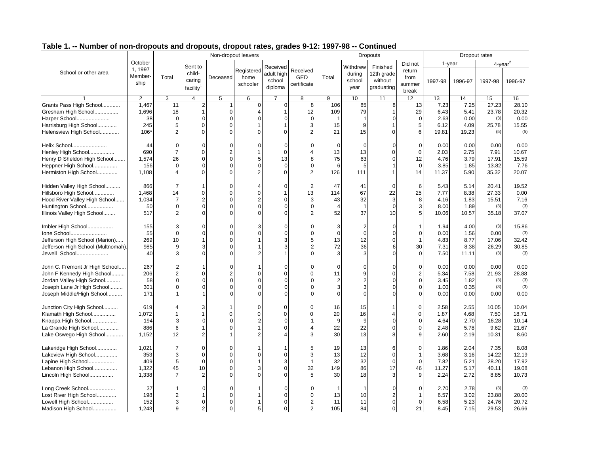|                                    |                |                |                       |                | Non-dropout leavers |            |                |                |                | <b>Dropouts</b> |                         |         | Dropout rates |               |         |
|------------------------------------|----------------|----------------|-----------------------|----------------|---------------------|------------|----------------|----------------|----------------|-----------------|-------------------------|---------|---------------|---------------|---------|
|                                    | October        |                |                       |                |                     |            |                |                |                |                 | Did not                 | 1-year  |               | $4$ -vear $2$ |         |
|                                    | 1, 1997        |                | Sent to               |                | Registered          | Received   | Received       |                | Withdrew       | Finished        | return                  |         |               |               |         |
| School or other area               | Member-        | Total          | child-                | Deceased       | home                | adult high | <b>GED</b>     | Total          | during         | 12th grade      | from                    |         |               |               |         |
|                                    | ship           |                | caring                |                | schooler            | school     | certificate    |                | school         | without         | summer                  | 1997-98 | 1996-97       | 1997-98       | 1996-97 |
|                                    |                |                | facility <sup>1</sup> |                |                     | diploma    |                |                | year           | graduating      | break                   |         |               |               |         |
|                                    | $\overline{2}$ | 3              | $\overline{4}$        | 5              | 6                   | 7          | 8              | 9              | 10             | 11              | 12                      | 13      | 14            | 15            | 16      |
| Grants Pass High School            | 1,467          | 11             | 2                     | 1              | $\overline{0}$      | 0          | 8              | 106            | 85             | 8               | 13                      | 7.23    | 7.25          | 27.23         | 28.10   |
| Gresham High School                | 1,696          | 18             |                       | $\mathbf 0$    |                     |            | 12             | 109            | 79             | $\mathbf{1}$    | 29                      | 6.43    | 5.41          | 23.78         | 20.32   |
| Harper School                      | 38             | $\Omega$       | $\mathbf 0$           | $\mathbf 0$    |                     | 0          | $\Omega$       | $\mathbf{1}$   | $\mathbf 1$    | $\mathbf 0$     | $\mathbf 0$             | 2.63    | 0.00          | (3)           | 0.00    |
| Harrisburg High School             | 245            | 5              | 0                     | $\mathbf 0$    |                     |            | 3              | 15             | 9              | 1               | 5                       | 6.12    | 4.09          | 25.78         | 15.55   |
| Helensview High School             | 106*           | $\overline{2}$ | $\Omega$              | $\mathbf 0$    |                     | $\Omega$   | 2              | 21             | 15             | $\Omega$        | 6                       | 19.81   | 19.23         | (5)           | (5)     |
| Helix School                       | 44             | $\Omega$       |                       | $\Omega$       |                     |            |                | $\Omega$       | $\Omega$       | $\Omega$        | $\mathbf 0$             | 0.00    | 0.00          | 0.00          | 0.00    |
| Henley High School                 | 690            |                | $\Omega$              | $\overline{2}$ |                     | $\Omega$   | 4              | 13             | 13             | $\Omega$        | $\mathbf 0$             | 2.03    | 2.75          | 7.91          | 10.67   |
| Henry D Sheldon High School        | 1,574          | 26             | $\Omega$              | $\Omega$       |                     | 13         | 8              | 75             | 63             | $\Omega$        | 12                      | 4.76    | 3.79          | 17.91         | 15.59   |
| Heppner High School                | 156            | $\Omega$       | $\Omega$              | $\Omega$       |                     | $\Omega$   | $\Omega$       | 6              | 5              | 1               | $\mathbf 0$             | 3.85    | 1.85          | 13.82         | 7.76    |
| Hermiston High School              | 1,108          |                |                       | $\Omega$       |                     | 0          | $\overline{2}$ | 126            | 111            | 1               | 14                      | 11.37   | 5.90          | 35.32         | 20.07   |
|                                    |                |                |                       |                |                     |            |                |                |                |                 |                         |         |               |               |         |
| Hidden Valley High School          | 866            |                |                       | $\Omega$       |                     | O          | $\overline{2}$ | 47             | 41             | $\mathbf 0$     | 6                       | 5.43    | 5.14          | 20.41         | 19.52   |
| Hillsboro High School              | 1,468          | 14             | $\Omega$              | $\mathbf 0$    | $\Omega$            |            | 13             | 114            | 67             | 22              | 25                      | 7.77    | 8.38          | 27.33         | 0.00    |
| Hood River Valley High School      | 1,034          |                | 2                     | $\mathbf 0$    |                     | 0          | 3              | 43             | 32             | 3               | 8                       | 4.16    | 1.83          | 15.51         | 7.16    |
| Huntington School                  | 50             | $\Omega$       | 0                     | $\Omega$       |                     | 0          | $\Omega$       |                | $\mathbf{1}$   | $\Omega$        | 3                       | 8.00    | 1.89          | (3)           | (3)     |
| Illinois Valley High School        | 517            |                |                       | $\Omega$       |                     |            |                | 52             | 37             | 10              | 5                       | 10.06   | 10.57         | 35.18         | 37.07   |
| Imbler High School                 | 155            |                | $\Omega$              | $\Omega$       |                     | O          | $\Omega$       | 3              | $\overline{c}$ | $\Omega$        | $\overline{1}$          | 1.94    | 4.00          | (3)           | 15.86   |
| Ione School                        | 55             | $\Omega$       | 0                     | $\Omega$       |                     |            | $\Omega$       | $\Omega$       | $\Omega$       | $\Omega$        | $\mathbf 0$             | 0.00    | 1.56          | 0.00          | (3)     |
| Jefferson High School (Marion)     | 269            | 10             |                       | $\Omega$       |                     | 3          | 5              | 13             | 12             | $\Omega$        | $\mathbf{1}$            | 4.83    | 8.77          | 17.06         | 32.42   |
| Jefferson High School (Multnomah). | 985            | 9              |                       | $\Omega$       |                     |            | $\overline{2}$ | 72             | 36             | 6               | 30                      | 7.31    | 8.38          | 26.29         | 30.85   |
| Jewell School                      | 40             |                | ∩                     | $\Omega$       |                     |            | $\Omega$       | 3              | 3              | $\Omega$        | $\mathbf 0$             | 7.50    | 11.11         | (3)           | (3)     |
|                                    |                |                |                       |                |                     |            |                |                |                |                 |                         |         |               |               |         |
| John C. Fremont Jr High School     | 267            |                |                       | $\Omega$       |                     | 0          | $\Omega$       | $\Omega$       |                | $\Omega$        | $\mathbf 0$             | 0.00    | 0.00          | 0.00          | 0.00    |
| John F Kennedy High School         | 206            |                | $\Omega$              | $\overline{2}$ | O                   | $\Omega$   | 0              | 11             | 9              | $\Omega$        | $\overline{\mathbf{c}}$ | 5.34    | 7.58          | 21.93         | 28.88   |
| Jordan Valley High School          | 58             | $\Omega$       | $\Omega$              | $\Omega$       |                     | $\Omega$   | $\Omega$       | $\overline{2}$ | $\overline{2}$ | $\Omega$        | $\mathbf 0$             | 3.45    | 1.82          | (3)           | (3)     |
| Joseph Lane Jr High School         | 301            | 0              | O                     | $\Omega$       |                     | 0          | $\Omega$       | 3              | 3              | $\Omega$        | $\mathbf 0$             | 1.00    | 0.35          | (3)           | (3)     |
| Joseph Middle/High School          | 171            |                |                       |                |                     |            |                |                | $\Omega$       | $\Omega$        | $\Omega$                | 0.00    | 0.00          | 0.00          | 0.00    |
| Junction City High School          | 619            |                |                       | $\mathbf{1}$   | $\Omega$            | 0          | 0              | 16             | 15             |                 | 0                       | 2.58    | 2.55          | 10.05         | 10.04   |
| Klamath High School                | 1,072          |                |                       | $\mathbf 0$    | O                   | U          | $\Omega$       | 20             | 16             | 4               | $\mathbf 0$             | 1.87    | 4.68          | 7.50          | 18.71   |
| Knappa High School                 | 194            |                | O                     | $\Omega$       |                     |            |                | 9              | 9              | $\Omega$        | $\mathbf 0$             | 4.64    | 2.70          | 16.28         | 10.14   |
| La Grande High School              | 886            | 6              |                       | $\mathbf 0$    |                     | U          | 4              | 22             | 22             | $\overline{0}$  | $\mathbf 0$             | 2.48    | 5.78          | 9.62          | 21.67   |
| Lake Oswego High School            | 1,152          | 12             |                       |                |                     |            | 3              | 30             | 13             | 8               | 9                       | 2.60    | 2.19          | 10.31         | 8.60    |
| Lakeridge High School              | 1,021          |                | $\Omega$              | $\Omega$       |                     |            | 5              | 19             | 13             | 6               | $\Omega$                | 1.86    | 2.04          | 7.35          | 8.08    |
| Lakeview High School               | 353            | 3              | $\Omega$              | $\Omega$       |                     | 0          | 3              | 13             | 12             | $\mathbf 0$     | $\mathbf{1}$            | 3.68    | 3.16          | 14.22         | 12.19   |
| Lapine High School                 | 409            | 5              | $\Omega$              | $\Omega$       |                     | 3          | $\mathbf 1$    | 32             | 32             | $\mathbf 0$     | $\mathbf 0$             | 7.82    | 5.21          | 28.20         | 17.92   |
| Lebanon High School                | 1,322          | 45             | 10                    | $\mathbf 0$    |                     | 0          | 32             | 149            | 86             | 17              | 46                      | 11.27   | 5.17          | 40.11         | 19.08   |
| Lincoln High School                | 1,338          |                | 2                     | $\Omega$       |                     | 0          | 5              | 30             | 18             | 3               | 9                       | 2.24    | 2.72          | 8.85          | 10.73   |
|                                    |                |                |                       |                |                     |            |                |                |                |                 |                         |         |               |               |         |
| Long Creek School                  | 37             |                |                       | $\Omega$       |                     |            | $\Omega$       |                | -1             | $\Omega$        | $\Omega$                | 2.70    | 2.78          | (3)           | (3)     |
| Lost River High School             | 198            |                |                       | $\mathbf 0$    |                     | 0          | $\Omega$       | 13             | 10             | $\overline{2}$  | $\mathbf{1}$            | 6.57    | 3.02          | 23.88         | 20.00   |
| Lowell High School                 | 152            | 3              | $\Omega$              | $\Omega$       |                     | 0          | $\overline{2}$ | 11             | 11             | $\Omega$        | $\mathbf 0$             | 6.58    | 5.23          | 24.76         | 20.72   |
| Madison High School                | 1,243          | 9              | $\overline{2}$        | $\mathbf 0$    | 5 <sup>1</sup>      | 0          | $\overline{2}$ | 105            | 84             | 0               | 21                      | 8.45    | 7.15          | 29.53         | 26.66   |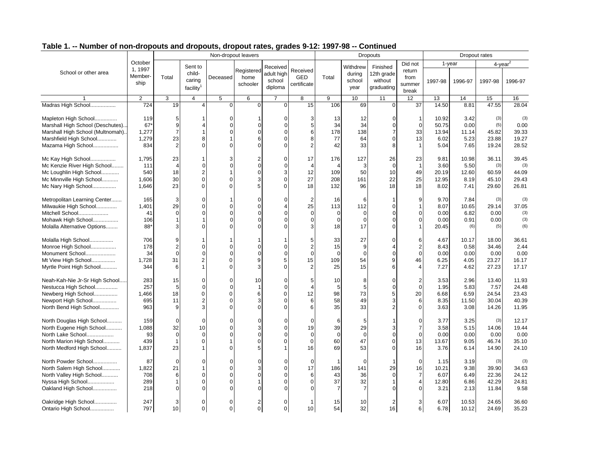|                                   |                  | Non-dropout leavers |                       |                |                |            |                |                |                |                 |                         |         |         |                     |         |
|-----------------------------------|------------------|---------------------|-----------------------|----------------|----------------|------------|----------------|----------------|----------------|-----------------|-------------------------|---------|---------|---------------------|---------|
|                                   |                  |                     |                       |                |                |            |                |                |                | <b>Dropouts</b> |                         |         |         | Dropout rates       |         |
|                                   | October          |                     | Sent to               |                |                | Received   |                |                | Withdrew       | Finished        | Did not                 |         | 1-year  | 4-year <sup>2</sup> |         |
| School or other area              | 1, 1997          |                     | child-                |                | Registered     | adult high | Received       |                | during         | 12th grade      | return                  |         |         |                     |         |
|                                   | Member-          | Total               | caring                | Deceased       | home           | school     | GED            | Total          | school         | without         | from                    | 1997-98 | 1996-97 | 1997-98             | 1996-97 |
|                                   | ship             |                     | facility <sup>1</sup> |                | schooler       | diploma    | certificate    |                | year           | graduating      | summer                  |         |         |                     |         |
|                                   |                  |                     |                       |                |                |            |                |                |                |                 | break                   |         |         |                     |         |
|                                   | 2                | 3                   | $\overline{4}$        | 5              | 6              | 7          | 8              | 9              | 10             | 11              | 12                      | 13      | 14      | 15                  | 16      |
| Madras High School                | $\overline{724}$ | 19                  | 4                     | $\Omega$       | $\Omega$       | $\Omega$   | 15             | 106            | 69             | $\Omega$        | 37                      | 14.50   | 8.81    | 47.55               | 28.04   |
| Mapleton High School              | 119              | 5                   |                       | $\Omega$       |                | 0          |                | 13             | 12             | $\Omega$        |                         | 10.92   | 3.42    | (3)                 | (3)     |
| Marshall High School (Deschutes). | 67'              | 9                   |                       | $\Omega$       |                | $\Omega$   | 5              | 34             | 34             | $\mathbf 0$     | $\overline{0}$          | 50.75   | 0.00    | (5)                 | 0.00    |
| Marshall High School (Multnomah). | 1,277            |                     |                       | $\Omega$       | O              | 0          | 6              | 178            | 138            | $\overline{7}$  | 33                      | 13.94   | 11.14   | 45.82               | 39.33   |
| Marshfield High School            | 1,279            | 23                  | 8                     |                |                | U          | 8              | 77             | 64             | $\Omega$        | 13                      | 6.02    | 5.23    | 23.88               | 19.27   |
| Mazama High School                | 834              | $\mathfrak{p}$      | $\Omega$              | $\Omega$       |                | 0          | $\overline{2}$ | 42             | 33             | 8               | $\overline{1}$          | 5.04    | 7.65    | 19.24               | 28.52   |
| Mc Kay High School                | 1,795            | 23                  |                       | 3              |                | 0          | 17             | 176            | 127            | 26              | 23                      | 9.81    | 10.98   | 36.11               | 39.45   |
| Mc Kenzie River High School       | 111              |                     | 0                     | $\Omega$       | 0              | $\Omega$   | $\overline{4}$ | $\overline{4}$ | 3              | $\mathbf 0$     | $\overline{1}$          | 3.60    | 5.50    | (3)                 | (3)     |
| Mc Loughlin High School           | 540              | 18                  | $\overline{2}$        |                | $\Omega$       | 3          | 12             | 109            | 50             | 10              | 49                      | 20.19   | 12.60   | 60.59               | 44.09   |
| Mc Minnville High School          | 1,606            | 30                  | $\Omega$              | $\mathbf 0$    |                | 0          | 27             | 208            | 161            | 22              | 25                      | 12.95   | 8.19    | 45.10               | 29.43   |
| Mc Nary High School               | 1,646            | 23                  | $\Omega$              | $\mathbf 0$    |                | $\Omega$   | 18             | 132            | 96             | 18              | 18                      | 8.02    | 7.41    | 29.60               | 26.81   |
| Metropolitan Learning Center      | 165              |                     | $\Omega$              |                |                |            |                | 16             | 6              | $\mathbf{1}$    | 9                       | 9.70    | 7.84    | (3)                 | (3)     |
| Milwaukie High School             | 1,401            | 29                  | $\Omega$              | $\Omega$       | $\Omega$       | 4          | 25             | 113            | 112            | $\mathbf 0$     | $\overline{1}$          | 8.07    | 10.65   | 29.14               | 37.05   |
| Mitchell School                   | 41               | $\Omega$            | $\Omega$              | $\Omega$       |                |            | $\Omega$       | $\Omega$       | $\Omega$       | $\Omega$        | $\Omega$                | 0.00    | 6.82    | 0.00                | (3)     |
| Mohawk High School                | 106              |                     |                       | $\Omega$       |                | $\Omega$   | $\Omega$       | $\overline{0}$ | $\Omega$       | $\mathbf 0$     | $\mathbf 0$             | 0.00    | 0.91    | 0.00                | (3)     |
| Molalla Alternative Options       | 88*              |                     |                       |                |                |            |                | 18             | 17             | $\Omega$        |                         | 20.45   | (6)     | (5)                 | (6)     |
|                                   |                  |                     |                       |                |                |            |                |                |                |                 |                         |         |         |                     |         |
| Molalla High School               | 706              | 9                   |                       | 1              |                |            | 5              | 33             | 27             | $\mathbf 0$     | 6                       | 4.67    | 10.17   | 18.00               | 36.61   |
| Monroe High School                | 178              | 2                   | 0                     | $\Omega$       |                | 0          | $\overline{2}$ | 15             | 9              | $\overline{4}$  | $\overline{2}$          | 8.43    | 0.58    | 34.46               | 2.44    |
| Monument School                   | 34               | $\Omega$            | $\Omega$              | $\Omega$       | O              | $\Omega$   | $\Omega$       | $\Omega$       | $\Omega$       | $\mathbf 0$     | $\overline{0}$          | 0.00    | 0.00    | 0.00                | 0.00    |
| Mt View High School               | 1,728            | 31                  |                       | $\mathbf 0$    |                | 5          | 15             | 109            | 54             | 9               | 46                      | 6.25    | 4.05    | 23.27               | 16.17   |
| Myrtle Point High School          | 344              | 6                   |                       | $\Omega$       |                | 0          | $\overline{2}$ | 25             | 15             | 6               | $\overline{4}$          | 7.27    | 4.62    | 27.23               | 17.17   |
| Neah-Kah-Nie Jr-Sr High School    | 283              | 15                  | $\Omega$              | $\Omega$       | 10             | n          |                | 10             | 8              | $\mathbf 0$     | $\overline{2}$          | 3.53    | 2.96    | 13.40               | 11.93   |
| Nestucca High School              | 257              | 5                   | 0                     | $\Omega$       |                | $\Omega$   | $\overline{4}$ | 5              | 5              | $\mathbf 0$     | $\mathbf 0$             | 1.95    | 5.83    | 7.57                | 24.48   |
| Newberg High School               | 1,466            | 18                  | $\Omega$              | $\mathbf 0$    | 6              | $\Omega$   | 12             | 98             | 73             | 5               | 20                      | 6.68    | 6.59    | 24.54               | 23.43   |
| Newport High School               | 695              | 11                  |                       | $\Omega$       |                |            | 6              | 58             | 49             | 3               | $\,6$                   | 8.35    | 11.50   | 30.04               | 40.39   |
| North Bend High School            | 963              | 9                   | 3                     | $\Omega$       |                | U          | 6              | 35             | 33             | $\overline{2}$  | $\Omega$                | 3.63    | 3.08    | 14.26               | 11.95   |
| North Douglas High School         | 159              | $\Omega$            | $\Omega$              | $\Omega$       |                |            | $\Omega$       | 6              | 5              |                 | $\Omega$                | 3.77    | 3.25    | (3)                 | 12.17   |
| North Eugene High School          | 1,088            | 32                  | 10                    | $\mathbf 0$    |                | 0          | 19             | 39             | 29             | 3               | $\overline{7}$          | 3.58    | 5.15    | 14.06               | 19.44   |
| North Lake School                 | 93               | $\Omega$            | $\Omega$              | $\Omega$       |                | $\Omega$   | $\Omega$       | $\Omega$       | $\Omega$       | $\mathbf 0$     | $\Omega$                | 0.00    | 0.00    | 0.00                | 0.00    |
| North Marion High School          | 439              |                     | $\Omega$              |                |                | 0          | 0              | 60             | 47             | $\mathbf 0$     | 13                      | 13.67   | 9.05    | 46.74               | 35.10   |
| North Medford High School         | 1,837            | 23                  |                       | $\Omega$       |                |            | 16             | 69             | 53             | $\Omega$        | 16                      | 3.76    | 6.14    | 14.90               | 24.10   |
|                                   |                  |                     |                       |                |                |            |                |                |                |                 |                         |         |         |                     |         |
| North Powder School               | 87               | ∩                   | 0                     | $\Omega$       |                | O          | 0              | -1             | $\Omega$       | 1               | $\mathbf 0$             | 1.15    | 3.19    | (3)                 | (3)     |
| North Salem High School           | 1,822            | 21                  |                       | $\mathbf 0$    |                | 0          | 17             | 186            | 141            | 29              | 16                      | 10.21   | 9.38    | 39.90               | 34.63   |
| North Valley High School          | 708              | 6                   | $\Omega$              | $\Omega$       |                | $\Omega$   | 6              | 43             | 36             | $\mathbf 0$     | $\overline{7}$          | 6.07    | 6.49    | 22.36               | 24.12   |
| Nyssa High School                 | 289              |                     | $\Omega$              | $\mathbf 0$    |                | 0          | $\Omega$       | 37             | 32             | $\mathbf{1}$    | $\overline{\mathbf{4}}$ | 12.80   | 6.86    | 42.29               | 24.81   |
| Oakland High School               | 218              |                     | $\Omega$              | C              |                |            |                | $\overline{7}$ | $\overline{7}$ | $\Omega$        | $\Omega$                | 3.21    | 2.13    | 11.84               | 9.58    |
| Oakridge High School              | 247              |                     | $\Omega$              | $\overline{0}$ | $\overline{2}$ | 0          |                | 15             | 10             | $\overline{2}$  | 3                       | 6.07    | 10.53   | 24.65               | 36.60   |
| Ontario High School               | 797              | 10                  | $\mathbf 0$           | $\overline{0}$ | $\mathbf 0$    | 0          | 10             | 54             | 32             | 16              | 6                       | 6.78    | 10.12   | 24.69               | 35.23   |
|                                   |                  |                     |                       |                |                |            |                |                |                |                 |                         |         |         |                     |         |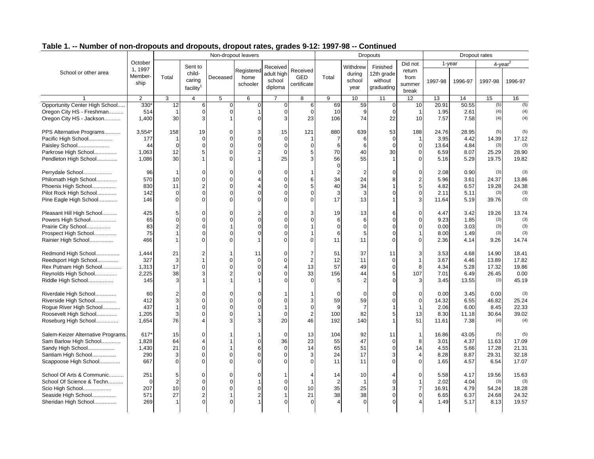|                                    |                |                |                         |                | Non-dropout leavers |                      |                |                   |                  | <b>Dropouts</b>       |                |         |         | Dropout rates |         |
|------------------------------------|----------------|----------------|-------------------------|----------------|---------------------|----------------------|----------------|-------------------|------------------|-----------------------|----------------|---------|---------|---------------|---------|
|                                    | October        |                |                         |                |                     |                      |                |                   |                  |                       | Did not        |         | 1-year  | $4$ -year $2$ |         |
| School or other area               | 1, 1997        |                | Sent to<br>child-       |                | Registered          | Received             | Received       |                   | Withdrew         | Finished              | return         |         |         |               |         |
|                                    | Member-        | Total          | caring                  | Deceased       | home                | adult high<br>school | <b>GED</b>     | Total             | during<br>school | 12th grade<br>without | from           |         |         |               |         |
|                                    | ship           |                | facility <sup>1</sup>   |                | schooler            | diploma              | certificate    |                   | year             | graduating            | summer         | 1997-98 | 1996-97 | 1997-98       | 1996-97 |
|                                    |                |                |                         |                |                     |                      |                |                   |                  |                       | break          |         |         |               |         |
| $\overline{\mathbf{1}}$            | $\overline{2}$ | 3              | $\overline{4}$          | 5              | 6                   | $\overline{7}$       | 8              | 9                 | 10               | 11                    | 12             | 13      | 14      | 15            | 16      |
| Opportunity Center High School     | 330'           | 12             | 6                       | $\Omega$       | $\mathbf 0$         | $\mathbf 0$          | 6              | 69                | 59               | $\mathbf 0$           | 10             | 20.91   | 50.55   | (5)           | (5)     |
| Oregon City HS - Freshman          | 514            | $\mathbf 1$    | $\mathbf 0$             | $\Omega$       | 1                   | $\Omega$             | $\mathbf 0$    | 10                | 9                | $\mathbf 0$           | -1             | 1.95    | 2.61    | (4)           | (4)     |
| Oregon City HS - Jackson           | 1,400          | 30             | 3                       |                |                     | 3                    | 23             | 106               | 74               | 22                    | 10             | 7.57    | 7.58    | (4)           | (4)     |
| PPS Alternative Programs           | 3,554*         | 158            | 19                      | $\mathbf 0$    | 3                   | 15                   | 121            | 880               | 639              | 53                    | 188            | 24.76   | 28.95   | (5)           | (5)     |
| Pacific High School                | 177            | 1              | $\mathbf{0}$            | $\Omega$       | $\Omega$            | $\Omega$             | -1             | $\overline{7}$    | 6                | $\mathbf 0$           | -1             | 3.95    | 4.42    | 14.39         | 17.12   |
| Paisley School                     | 44             | $\Omega$       | $\overline{0}$          | $\Omega$       | $\Omega$            | $\Omega$             | $\Omega$       | 6                 | 6                | $\Omega$              | $\Omega$       | 13.64   | 4.84    | (3)           | (3)     |
| Parkrose High School               | 1,063          | 12             | 5                       | $\Omega$       |                     | $\Omega$             | 5              | 70                | 40               | 30                    | $\mathbf 0$    | 6.59    | 8.07    | 25.29         | 28.90   |
| Pendleton High School              | 1,086          | 30             |                         | $\Omega$       |                     | 25                   | 3              | 56<br>$\mathbf 0$ | 55               | $\overline{1}$        | $\Omega$       | 5.16    | 5.29    | 19.75         | 19.82   |
| Perrydale School                   | 96             | 1              | $\Omega$                | $\Omega$       |                     | $\Omega$             | -1             | $\overline{2}$    | 2                | $\Omega$              | $\Omega$       | 2.08    | 0.90    | (3)           | (3)     |
| Philomath High School              | 570            | 10             | 0                       | $\Omega$       |                     | $\Omega$             | 6              | 34                | 24               | 8                     | $\overline{2}$ | 5.96    | 3.61    | 24.37         | 13.86   |
| Phoenix High School                | 830            | 11             | 2                       | $\Omega$       |                     | $\Omega$             | 5              | 40                | 34               | 1                     | 5              | 4.82    | 6.57    | 19.28         | 24.38   |
| Pilot Rock High School             | 142            | 0              | $\overline{0}$          |                |                     |                      | $\mathbf 0$    | 3                 | 3                | $\Omega$              | $\Omega$       | 2.11    | 5.11    | (3)           | (3)     |
| Pine Eagle High School             | 146            | $\Omega$       | $\Omega$                | $\Omega$       | $\Omega$            |                      | $\mathbf 0$    | 17                | 13               |                       | 3              | 11.64   | 5.19    | 39.76         | (3)     |
| Pleasant Hill High School          | 425            | 5              | 0                       |                |                     |                      | 3              | 19                | 13               | 6                     | $\Omega$       | 4.47    | 3.42    | 19.26         | 13.74   |
| Powers High School                 | 65             | $\Omega$       | $\overline{0}$          | O              | $\Omega$            | $\Omega$             | $\mathbf 0$    | 6                 | 6                | $\Omega$              | $\mathbf 0$    | 9.23    | 1.85    | (3)           | (3)     |
| Prairie City School                | 83             | $\overline{2}$ | $\Omega$                |                |                     |                      |                | $\Omega$          | $\Omega$         | $\sqrt{ }$            | $\Omega$       | 0.00    | 3.03    | (3)           | (3)     |
| Prospect High School               | 75             |                | $\overline{0}$          |                |                     |                      |                | 6                 | 5                | $\Omega$              |                | 8.00    | 1.49    | (3)           | (3)     |
| Rainier High School                | 466            |                | U                       |                |                     |                      | 0              | 11                | 11               | $\Omega$              | $\Omega$       | 2.36    | 4.14    | 9.26          | 14.74   |
| Redmond High School                | 1,444          | 21             | 2                       | 1              | 11                  | $\Omega$             | 7              | 51                | 37               | 11                    | 3              | 3.53    | 4.68    | 14.90         | 18.41   |
| Reedsport High School              | 327            | 3              | 1                       | $\Omega$       | $\Omega$            | $\Omega$             | $\overline{2}$ | 12                | 11               | $\mathbf 0$           | $\overline{1}$ | 3.67    | 4.46    | 13.89         | 17.82   |
| Rex Putnam High School             | 1,313          | 17             | 0                       | C              | $\Omega$            |                      | 13             | 57                | 49               | $\mathbf 0$           | 8              | 4.34    | 5.28    | 17.32         | 19.86   |
| Reynolds High School               | 2,225          | 38             | 3                       | $\mathfrak{p}$ | $\Omega$            | $\Omega$             | 33             | 156               | 44               | $\overline{5}$        | 107            | 7.01    | 6.49    | 26.45         | 0.00    |
| Riddle High School                 | 145            | 3              |                         |                |                     |                      | $\Omega$       | 5                 | 2                | $\sqrt{ }$            | 3              | 3.45    | 13.55   | (3)           | 45.19   |
| Riverdale High School              | 60             | 2              | 0                       | $\Omega$       |                     |                      |                | $\mathbf 0$       | $\Omega$         | $\Omega$              | $\Omega$       | 0.00    | 3.45    | 0.00          | (3)     |
| Riverside High School              | 412            | 3              | $\Omega$                | C              |                     |                      | 3              | 59                | 59               | $\Omega$              | $\mathbf 0$    | 14.32   | 6.55    | 46.82         | 25.24   |
| Rogue River High School            | 437            | 1              | $\overline{0}$          | $\Omega$       | $\Omega$            | $\mathbf{1}$         | $\mathbf 0$    | 9                 | $\overline{7}$   |                       | $\overline{1}$ | 2.06    | 6.00    | 8.45          | 22.33   |
| Roosevelt High School              | 1,205          | 3              | $\Omega$                |                |                     | $\Omega$             | $\overline{2}$ | 100               | 82               | 5                     | 13             | 8.30    | 11.18   | 30.64         | 39.02   |
| Roseburg High School               | 1,654          | 76             | 4                       | З              |                     | 20                   | 46             | 192               | 140              |                       | 51             | 11.61   | 7.38    | (4)           | (4)     |
| Salem-Keizer Alternative Programs. | 617*           | 15             | U                       |                |                     | $\mathbf 0$          | 13             | 104               | 92               | 11                    | $\mathbf{1}$   | 16.86   | 43.05   | (5)           | (5)     |
| Sam Barlow High School             | 1,828          | 64             | 4                       |                | $\Omega$            | 36                   | 23             | 55                | 47               | $\mathbf 0$           | 8              | 3.01    | 4.37    | 11.63         | 17.09   |
| Sandy High School                  | 1,430          | 21             | 0                       |                | 6                   | $\Omega$             | 14             | 65                | 51               | $\overline{0}$        | 14             | 4.55    | 5.66    | 17.28         | 21.31   |
| Santiam High School                | 290            | 3              | $\Omega$                | $\Omega$       |                     | $\Omega$             | 3              | 24                | 17               | 3                     | $\overline{4}$ | 8.28    | 8.87    | 29.31         | 32.18   |
| Scappoose High School              | 667            | $\Omega$       | $\Omega$                | $\Omega$       |                     |                      | $\mathbf 0$    | 11                | 11               | $\Omega$              | $\Omega$       | 1.65    | 4.57    | 6.54          | 17.07   |
| School Of Arts & Communic          | 251            | 5              | 0                       | $\Omega$       |                     |                      | $\overline{4}$ | 14                | 10               | $\overline{A}$        | $\mathbf 0$    | 5.58    | 4.17    | 19.56         | 15.63   |
| School Of Science & Techn          | $\Omega$       | 2              | 0                       | $\Omega$       |                     | $\Omega$             | $\mathbf{1}$   | $\overline{2}$    | $\mathbf{1}$     | $\mathbf 0$           | $\mathbf{1}$   | 2.02    | 4.04    | (3)           | (3)     |
| Scio High School                   | 207            | 10             | 0                       | $\Omega$       | $\Omega$            | $\Omega$             | 10             | 35                | 25               | 3                     | $\overline{7}$ | 16.91   | 4.79    | 54.24         | 18.28   |
| Seaside High School                | 571            | 27             | $\overline{\mathbf{c}}$ |                | $\overline{2}$      |                      | 21             | 38                | 38               | $\mathbf 0$           | $\mathbf 0$    | 6.65    | 6.37    | 24.68         | 24.32   |
| Sheridan High School               | 269            |                | $\Omega$                |                |                     |                      |                |                   |                  |                       |                | 1.49    | 5.17    | 8.13          | 19.57   |
|                                    |                |                |                         |                |                     |                      |                |                   |                  |                       |                |         |         |               |         |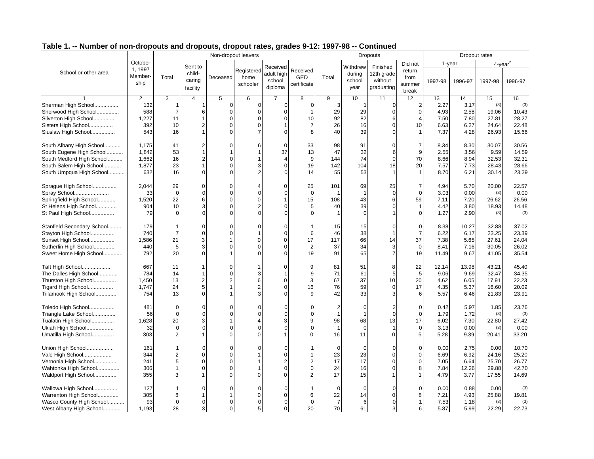|                            |                |                |                       |                | Non-dropout leavers |                |                |                |                         | <b>Dropouts</b> |                |         | Dropout rates |                |         |
|----------------------------|----------------|----------------|-----------------------|----------------|---------------------|----------------|----------------|----------------|-------------------------|-----------------|----------------|---------|---------------|----------------|---------|
|                            | October        |                |                       |                |                     |                |                |                |                         |                 | Did not        |         | 1-year        | $4$ -year $^2$ |         |
| School or other area       | 1, 1997        |                | Sent to<br>child-     |                | Registered          | Received       | Received       |                | Withdrew                | Finished        | return         |         |               |                |         |
|                            | Member-        | Total          | caring                | Deceased       | home                | adult high     | <b>GED</b>     | Total          | during                  | 12th grade      | from           |         |               |                |         |
|                            | ship           |                |                       |                | schooler            | school         | certificate    |                | school                  | without         | summer         | 1997-98 | 1996-97       | 1997-98        | 1996-97 |
|                            |                |                | facility <sup>1</sup> |                |                     | diploma        |                |                | year                    | graduating      | break          |         |               |                |         |
| $\mathbf{1}$               | $\overline{2}$ | 3              | $\overline{4}$        | 5              | 6                   | $\overline{7}$ | 8              | 9              | 10                      | 11              | 12             | 13      | 14            | 15             | 16      |
| Sherman High School        | 132            | 1              |                       | $\mathbf 0$    | $\Omega$            | 0              | $\mathbf 0$    | 3              |                         | $\mathbf 0$     | $\overline{2}$ | 2.27    | 3.17          | (3)            | (3)     |
| Sherwood High School       | 588            | $\overline{7}$ | 6                     | $\mathbf 0$    | 0                   | $\Omega$       | $\mathbf{1}$   | 29             | 29                      | $\mathbf 0$     | $\mathbf 0$    | 4.93    | 2.58          | 19.06          | 10.43   |
| Silverton High School      | 1,227          | 11             |                       | $\mathbf 0$    | $\Omega$            | $\Omega$       | 10             | 92             | 82                      | 6               | $\overline{4}$ | 7.50    | 7.80          | 27.81          | 28.27   |
| Sisters High School        | 392            | 10             | 2                     | $\mathbf 0$    | 0                   |                | $\overline{7}$ | 26             | 16                      | $\mathbf 0$     | 10             | 6.63    | 6.27          | 24.64          | 22.48   |
| Siuslaw High School        | 543            | 16             |                       | $\Omega$       | 7                   | $\Omega$       | 8              | 40             | 39                      | $\Omega$        | $\mathbf{1}$   | 7.37    | 4.28          | 26.93          | 15.66   |
| South Albany High School   | 1,175          | 41             | 2                     | $\Omega$       |                     | $\Omega$       | 33             | 98             | 91                      | $\Omega$        | $\overline{7}$ | 8.34    | 8.30          | 30.07          | 30.56   |
| South Eugene High School   | 1.842          | 53             |                       |                |                     | 37             | 13             | 47             | 32                      | 6               | 9              | 2.55    | 3.56          | 9.59           | 14.59   |
| South Medford High School  | 1,662          | 16             | $\overline{2}$        | $\mathsf{C}$   |                     |                | 9              | 144            | 74                      | $\mathbf 0$     | 70             | 8.66    | 8.94          | 32.53          | 32.31   |
| South Salem High School    | 1,877          | 23             |                       | $\Omega$       | 3                   | $\Omega$       | 19             | 142            | 104                     | 18              | 20             | 7.57    | 7.73          | 28.43          | 28.66   |
| South Umpqua High School   | 632            | 16             | $\Omega$              |                |                     |                | 14             | 55             | 53                      |                 |                | 8.70    | 6.21          | 30.14          | 23.39   |
| Sprague High School        | 2,044          | 29             | 0                     | $\mathbf 0$    |                     | 0              | 25             | 101            | 69                      | 25              | $\overline{7}$ | 4.94    | 5.70          | 20.00          | 22.57   |
| Spray School               | 33             | $\overline{0}$ | $\overline{0}$        | $\Omega$       | $\Omega$            | $\Omega$       | $\mathbf 0$    | -1             | $\overline{\mathbf{1}}$ | $\mathbf 0$     | $\overline{0}$ | 3.03    | 0.00          | (3)            | 0.00    |
| Springfield High School    | 1,520          | 22             | 6                     | $\mathbf 0$    | 0                   | 1              | 15             | 108            | 43                      | 6               | 59             | 7.11    | 7.20          | 26.62          | 26.56   |
| St Helens High School      | 904            | 10             | 3                     | $\Omega$       |                     | $\Omega$       | 5              | 40             | 39                      | $\Omega$        | $\overline{1}$ | 4.42    | 3.80          | 18.93          | 14.48   |
| St Paul High School        | 79             | $\Omega$       | $\Omega$              |                |                     |                |                |                | $\Omega$                |                 | $\Omega$       | 1.27    | 2.90          | (3)            | (3)     |
| Stanfield Secondary School | 179            |                | $\Omega$              | $\Omega$       |                     |                |                | 15             | 15                      | $\Omega$        | $\Omega$       | 8.38    | 10.27         | 32.88          | 37.02   |
| Stayton High School        | 740            | $\overline{7}$ | $\Omega$              | $\Omega$       |                     | $\Omega$       | 6              | 46             | 38                      | 1               | $\overline{7}$ | 6.22    | 6.17          | 23.25          | 23.39   |
| Sunset High School         | 1,586          | 21             | 3                     |                | 0                   | 0              | 17             | 117            | 66                      | 14              | 37             | 7.38    | 5.65          | 27.61          | 24.04   |
| Sutherlin High School      | 440            | 5              | 3                     | $\Omega$       | $\Omega$            | $\Omega$       | $\overline{2}$ | 37             | 34                      | 3               | $\mathbf 0$    | 8.41    | 7.16          | 30.05          | 26.02   |
| Sweet Home High School     | 792            | 20             | $\Omega$              |                |                     | $\Omega$       | 19             | 91             | 65                      | $\overline{7}$  | 19             | 11.49   | 9.67          | 41.05          | 35.54   |
| Taft High School           | 667            | 11             |                       | $\mathbf 0$    |                     | n              | 9              | 81             | 51                      | 8               | 22             | 12.14   | 13.98         | 43.21          | 45.40   |
| The Dalles High School     | 784            | 14             |                       | $\mathbf 0$    | 3                   |                | 9              | 71             | 61                      | 5               | 5              | 9.06    | 9.69          | 32.47          | 34.35   |
| Thurston High School       | 1,450          | 13             | $\overline{c}$        | $\overline{c}$ | 6                   | $\Omega$       | 3              | 67             | 37                      | 10              | 20             | 4.62    | 6.05          | 17.91          | 22.23   |
| Tigard High School         | 1,747          | 24             | 5                     |                | $\overline{2}$      | $\Omega$       | 16             | 76             | 59                      | $\Omega$        | 17             | 4.35    | 5.37          | 16.60          | 20.09   |
| Tillamook High School      | 754            | 13             | $\Omega$              |                |                     |                |                | 42             | 33                      | 3               | 6              | 5.57    | 6.46          | 21.83          | 23.91   |
| Toledo High School         | 481            | $\overline{0}$ | 0                     | $\Omega$       |                     | $\Omega$       | $\Omega$       | $\overline{2}$ | $\mathbf 0$             | $\overline{2}$  | $\mathbf 0$    | 0.42    | 5.97          | 1.85           | 23.76   |
| Triangle Lake School       | 56             | $\Omega$       | $\Omega$              |                |                     | $\Omega$       | $\Omega$       |                |                         | $\mathbf 0$     | $\overline{0}$ | 1.79    | 1.72          | (3)            | (3)     |
| Tualatin High School       | 1,628          | 20             | 3                     |                |                     | 3              | 9              | 98             | 68                      | 13              | 17             | 6.02    | 7.30          | 22.80          | 27.42   |
| Ukiah High School          | 32             | $\Omega$       | O                     | $\epsilon$     |                     | $\Omega$       | $\Omega$       |                | $\Omega$                | 1               | $\mathbf 0$    | 3.13    | 0.00          | (3)            | 0.00    |
| Umatilla High School       | 303            | $\overline{2}$ |                       | $\Omega$       | $\Omega$            |                | $\Omega$       | 16             | 11                      | $\Omega$        | 5              | 5.28    | 9.39          | 20.41          | 33.20   |
| Union High School          | 161            |                | $\Omega$              | $\Omega$       |                     | $\Omega$       |                | $\Omega$       | $\Omega$                | $\Omega$        | $\Omega$       | 0.00    | 2.75          | 0.00           | 10.70   |
| Vale High School           | 344            | $\overline{2}$ | $\Omega$              | $\Omega$       |                     | $\Omega$       | 1              | 23             | 23                      | $\Omega$        | $\mathbf 0$    | 6.69    | 6.92          | 24.16          | 25.20   |
| Vernonia High School       | 241            | 5              | $\Omega$              | $\mathbf 0$    |                     | $\overline{2}$ | $\overline{2}$ | 17             | 17                      | $\Omega$        | $\mathbf 0$    | 7.05    | 6.64          | 25.70          | 26.77   |
| Wahtonka High School       | 306            |                | $\Omega$              | $\Omega$       |                     | $\Omega$       | $\Omega$       | 24             | 16                      | $\Omega$        | 8              | 7.84    | 12.26         | 29.88          | 42.70   |
| Waldport High School       | 355            | 3              |                       | $\Omega$       | 0                   | 0              | $\overline{2}$ | 17             | 15                      | $\mathbf{1}$    | $\overline{1}$ | 4.79    | 3.77          | 17.55          | 14.69   |
| Wallowa High School        | 127            |                | O                     | $\Omega$       | O                   |                |                | $\mathbf 0$    | $\mathbf 0$             | $\Omega$        | $\Omega$       | 0.00    | 0.88          | 0.00           | (3)     |
| Warrenton High School      | 305            | 8              |                       | -1             | 0                   | 0              | 6              | 22             | 14                      | $\mathbf 0$     | 8              | 7.21    | 4.93          | 25.88          | 19.81   |
| Wasco County High School   | 93             | $\overline{0}$ | $\Omega$              | $\Omega$       | $\Omega$            | $\Omega$       | $\Omega$       | $\overline{7}$ | 6                       | $\mathbf{0}$    |                | 7.53    | 1.18          | (3)            | (3)     |
| West Albany High School    | 1,193          | 28             | $\mathbf{3}$          | $\mathbf 0$    | 5                   | 0              | 20             | 70             | 61                      | 3               | 6              | 5.87    | 5.99          | 22.29          | 22.73   |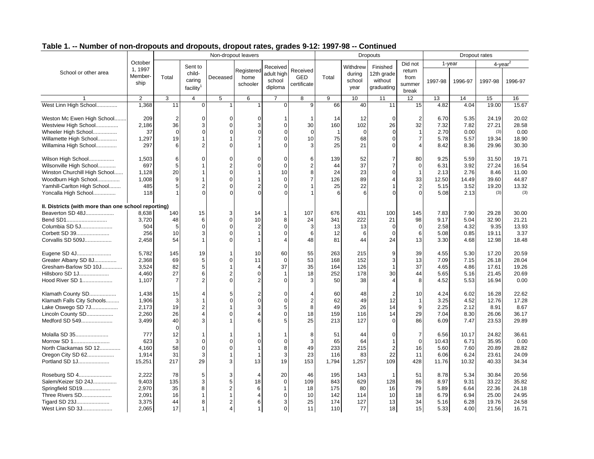| Table T. -- Number of non-dropouts and dropouts, dropout rates, grades 9-TZ. 1997-96 -- Continued |                            |       |                              |          |                                |                                 |                                |       |                          |                                     |                                   |         |         |               |
|---------------------------------------------------------------------------------------------------|----------------------------|-------|------------------------------|----------|--------------------------------|---------------------------------|--------------------------------|-------|--------------------------|-------------------------------------|-----------------------------------|---------|---------|---------------|
|                                                                                                   |                            |       |                              |          | Non-dropout leavers            |                                 |                                |       |                          | Dropouts                            |                                   |         |         | Dropout rates |
|                                                                                                   | October                    |       | Sent to                      |          |                                | Received                        |                                |       | Withdrew                 | Finished                            | Did not                           |         | -vear   |               |
| School or other area                                                                              | ., 1997<br>Member-<br>ship | Total | child-<br>carino<br>facility | Deceased | Registered<br>home<br>schooler | adult high<br>school<br>diploma | Received<br>GED<br>certificate | Total | durina<br>school<br>year | 12th grade<br>without<br>graduating | return<br>from<br>summer<br>break | 1997-98 | 1996-97 | 1997-9        |

|                                                     | October           |                | Sent to                          |                |                  | Received         |                           |                         | Withdrew    | Finished       | Did not               |         | 1-year       | $4$ -year $^2$ |                |
|-----------------------------------------------------|-------------------|----------------|----------------------------------|----------------|------------------|------------------|---------------------------|-------------------------|-------------|----------------|-----------------------|---------|--------------|----------------|----------------|
| School or other area                                | 1, 1997<br>Member |                | child-                           |                | Registered       | adult high       | Received                  |                         | during      | 12th grade     | return                |         |              |                |                |
|                                                     | ship              | Total          | caring                           | Deceased       | home<br>schooler | school           | <b>GED</b><br>certificate | Total                   | school      | without        | from<br>summer        | 1997-98 | 1996-97      | 1997-98        | 1996-97        |
|                                                     |                   |                | facility <sup>1</sup>            |                |                  | diploma          |                           |                         | year        | graduating     | break                 |         |              |                |                |
| -1                                                  | $\overline{2}$    | 3              | $\overline{4}$                   | 5              | 6                | $\overline{7}$   | 8                         | 9                       | 10          | 11             | 12                    | 13      | 14           | 15             | 16             |
| West Linn High School                               | 1,368             | 11             | $\mathbf 0$                      |                | $\mathbf{1}$     | $\overline{0}$   | 9                         | 66                      | 40          | 11             | 15                    | 4.82    | 4.04         | 19.00          | 15.67          |
| Weston Mc Ewen High School                          | 209               | $\overline{2}$ | $\mathbf 0$                      | $\Omega$       | $\mathbf 0$      |                  |                           | 14                      | 12          | $\mathbf 0$    | $\overline{2}$        | 6.70    | 5.35         | 24.19          | 20.02          |
| Westview High School                                | 2,186             | 36             | 3                                | $\Omega$       | 3                | $\mathbf 0$      | 30                        | 160                     | 102         | 26             | 32                    | 7.32    | 7.82         | 27.21          | 28.58          |
| Wheeler High School                                 | 37                | $\mathbf 0$    | $\mathbf{0}$                     | $\Omega$       | $\mathbf 0$      | $\mathbf 0$      | $\mathbf 0$               | $\overline{\mathbf{1}}$ | $\mathbf 0$ | $\sqrt{ }$     | $\mathbf{1}$          | 2.70    | 0.00         | (3)            | 0.00           |
| Willamette High School                              | 1,297             | 19             | $\mathbf{1}$                     |                | 7                | $\mathbf 0$      | 10                        | 75                      | 68          | $\mathbf 0$    | $\overline{7}$        | 5.78    | 5.57         | 19.34          | 18.90          |
| Willamina High School                               | 297               | 6              | $\overline{2}$                   | $\Omega$       |                  | $\Omega$         | 3                         | 25                      | 21          | $\mathbf 0$    | $\boldsymbol{\Delta}$ | 8.42    | 8.36         | 29.96          | 30.30          |
|                                                     |                   |                |                                  |                |                  |                  |                           |                         |             |                |                       |         |              |                |                |
| Wilson High School                                  | 1,503             | 6              | $\mathbf 0$                      | $\Omega$       | $\mathbf 0$      | $\mathbf 0$      | 6                         | 139                     | 52          | $\overline{7}$ | 80                    | 9.25    | 5.59         | 31.50          | 19.71          |
| Wilsonville High School                             | 697               | 5              | $\mathbf{1}$                     |                | $\mathbf 0$      | $\mathbf 0$      | $\overline{2}$            | 44                      | 37          | $\overline{7}$ | $\overline{0}$        | 6.31    | 3.92         | 27.24          | 16.54          |
| Winston Churchill High School                       | 1,128             | 20             | $\mathbf{1}$                     | $\Omega$       |                  | 10               | 8                         | 24                      | 23          | $\Omega$       | $\overline{1}$        | 2.13    | 2.76         | 8.46           | 11.00          |
| Woodburn High School                                | 1,008             | 9              | $\mathbf{1}$                     |                | $\mathbf 1$      | $\Omega$         | $\overline{7}$            | 126                     | 89          | $\overline{4}$ | 33                    | 12.50   | 14.49        | 39.60          | 44.87          |
| Yamhill-Carlton High School                         | 485               | 5              | $\overline{2}$                   |                | $\overline{2}$   | $\mathbf 0$      |                           | 25                      | 22          |                | $\overline{2}$        | 5.15    | 3.52         | 19.20          | 13.32          |
| Yoncalla High School                                | 118               | $\overline{1}$ | $\Omega$                         |                | $\Omega$         | $\Omega$         |                           | 6                       | 6           | $\sqrt{ }$     | $\Omega$              | 5.08    | 2.13         | (3)            | (3)            |
| II. Districts (with more than one school reporting) |                   |                |                                  |                |                  |                  |                           |                         |             |                |                       |         |              |                |                |
| Beaverton SD 48J                                    | 8,638             | 140            | 15                               | 3              | 14               | 1                | 107                       | 676                     | 431         | 100            | 145                   | 7.83    | 7.90         | 29.28          | 30.00          |
| Bend SD1                                            | 3,720             | 48             | 6                                | $\Omega$       | 10               | 8                | 24                        | 341                     | 222         | 21             | 98                    | 9.17    | 5.04         | 32.90          | 21.21          |
| Columbia SD 5J                                      | 504               | 5              | $\mathbf 0$                      | $\Omega$       | $\overline{2}$   | $\mathbf 0$      | 3                         | 13                      | 13          | $\Omega$       | $\mathbf 0$           | 2.58    | 4.32         | 9.35           | 13.93          |
| Corbett SD 39                                       | 256               | 10             | 3                                |                |                  | $\mathbf 0$      | 6                         | 12                      | 6           | $\mathbf 0$    | 6                     | 5.08    | 0.85         | 19.11          | 3.37           |
| Corvallis SD 509J                                   | 2,458             | 54             | $\overline{1}$                   |                |                  | $\overline{4}$   | 48                        | 81                      | 44          | 24             | 13                    | 3.30    | 4.68         | 12.98          | 18.48          |
| Eugene SD 4J                                        | 5.782             | 145            | 19                               |                | 10               | 60               | 55                        | 263                     | 215         | 9              | 39                    | 4.55    | 5.30         | 17.20          | 20.59          |
| Greater Albany SD 8J                                | 2,368             | 69             | 5                                | $\Omega$       | 11               | $\mathbf 0$      | 53                        | 168                     | 152         | 3              | 13                    | 7.09    | 7.15         | 26.18          | 28.04          |
| Gresham-Barlow SD 10J                               | 3,524             | 82             | 5                                |                | $\overline{4}$   | 37               | 35                        | 164                     | 126         | $\mathbf{1}$   | 37                    | 4.65    | 4.86         | 17.61          | 19.26          |
| Hillsboro SD 1J                                     | 4,460             | 27             | 6                                | $\overline{2}$ | $\mathbf 0$      | $\mathbf 1$      | 18                        | 252                     | 178         | 30             | 44                    | 5.65    | 5.16         | 21.45          | 20.69          |
| Hood River SD 1                                     | 1.107             | $\overline{7}$ | $\overline{c}$                   |                |                  | $\Omega$         | 3                         | 50                      | 38          | $\Delta$       | 8                     | 4.52    | 5.53         | 16.94          | 0.00           |
|                                                     |                   |                |                                  |                |                  |                  |                           |                         |             |                |                       |         |              |                |                |
| Klamath County SD                                   | 1,438             | 15             | $\overline{4}$                   |                | 2                | $\mathbf 0$      | $\overline{4}$            | 60                      | 48          | $\overline{2}$ | 10                    | 4.24    | 6.02         | 16.28          | 22.62          |
| Klamath Falls City Schools                          | 1,906             | 3              | 1                                | ∩              | $\mathbf{0}$     | $\Omega$         | $\overline{2}$            | 62                      | 49          | 12             | $\overline{1}$        | 3.25    | 4.52         | 12.76          | 17.28          |
| Lake Oswego SD 7J                                   | 2,173             | 19             | $\overline{c}$<br>$\overline{4}$ |                | 3                | 5                | 8                         | 49                      | 26          | 14             | 9                     | 2.25    | 2.12         | 8.91           | 8.67           |
| Lincoln County SD                                   | 2,260             | 26<br>40       | 3                                |                | 6                | $\mathbf 0$<br>5 | 18<br>25                  | 159                     | 116         | 14<br>$\Omega$ | 29<br>86              | 7.04    | 8.30<br>7.47 | 26.06<br>23.53 | 36.17<br>29.89 |
| Medford SD 549                                      | 3,499             | $\Omega$       |                                  |                |                  |                  |                           | 213                     | 127         |                |                       | 6.09    |              |                |                |
| Molalla SD 35                                       | 777               | 12             | $\mathbf{1}$                     |                |                  |                  | 8                         | 51                      | 44          | $\Omega$       | $\overline{7}$        | 6.56    | 10.17        | 24.82          | 36.61          |
| Morrow SD 1                                         | 623               | 3              | $\mathbf 0$                      | $\Omega$       | $\mathbf 0$      | $\mathbf 0$      | 3                         | 65                      | 64          | $\overline{1}$ | $\overline{0}$        | 10.43   | 6.71         | 35.95          | 0.00           |
| North Clackamas SD 12                               | 4,160             | 58             | $\mathbf 0$                      |                | $\mathbf{1}$     | 8                | 49                        | 233                     | 215         | $\overline{2}$ | 16                    | 5.60    | 7.60         | 20.89          | 28.82          |
| Oregon City SD 62                                   | 1,914             | 31             | 3                                |                | $\mathbf{1}$     | 3                | 23                        | 116                     | 83          | 22             | 11                    | 6.06    | 6.24         | 23.61          | 24.09          |
| Portland SD 1J                                      | 15,251            | 217            | 29                               |                | 13               | 19               | 153                       | 1,794                   | 1,257       | 109            | 428                   | 11.76   | 10.32        | 40.33          | 34.34          |
| Roseburg SD 4                                       | 2,222             | 78             | 5                                | 3              | $\overline{4}$   | 20               | 46                        | 195                     | 143         | $\overline{1}$ | 51                    | 8.78    | 5.34         | 30.84          | 20.56          |
| Salem/Keizer SD 24J                                 | 9,403             | 135            | 3                                | 5              | 18               | $\mathbf 0$      | 109                       | 843                     | 629         | 128            | 86                    | 8.97    | 9.31         | 33.22          | 35.82          |
| Springfield SD19                                    | 2,970             | 35             | 8                                | 2              | 6                | $\mathbf{1}$     | 18                        | 175                     | 80          | 16             | 79                    | 5.89    | 6.64         | 22.36          | 24.18          |
| Three Rivers SD                                     | 2.091             | 16             | $\mathbf{1}$                     |                | $\overline{4}$   | $\pmb{0}$        | 10                        | 142                     | 114         | 10             | 18                    | 6.79    | 6.94         | 25.00          | 24.95          |
| Tigard SD 23J                                       | 3,375             | 44             | 8                                | $\mathbf{2}$   | 6                | 3                | 25                        | 174                     | 127         | 13             | 34                    | 5.16    | 6.28         | 19.76          | 24.58          |
| West Linn SD 3J                                     | 2,065             | 17             | $\mathbf{1}$                     |                | 1                | $\mathbf 0$      | 11                        | 110                     | 77          | 18             | 15                    | 5.33    | 4.00         | 21.56          | 16.71          |
|                                                     |                   |                |                                  |                |                  |                  |                           |                         |             |                |                       |         |              |                |                |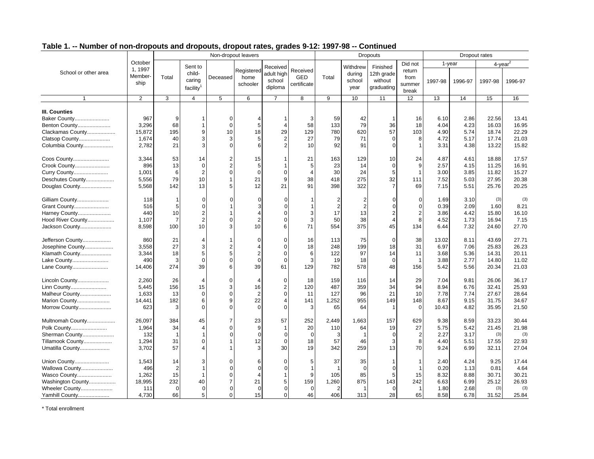|                      |                            | Non-dropout leavers |                                                      |                |                                |                                             |                                |                |                                      | <b>Dropouts</b>                                 |                                   |         |         | Dropout rates       |         |
|----------------------|----------------------------|---------------------|------------------------------------------------------|----------------|--------------------------------|---------------------------------------------|--------------------------------|----------------|--------------------------------------|-------------------------------------------------|-----------------------------------|---------|---------|---------------------|---------|
|                      | October                    |                     |                                                      |                |                                |                                             |                                |                |                                      |                                                 | Did not                           |         | 1-year  | 4-year <sup>4</sup> |         |
| School or other area | 1, 1997<br>Member-<br>ship | Total               | Sent to<br>child-<br>caring<br>facility <sup>1</sup> | Deceased       | Registered<br>home<br>schooler | Received<br>adult high<br>school<br>diploma | Received<br>GED<br>certificate | Total          | Withdrew<br>during<br>school<br>year | Finished<br>12th grade<br>without<br>graduating | return<br>from<br>summer<br>break | 1997-98 | 1996-97 | 1997-98             | 1996-97 |
| $\mathbf{1}$         | 2                          | 3                   | $\overline{4}$                                       | 5              | 6                              | $\overline{7}$                              | 8                              | 9              | 10 <sup>1</sup>                      | 11                                              | 12                                | 13      | 14      | 15                  | 16      |
| III. Counties        |                            |                     |                                                      |                |                                |                                             |                                |                |                                      |                                                 |                                   |         |         |                     |         |
| Baker County         | 967                        | 9                   |                                                      | $\Omega$       |                                |                                             | 3                              | 59             | 42                                   |                                                 | 16                                | 6.10    | 2.86    | 22.56               | 13.41   |
| Benton County        | 3,296                      | 68                  | 1                                                    | $\Omega$       | 5                              | 4                                           | 58                             | 133            | 79                                   | 36                                              | 18                                | 4.04    | 4.23    | 16.03               | 16.95   |
| Clackamas County     | 15,872                     | 195                 | 9                                                    | 10             | 18                             | 29                                          | 129                            | 780            | 620                                  | 57                                              | 103                               | 4.90    | 5.74    | 18.74               | 22.29   |
| Clatsop County       | 1,674                      | 40                  | 3                                                    | 3              | 5                              | 2                                           | 27                             | 79             | 71                                   | $\Omega$                                        | 8                                 | 4.72    | 5.17    | 17.74               | 21.03   |
| Columbia County      | 2,782                      | 21                  | 3                                                    | $\Omega$       | 6                              | $\overline{2}$                              | 10                             | 92             | 91                                   | $\Omega$                                        | $\overline{1}$                    | 3.31    | 4.38    | 13.22               | 15.82   |
|                      |                            |                     |                                                      |                |                                |                                             |                                |                |                                      |                                                 |                                   |         |         |                     |         |
| Coos County          | 3,344                      | 53                  | 14                                                   | $\overline{2}$ | 15                             |                                             | 21                             | 163            | 129                                  | 10                                              | 24                                | 4.87    | 4.61    | 18.88               | 17.57   |
| Crook County         | 896                        | 13                  | $\mathbf 0$                                          | $\overline{2}$ | 5                              |                                             | 5                              | 23             | 14                                   | $\mathbf 0$                                     | 9                                 | 2.57    | 4.15    | 11.25               | 16.91   |
| Curry County         | 1,001                      | 6                   | $\overline{2}$                                       | $\Omega$       | $\Omega$                       | $\Omega$                                    | $\overline{4}$                 | 30             | 24                                   | 5                                               | $\overline{1}$                    | 3.00    | 3.85    | 11.82               | 15.27   |
| Deschutes County     | 5,556                      | 79                  | 10                                                   |                | 21                             | 9                                           | 38                             | 418            | 275                                  | 32                                              | 111                               | 7.52    | 5.03    | 27.95               | 20.38   |
| Douglas County       | 5,568                      | 142                 | 13                                                   | 5              | 12                             | 21                                          | 91                             | 398            | 322                                  | $\overline{7}$                                  | 69                                | 7.15    | 5.51    | 25.76               | 20.25   |
|                      |                            |                     |                                                      |                |                                |                                             |                                |                |                                      |                                                 |                                   |         |         |                     |         |
| Gilliam County       | 118                        | 1                   | 0                                                    | O              | $\Omega$                       |                                             |                                | $\overline{2}$ | $\overline{2}$                       | $\Omega$                                        | $\overline{0}$                    | 1.69    | 3.10    | (3)                 | (3)     |
| Grant County         | 516                        | 5                   | $\Omega$                                             |                | 3                              | $\Omega$                                    | -1                             | $\overline{2}$ | $\overline{2}$                       | $\Omega$                                        | $\Omega$                          | 0.39    | 2.09    | 1.60                | 8.21    |
| Harney County        | 440                        | 10                  | 2                                                    |                | 4                              | $\Omega$                                    | 3                              | 17             | 13                                   | $\overline{2}$                                  | $\overline{2}$                    | 3.86    | 4.42    | 15.80               | 16.10   |
| Hood River County    | 1,107                      | 7                   | $\overline{2}$                                       | $\Omega$       | $\overline{2}$                 | $\Omega$                                    | 3                              | 50             | 38                                   | $\overline{4}$                                  | 8                                 | 4.52    | 1.73    | 16.94               | 7.15    |
| Jackson County       | 8,598                      | 100                 | 10                                                   | 3              | 10                             | 6                                           | 71                             | 554            | 375                                  | 45                                              | 134                               | 6.44    | 7.32    | 24.60               | 27.70   |
| Jefferson County     | 860                        | 21                  | 4                                                    |                | $\Omega$                       | $\Omega$                                    | 16                             | 113            | 75                                   | $\Omega$                                        | 38                                | 13.02   | 8.11    | 43.69               | 27.71   |
| Josephine County     | 3,558                      | 27                  | 3                                                    | $\overline{2}$ |                                | $\Omega$                                    | 18                             | 248            | 199                                  | 18                                              | 31                                | 6.97    | 7.06    | 25.83               | 26.23   |
| Klamath County       | 3,344                      | 18                  | 5                                                    | 5              | 2                              | $\Omega$                                    | 6                              | 122            | 97                                   | 14                                              | 11                                | 3.68    | 5.36    | 14.31               | 20.11   |
| Lake County          | 490                        | 3                   | 0                                                    | $\mathbf 0$    | 0                              | $\Omega$                                    | 3                              | 19             | 18                                   | $\mathbf 0$                                     | $\overline{1}$                    | 3.88    | 2.77    | 14.80               | 11.02   |
| Lane County          | 14,406                     | 274                 | 39                                                   | 6              | 39                             | 61                                          | 129                            | 782            | 578                                  | 48                                              | 156                               | 5.42    | 5.56    | 20.34               | 21.03   |
|                      |                            |                     |                                                      |                |                                |                                             |                                |                |                                      |                                                 |                                   |         |         |                     |         |
| Lincoln County       | 2,260                      | 26                  | 4                                                    | $\Omega$       | 4                              | $\Omega$                                    | 18                             | 159            | 116                                  | 14                                              | 29                                | 7.04    | 9.81    | 26.06               | 36.17   |
| Linn County          | 5,445                      | 156                 | 15                                                   | 3              | 16                             | $\overline{2}$                              | 120                            | 487            | 359                                  | 34                                              | 94                                | 8.94    | 6.76    | 32.41               | 25.93   |
| Malheur County       | 1.633                      | 13                  | $\mathbf 0$                                          | $\Omega$       | 2                              | $\Omega$                                    | 11                             | 127            | 96                                   | 21                                              | 10                                | 7.78    | 7.74    | 27.67               | 28.64   |
| Marion County        | 14,441                     | 182                 | 6                                                    | $\mathbf{q}$   | 22                             | 4                                           | 141                            | 1,252          | 955                                  | 149                                             | 148                               | 8.67    | 9.15    | 31.75               | 34.67   |
| Morrow County        | 623                        | 3                   | 0                                                    | $\Omega$       | $\Omega$                       | $\Omega$                                    | 3                              | 65             | 64                                   | -1                                              | $\Omega$                          | 10.43   | 4.82    | 35.95               | 21.50   |
| Multnomah County     | 26.097                     | 384                 | 45                                                   | $\overline{7}$ | 23                             | 57                                          | 252                            | 2,449          | 1,663                                | 157                                             | 629                               | 9.38    | 8.59    | 33.23               | 30.44   |
| Polk County          | 1,964                      | 34                  | $\overline{4}$                                       | $\Omega$       | 9                              | $\mathbf 1$                                 | 20                             | 110            | 64                                   | 19                                              | 27                                | 5.75    | 5.42    | 21.45               | 21.98   |
| Sherman County       | 132                        | -1                  | 1                                                    | 0              | $\mathbf 0$                    | $\Omega$                                    | $\mathbf 0$                    | 3              | -1                                   | $\mathbf 0$                                     | $\overline{2}$                    | 2.27    | 3.17    | (3)                 | (3)     |
| Tillamook County     | 1,294                      | 31                  | 0                                                    |                | 12                             | $\Omega$                                    | 18                             | 57             | 46                                   | 3                                               | 8                                 | 4.40    | 5.51    | 17.55               | 22.93   |
| Umatilla County      | 3,702                      | 57                  | 4                                                    |                | 3                              | 30                                          | 19                             | 342            | 259                                  | 13                                              | 70                                | 9.24    | 6.99    | 32.11               | 27.04   |
|                      |                            |                     |                                                      |                |                                |                                             |                                |                |                                      |                                                 |                                   |         |         |                     |         |
| Union County         | 1,543                      | 14                  | 3                                                    | $\Omega$       |                                |                                             | 5                              | 37             | 35                                   | $\mathbf 1$                                     | $\overline{1}$                    | 2.40    | 4.24    | 9.25                | 17.44   |
| Wallowa County       | 496                        | $\overline{2}$      |                                                      |                | $\Omega$                       | $\Omega$                                    | $\mathbf 1$                    |                | $\Omega$                             | $\Omega$                                        |                                   | 0.20    | 1.13    | 0.81                | 4.64    |
| Wasco County         | 1.262                      | 15                  |                                                      | C              | 4                              |                                             | 9                              | 105            | 85                                   | 5                                               | 15                                | 8.32    | 8.88    | 30.71               | 30.21   |
| Washington County    | 18,995                     | 232                 | 40                                                   | $\overline{7}$ | 21                             | 5                                           | 159                            | 1,260          | 875                                  | 143                                             | 242                               | 6.63    | 6.99    | 25.12               | 26.93   |
| Wheeler County       | 111                        | 0                   | $\overline{0}$                                       | O              | 0                              | $\Omega$                                    | 0                              | $\overline{2}$ |                                      | $\mathbf 0$                                     | -1                                | 1.80    | 2.68    | (3)                 | (3)     |
| Yamhill County       | 4,730                      | 66                  | 5                                                    | $\Omega$       | 15                             | $\Omega$                                    | 46                             | 406            | 313                                  | 28                                              | 65                                | 8.58    | 6.78    | 31.52               | 25.84   |

\* Total enrollment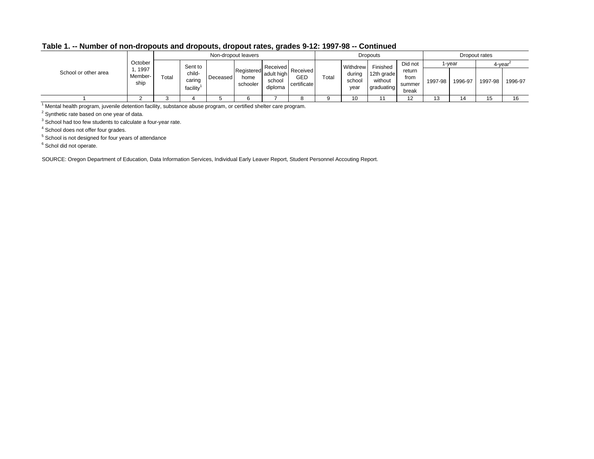|                      |                         |       |                              |          | Non-dropout leavers            |                                 |                                       |       |                          | Dropouts                            |                                   |         |         | Dropout rates |         |
|----------------------|-------------------------|-------|------------------------------|----------|--------------------------------|---------------------------------|---------------------------------------|-------|--------------------------|-------------------------------------|-----------------------------------|---------|---------|---------------|---------|
|                      | October                 |       | Sent to                      |          |                                | Received                        |                                       |       | Withdrew                 | Finished                            | Did not                           |         | l-year  | 4-year'       |         |
| School or other area | 1997<br>Member-<br>ship | Total | child-<br>caring<br>facility | Deceased | Registered<br>home<br>schooler | adult high<br>school<br>diploma | Received<br><b>GED</b><br>certificate | Total | during<br>school<br>year | 12th grade<br>without<br>graduating | return<br>from<br>summer<br>break | 1997-98 | 1996-97 | 1997-98       | 1996-97 |
|                      |                         |       |                              |          |                                |                                 |                                       |       |                          |                                     |                                   |         |         | 15            | 16      |

1 Mental health program, juvenile detention facility, substance abuse program, or certified shelter care program.

<sup>2</sup> Synthetic rate based on one year of data.

<sup>3</sup> School had too few students to calculate a four-year rate.

4 School does not offer four grades.

5 School is not designed for four years of attendance

<sup>6</sup> Schol did not operate.

SOURCE: Oregon Department of Education, Data Information Services, Individual Early Leaver Report, Student Personnel Accouting Report.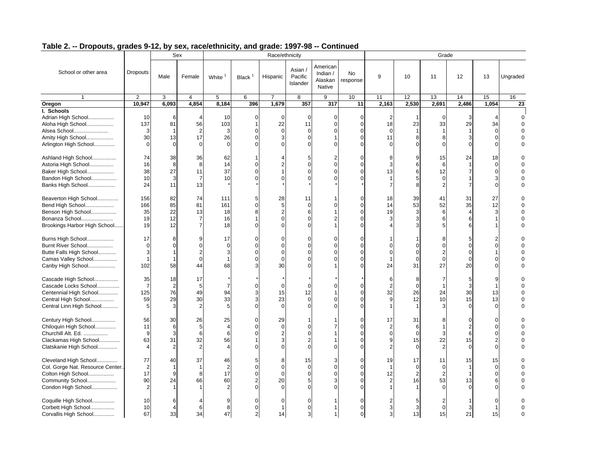|                                                                                                                          |                                        |                                       | Sex                                                  |                                  |                                                                    | Race/ethnicity                       |                                                       |                                           |                       |                     |                                        | Grade                                                 |                                                   |                                                   |                      |
|--------------------------------------------------------------------------------------------------------------------------|----------------------------------------|---------------------------------------|------------------------------------------------------|----------------------------------|--------------------------------------------------------------------|--------------------------------------|-------------------------------------------------------|-------------------------------------------|-----------------------|---------------------|----------------------------------------|-------------------------------------------------------|---------------------------------------------------|---------------------------------------------------|----------------------|
| School or other area                                                                                                     | Dropouts                               | Male                                  | Female                                               | White                            | Black <sup>1</sup>                                                 | Hispanic                             | Asian /<br>Pacific<br>Islander                        | American<br>Indian /<br>Alaskan<br>Native | <b>No</b><br>response | 9                   | 10                                     | 11                                                    | 12                                                | 13                                                | Ungraded             |
| $\mathbf{1}$                                                                                                             | 2                                      | 3                                     | $\overline{4}$                                       | 5                                | 6                                                                  | $\overline{7}$                       | 8                                                     | 9                                         | 10                    | 11                  | 12                                     | 13                                                    | 14                                                | 15                                                | 16                   |
| Oregon                                                                                                                   | 10,947                                 | 6,093                                 | 4,854                                                | 8,184                            | 396                                                                | 1,679                                | 357                                                   | 317                                       | 11                    | 2,163               | 2,530                                  | 2,691                                                 | 2,486                                             | 1,054                                             | 23                   |
| I. Schools<br>Adrian High School<br>Aloha High School<br>Alsea School<br>Amity High School<br>Arlington High School      | 10<br>137<br>3<br>30<br>$\mathbf 0$    | 6<br>81<br>1<br>13<br>$\Omega$        | 56<br>$\overline{2}$<br>17<br>$\Omega$               | 10<br>103<br>3<br>26<br>$\Omega$ | $\mathbf 0$<br>$\mathbf{1}$<br>$\Omega$<br>$\mathbf 0$<br>$\Omega$ | $\Omega$<br>22<br>$\Omega$           | $\mathbf 0$<br>11<br>$\Omega$<br>$\Omega$<br>$\Omega$ | $\Omega$<br>$\Omega$                      | $\Omega$<br>$\Omega$  | 18<br>11            | 23<br>8<br>$\Omega$                    | $\Omega$<br>33<br>8<br>$\Omega$                       | 3<br>29<br>3<br>$\Omega$                          | 34<br>$\Omega$<br>$\Omega$<br>$\Omega$            | $\Omega$<br>$\Omega$ |
| Ashland High School<br>Astoria High School<br>Baker High School<br>Bandon High School<br>Banks High School               | 74<br>16<br>38<br>10<br>24             | 38<br>8<br>27<br>3<br>11              | 36<br>8<br>11<br>$\overline{7}$<br>13                | 62<br>14<br>37<br>10             | $\Omega$<br>$\Omega$<br>$\mathbf 0$                                |                                      | 5<br>$\Omega$<br>$\Omega$                             |                                           | $\Omega$<br>$\Omega$  | 8<br>3<br>13        | 9<br>6<br>6<br>5<br>8                  | 15<br>6<br>12<br>$\mathbf 0$<br>$\overline{2}$        | 24<br>7                                           | 18<br>0<br>$\Omega$<br>3<br>$\Omega$              |                      |
| Beaverton High School<br>Bend High School<br>Benson High School<br>Bonanza School<br>Brookings Harbor High School        | 156<br>166<br>35<br>19<br>19           | 82<br>85<br>22<br>12<br>12            | 74<br>81<br>13<br>$\overline{7}$<br>$\overline{7}$   | 111<br>161<br>18<br>16<br>18     | 5<br>$\Omega$<br>8<br>$\Omega$                                     | 28<br>5                              | 11<br>$\Omega$<br>6                                   |                                           | $\Omega$<br>$\Omega$  | 18<br>14<br>19<br>3 | 39<br>53<br>3<br>3                     | 41<br>52<br>6<br>6<br>5                               | 31<br>35<br>4<br>6<br>6                           | 27<br>12<br>3<br>1                                | $\Omega$             |
| Burns High School<br>Burnt River School<br>Butte Falls High School<br>Camas Valley School<br>Canby High School           | 17<br>0<br>3<br>$\mathbf{1}$<br>102    | 8<br>$\Omega$<br>$\mathbf 1$<br>58    | 9<br>$\Omega$<br>$\overline{2}$<br>$\mathbf 0$<br>44 | 17<br>$\mathbf 0$<br>3<br>68     | $\Omega$<br>$\Omega$<br>$\mathbf 0$<br>$\Omega$<br>3               | C<br>$\Omega$<br>$\Omega$<br>30      | $\Omega$<br>O                                         |                                           | $\Omega$              | 24                  | $\Omega$<br>$\Omega$<br>$\Omega$<br>31 | 8<br>0<br>$\overline{2}$<br>$\mathbf 0$<br>27         | 5<br>$\Omega$<br>0<br>$\Omega$<br>20              | $\Omega$<br>1<br>$\Omega$<br>$\Omega$             | $\Omega$             |
| Cascade High School<br>Cascade Locks School<br>Centennial High School<br>Central High School<br>Central Linn High School | 35<br>$\overline{7}$<br>125<br>59<br>5 | 18<br>$\overline{2}$<br>76<br>29<br>3 | 17<br>5<br>49<br>30<br>$\overline{2}$                | 94<br>33<br>5                    | $\Omega$<br>3<br>3<br>$\Omega$                                     | $\Omega$<br>15<br>23<br>$\Omega$     | $\Omega$<br>12<br>$\Omega$                            |                                           | 0                     | 6<br>2<br>32        | 8<br>$\Omega$<br>26<br>12              | $\overline{7}$<br>$\overline{\mathbf{1}}$<br>24<br>10 | 5<br>3<br>30<br>15<br>$\Omega$                    | 1<br>13<br>13<br>$\Omega$                         |                      |
| Century High School<br>Chiloquin High School<br>Churchill Alt. Ed.<br>Clackamas High School<br>Clatskanie High School    | 56<br>11<br>9<br>63<br>$\overline{4}$  | 30<br>6<br>3<br>31                    | 26<br>5<br>6<br>32<br>$\overline{2}$                 | 25<br>$\overline{4}$<br>6<br>56  | $\mathbf 0$<br>$\Omega$<br>$\Omega$<br>$\sqrt{ }$                  | 29<br>$\Omega$<br>3                  | $\Omega$                                              |                                           | $\Omega$<br>$\Omega$  | 17<br>2             | 31<br>6<br>$\Omega$<br>15<br>$\Omega$  | 8<br>3<br>22<br>$\overline{2}$                        | $\Omega$<br>$\overline{2}$<br>6<br>15<br>$\Omega$ | $\Omega$<br>$\Omega$<br>$\Omega$<br>2<br>$\Omega$ |                      |
| Cleveland High School<br>Col. Gorge Nat. Resource Center<br>Colton High School<br>Community School<br>Condon High School | 77<br>$\overline{2}$<br>17<br>90       | 40<br>$\mathbf{1}$<br>9<br>24         | 37<br>$\mathbf{1}$<br>8<br>66                        | 46<br>2<br>17<br>60<br>2         | 5<br>$\Omega$<br>$\mathbf 0$<br>$\overline{2}$<br>$\Omega$         | 8<br>C<br>$\Omega$<br>20<br>$\Omega$ | 15<br>$\Omega$                                        |                                           | $\Omega$<br>$\Omega$  | 19<br>12            | 17<br>$\Omega$<br>$\overline{2}$<br>16 | 11<br>$\mathbf 0$<br>$\overline{2}$<br>53<br>$\Omega$ | 15<br>13<br>$\Omega$                              | 15<br>0<br>$\mathbf 0$<br>6<br>$\Omega$           | $\Omega$             |
| Coquille High School<br>Corbett High School<br>Corvallis High School                                                     | 10<br>10<br>67                         | $\overline{4}$<br>33                  | 6<br>34                                              | 9<br>8<br>47                     | $\Omega$<br>$\Omega$<br>$\overline{2}$                             | 14                                   | $\Omega$                                              |                                           | 0                     | 3<br>3              | 3<br>13                                | $\mathbf 0$<br>15                                     | 3<br>21                                           | $\Omega$<br>15                                    | $\Omega$             |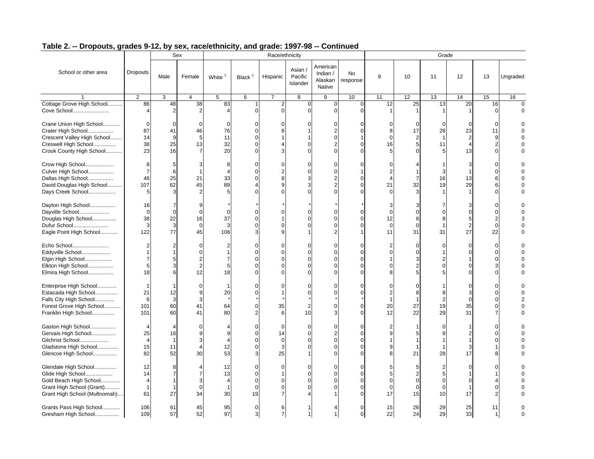|                                                                                                                                   |                                                           |                                                           | Sex                                                            |                                  |                                                               | Race/ethnicity                        |                                |                                           |                                  |                         |                                      | Grade                                       |                                              |                                                                   |                      |
|-----------------------------------------------------------------------------------------------------------------------------------|-----------------------------------------------------------|-----------------------------------------------------------|----------------------------------------------------------------|----------------------------------|---------------------------------------------------------------|---------------------------------------|--------------------------------|-------------------------------------------|----------------------------------|-------------------------|--------------------------------------|---------------------------------------------|----------------------------------------------|-------------------------------------------------------------------|----------------------|
| School or other area                                                                                                              | <b>Dropouts</b>                                           | Male                                                      | Female                                                         | White <sup>1</sup>               | Black $1$                                                     | Hispanic                              | Asian /<br>Pacific<br>Islander | American<br>Indian /<br>Alaskan<br>Native | <b>No</b><br>response            | 9                       | 10                                   | 11                                          | 12                                           | 13                                                                | Ungraded             |
|                                                                                                                                   | 2                                                         | 3                                                         | $\overline{4}$                                                 | 5                                | 6                                                             | $\overline{7}$                        | 8                              | 9                                         | 10                               | 11                      | 12                                   | 13                                          | 14                                           | 15                                                                | 16                   |
| Cottage Grove High School<br>Cove School                                                                                          | 86<br>$\overline{4}$                                      | 48<br>$\overline{2}$                                      | 38<br>2                                                        | 83                               | $\Omega$                                                      | $\overline{2}$<br>$\Omega$            | $\Omega$<br>$\Omega$           | $\mathbf{0}$<br>$\Omega$                  | $\mathbf{0}$<br>$\Omega$         | 12                      | 25                                   | 13                                          | 20                                           | 16                                                                | $\Omega$             |
| Crane Union High School<br>Crater High School<br>Crescent Valley High School<br>Creswell High School<br>Crook County High School  | 0<br>87<br>14<br>38<br>23                                 | $\Omega$<br>41<br>9<br>25<br>16                           | 46<br>5<br>13<br>$\overline{7}$                                | $\Omega$<br>76<br>11<br>32<br>20 | $\Omega$<br>$\Omega$<br>$\Omega$<br>$\mathbf 0$<br>$\sqrt{ }$ |                                       | $\Omega$                       | $\Omega$<br>2                             | $\Omega$                         | 8<br>16                 | $\Omega$<br>17<br>2<br>5             | $\Omega$<br>28<br>11<br>5                   | $\Omega$<br>23<br>2<br>$\overline{4}$<br>13  | U<br>11<br>9<br>$\overline{c}$<br>$\Omega$                        |                      |
| Crow High School<br>Culver High School<br>Dallas High School<br>David Douglas High School<br>Days Creek School                    | 8<br>$\overline{7}$<br>46<br>107<br>5                     | 5<br>6<br>25<br>62<br>3                                   | 3<br>$\mathbf{1}$<br>21<br>45                                  | 8<br>33<br>89                    | $\Omega$<br>$\Omega$<br>$\Omega$<br>$\Delta$<br>$\sqrt{2}$    | $\Omega$                              | $\Omega$                       |                                           | $\Omega$<br>∩                    | 21                      | 32<br>3                              | 3<br>16<br>19                               | 3<br>13<br>29                                | $\Omega$<br>$\Omega$<br>6<br>6<br>$\Omega$                        |                      |
| Dayton High School<br>Dayville School<br>Douglas High School<br>Dufur School<br>Eagle Point High School                           | 16<br>$\mathbf 0$<br>38<br>3<br>122                       | 7<br>$\mathbf 0$<br>22<br>3<br>77                         | 9<br>$\mathbf 0$<br>16<br>$\mathbf 0$<br>45                    | $\Omega$<br>37<br>106            | $\Omega$<br>$\Omega$<br>$\Omega$<br>3                         |                                       |                                |                                           |                                  | 12<br>$\mathbf 0$<br>11 | $\Omega$<br>8<br>$\Omega$<br>31      | 0<br>8<br>31                                | 3<br>$\Omega$<br>5<br>$\overline{2}$<br>27   | $\Omega$<br>$\Omega$<br>2<br>0<br>22                              | $\Omega$<br>$\Omega$ |
| Echo School<br>Eddyville School<br>Elgin High School<br>Elkton High School<br>Elmira High School                                  | 2<br>1<br>5<br>18                                         | $\overline{2}$<br>1<br>5<br>3<br>6                        | $\Omega$<br>$\Omega$<br>$\overline{2}$<br>$\overline{2}$<br>12 | 2<br>5<br>18                     | $\Omega$<br>$\mathbf 0$<br>$\Omega$<br>$\Omega$<br>$\Omega$   | $\Omega$                              | $\Omega$                       |                                           | 0                                |                         | $\Omega$<br>$\Omega$<br>3<br>2       | $\Omega$<br>$\overline{2}$<br>0<br>5        | $\Omega$<br>$\Omega$<br>$\Omega$<br>$\Omega$ | $\Omega$<br>0<br>$\Omega$<br>$\Omega$                             |                      |
| Enterprise High School<br>Estacada High School<br>Falls City High School<br>Forest Grove High School<br>Franklin High School      | $\mathbf 1$<br>21<br>6<br>101<br>101                      | 12<br>3<br>60<br>60                                       | $\Omega$<br>9<br>3<br>41<br>41                                 | 20<br>64<br>80                   | $\Omega$<br>$\Omega$<br>$\mathbf 0$<br>$\mathcal{P}$          | 35<br>6                               | O<br>$\overline{2}$<br>10      | U                                         | $\Omega$<br>0                    | 20<br>12                | 8<br>27<br>22                        | 8<br>2<br>19<br>29                          | $\Omega$<br>3<br>$\Omega$<br>35<br>31        | $\Omega$<br>$\Omega$<br>$\Omega$<br>$\mathbf 0$<br>$\overline{7}$ | $\Omega$             |
| Gaston High School<br>Gervais High School<br>Gilchrist School<br>Gladstone High School<br>Glencoe High School                     | 25<br>$\overline{4}$<br>15<br>82                          | 16<br>$\mathbf{1}$<br>11<br>52                            | O<br>$\mathbf{q}$<br>3<br>$\overline{4}$<br>30                 | 9<br>12<br>53                    | $\Omega$<br>$\Omega$<br>$\Omega$<br>$\Omega$<br>3             | $\Omega$<br>14<br>$\Omega$<br>3<br>25 | $\Omega$<br>$\Omega$           |                                           | $\Omega$<br>$\Omega$<br>$\Omega$ |                         | 21                                   | $\Omega$<br>9<br>28                         | $\overline{2}$<br>3<br>17                    | $\Omega$<br>$\Omega$<br>$\Omega$<br>1<br>8                        |                      |
| Glendale High School<br>Glide High School<br>Gold Beach High School<br>Grant High School (Grant)<br>Grant High School (Multnomah) | 12<br>14<br>$\overline{\mathbf{4}}$<br>$\mathbf{1}$<br>61 | 8<br>$\overline{7}$<br>$\mathbf{1}$<br>$\mathbf{1}$<br>27 | $\overline{4}$<br>$\overline{7}$<br>3<br>$\mathbf 0$<br>34     | 12<br>13<br>$\overline{4}$<br>30 | $\Omega$<br>$\Omega$<br>$\mathbf 0$<br>$\mathbf 0$<br>19      | $\Omega$<br>$\Omega$                  | $\Omega$<br>$\Omega$           |                                           | $\Omega$                         | $\Omega$<br>0<br>17     | 5<br>2<br>$\Omega$<br>$\Omega$<br>15 | 2<br>5<br>$\mathbf{0}$<br>$\mathbf 0$<br>10 | $\Omega$<br>$\mathbf{O}$<br>17               | $\Omega$<br>4<br>$\Omega$                                         |                      |
| Grants Pass High School<br>Gresham High School                                                                                    | 106<br>109                                                | 61<br>57                                                  | 45<br>52                                                       | 95<br>97                         | $\mathbf 0$<br>3                                              | 6<br>$\overline{7}$                   |                                |                                           | $\Omega$                         | 15<br>22                | 26<br>24                             | 29<br>29                                    | 25<br>33                                     | 11<br>$\mathbf{1}$                                                | $\Omega$             |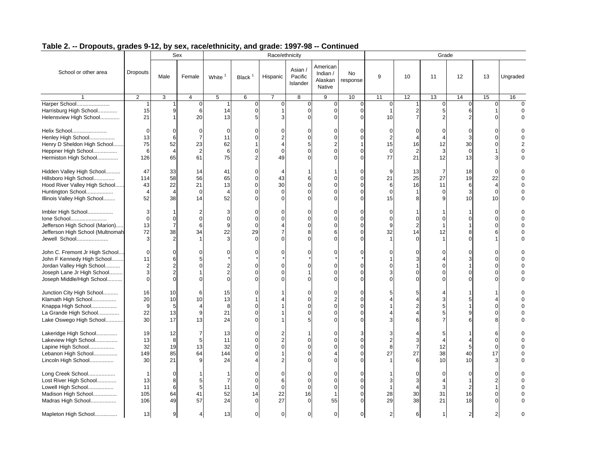|                                                                                                                                                      |                                                        |                                                               | Sex                                                      |                                        |                                                                      | Race/ethnicity                             |                                             |                                           |                                       |                      |                                              | Grade                                          |                                             |                                                             |                      |
|------------------------------------------------------------------------------------------------------------------------------------------------------|--------------------------------------------------------|---------------------------------------------------------------|----------------------------------------------------------|----------------------------------------|----------------------------------------------------------------------|--------------------------------------------|---------------------------------------------|-------------------------------------------|---------------------------------------|----------------------|----------------------------------------------|------------------------------------------------|---------------------------------------------|-------------------------------------------------------------|----------------------|
| School or other area                                                                                                                                 | <b>Dropouts</b>                                        | Male                                                          | Female                                                   | White <sup>1</sup>                     | Black <sup>1</sup>                                                   | Hispanic                                   | Asian /<br>Pacific<br>Islander              | American<br>Indian /<br>Alaskan<br>Native | No<br>response                        | 9                    | 10                                           | 11                                             | 12                                          | 13                                                          | Ungraded             |
|                                                                                                                                                      | $\overline{2}$                                         | 3                                                             | $\overline{4}$                                           | 5                                      | 6                                                                    | $\overline{7}$                             | 8                                           | 9                                         | 10                                    | 11                   | 12                                           | 13                                             | 14                                          | 15                                                          | 16                   |
| Harper School<br>Harrisburg High School<br>Helensview High School                                                                                    | 1<br>15<br>21                                          | 9<br>1                                                        | $\Omega$<br>6<br>20                                      | 14<br>13                               | $\mathbf 0$<br>$\mathbf 0$<br>5                                      | $\Omega$                                   | $\mathbf 0$<br>$\Omega$<br>$\Omega$         | $\Omega$<br>$\Omega$                      | $\mathbf{0}$<br>$\Omega$<br>$\Omega$  | $\Omega$<br>10       | $\overline{2}$<br>$\overline{7}$             | $\Omega$<br>5 <sub>l</sub><br>$\mathfrak{p}$   | $\Omega$<br>6<br>$\mathcal{P}$              | $\Omega$                                                    | $\Omega$             |
| Helix School<br>Henley High School<br>Henry D Sheldon High School<br>Heppner High School<br>Hermiston High School                                    | $\mathbf 0$<br>13<br>75<br>6<br>126                    | $\Omega$<br>6<br>52<br>$\overline{4}$<br>65                   | $\Omega$<br>$\overline{7}$<br>23<br>$\overline{2}$<br>61 | $\Omega$<br>11<br>62<br>6<br>75        | $\Omega$<br>$\Omega$<br>$\Omega$<br>$\overline{2}$                   | C<br>$\Omega$<br>49                        | $\Omega$<br>$\Omega$                        |                                           | ∩                                     | 15<br>$\Omega$<br>77 | $\Omega$<br>16<br>$\overline{2}$<br>21       | $\mathbf 0$<br>12<br>3<br>12                   | 0<br>3<br>30<br>$\Omega$<br>13              | O<br>$\Omega$<br>$\Omega$<br>1<br>3                         | $\Omega$             |
| Hidden Valley High School<br>Hillsboro High School<br>Hood River Valley High School<br>Huntington School<br>Illinois Valley High School              | 47<br>114<br>43<br>$\overline{4}$<br>52                | 33<br>58<br>22<br>$\overline{4}$<br>38                        | 14<br>56<br>21<br>$\overline{0}$<br>14                   | 41<br>65<br>13<br>$\overline{4}$<br>52 | $\mathbf 0$<br>$\mathbf 0$<br>$\overline{0}$<br>$\Omega$<br>$\Omega$ | $\Delta$<br>43<br>30<br>$\Omega$<br>$\cap$ | 6<br>$\Omega$<br>$\Omega$                   |                                           | $\Omega$<br>$\Omega$<br>$\Omega$<br>0 | 9<br>21<br>6<br>15   | 13<br>25<br>16<br>1<br>8                     | $\overline{7}$<br>27<br>11<br>$\mathbf 0$<br>9 | 18<br>19<br>6<br>3<br>10                    | 0<br>22<br>$\overline{4}$<br>$\mathbf 0$<br>10              | $\Omega$<br>$\Omega$ |
| Imbler High School<br>Ione School<br>Jefferson High School (Marion)<br>Jefferson High School (Multnomah<br>Jewell School                             | 3<br>$\mathbf 0$<br>13<br>72<br>3                      | 1<br>$\mathbf 0$<br>$\overline{7}$<br>38<br>$\overline{2}$    | $\overline{2}$<br>$\mathbf 0$<br>6<br>34                 | 3<br>$\Omega$<br>9<br>22<br>3          | $\Omega$<br>$\mathbf 0$<br>$\mathbf 0$<br>29<br>$\Omega$             | $\Omega$                                   | $\Omega$<br>$\Omega$<br>$\Omega$            |                                           | $\Omega$<br>$\Omega$<br>$\Omega$      | 9<br>32              | $\Omega$<br>$\overline{2}$<br>14<br>$\Omega$ | $\mathbf 0$<br>12                              | $\Omega$<br>8<br>$\Omega$                   | $\Omega$<br>$\Omega$<br>$\Omega$<br>6                       |                      |
| John C. Fremont Jr High School<br>John F Kennedy High School<br>Jordan Valley High School<br>Joseph Lane Jr High School<br>Joseph Middle/High School | $\mathbf 0$<br>11<br>$\sqrt{2}$<br>3<br>$\overline{0}$ | $\Omega$<br>6<br>$\overline{2}$<br>$\overline{2}$<br>$\Omega$ |                                                          | $\mathfrak{p}$                         | $\Omega$<br>$\Omega$<br>$\Omega$<br>$\sqrt{2}$                       |                                            | $\Omega$                                    |                                           |                                       |                      | ∩<br>3<br>$\Omega$                           | $\Omega$<br>4<br>$\Omega$<br>0<br>$\Omega$     | $\Omega$<br>3<br>$\overline{0}$<br>$\Omega$ | $\Omega$<br>$\Omega$<br>$\Omega$<br>$\mathbf 0$<br>$\Omega$ |                      |
| Junction City High School<br>Klamath High School<br>Knappa High School<br>La Grande High School<br>Lake Oswego High School                           | 16<br>20<br>9<br>22<br>30                              | 10<br>10<br>5<br>13<br>17                                     | 6<br>10<br>$\overline{4}$<br>9<br>13                     | 15<br>13<br>8<br>21<br>24              | $\Omega$<br>$\Omega$<br>$\Omega$<br>$\Omega$                         |                                            |                                             |                                           | ∩<br>$\Omega$                         |                      | 5<br>2                                       | 4<br>3<br>5<br>5<br>7                          | 5<br>9<br>6                                 | 4<br>$\Omega$<br>$\Omega$<br>$\mathsf{R}$                   |                      |
| Lakeridge High School<br>Lakeview High School<br>Lapine High School<br>Lebanon High School<br>Lincoln High School                                    | 19<br>13<br>32<br>149<br>30                            | 12<br>8<br>19<br>85<br>21                                     | 7<br>5<br>13<br>64                                       | 13<br>11<br>32<br>144<br>24            | $\Omega$<br>$\Omega$<br>$\Omega$<br>$\Omega$                         |                                            | $\Omega$                                    |                                           | ∩<br>$\Omega$                         | 8<br>27              | 3<br>$\overline{7}$<br>27<br>6               | 12<br>38<br>10                                 | 5<br>40<br>10                               | 6<br>0<br>$\mathbf 0$<br>17<br>3                            |                      |
| Long Creek School<br>Lost River High School<br>Lowell High School<br>Madison High School<br>Madras High School                                       | -1<br>13<br>11<br>105<br>106                           | $\Omega$<br>8<br>$6\phantom{1}6$<br>64<br>49                  | 5<br>5<br>41<br>57                                       | $\overline{7}$<br>11<br>52<br>24       | $\Omega$<br>$\mathbf 0$<br>$\mathbf 0$<br>14<br>$\Omega$             | 6<br>$\sqrt{ }$<br>22<br>27                | $\Omega$<br>O<br>$\Omega$<br>16<br>$\Omega$ | 55                                        | ∩<br>$\Omega$<br>$\Omega$             | 28<br>29             | $\Omega$<br>3<br>30<br>38                    | $\Omega$<br>4<br>3<br>31<br>21                 | $\Omega$<br>$\overline{2}$<br>16<br>18      | $\Omega$<br>$\overline{2}$<br>$\mathbf{1}$<br>0<br>$\Omega$ | $\Omega$             |
| Mapleton High School                                                                                                                                 | 13                                                     | 9                                                             | 4                                                        | 13                                     | $\mathbf 0$                                                          | $\mathbf 0$                                | $\mathbf 0$                                 | $\overline{0}$                            | $\overline{0}$                        | $\overline{2}$       | 6                                            | 1                                              | $\mathbf{2}$                                |                                                             | $\Omega$             |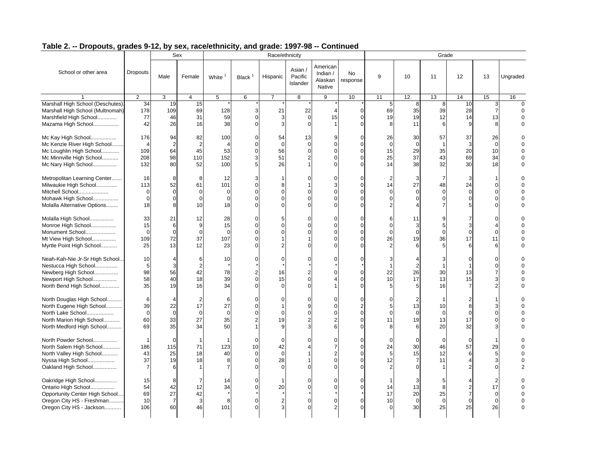|                                                                                                                                        |                                                   |                                                 | Sex                                             |                                         |                                                          | Race/ethnicity                                       |                                |                                           |                       |                                             |                                  | Grade                            |                                                            |                                              |                      |
|----------------------------------------------------------------------------------------------------------------------------------------|---------------------------------------------------|-------------------------------------------------|-------------------------------------------------|-----------------------------------------|----------------------------------------------------------|------------------------------------------------------|--------------------------------|-------------------------------------------|-----------------------|---------------------------------------------|----------------------------------|----------------------------------|------------------------------------------------------------|----------------------------------------------|----------------------|
| School or other area                                                                                                                   | <b>Dropouts</b>                                   | Male                                            | Female                                          | White <sup>1</sup>                      | Black <sup>1</sup>                                       | Hispanic                                             | Asian /<br>Pacific<br>Islander | American<br>Indian /<br>Alaskan<br>Native | <b>No</b><br>response | 9                                           | 10                               | 11                               | 12                                                         | 13                                           | Ungraded             |
|                                                                                                                                        | 2                                                 | 3                                               | $\overline{4}$                                  | 5                                       | 6                                                        | $\overline{7}$                                       | 8                              | 9                                         | 10                    | 11                                          | 12                               | 13                               | 14                                                         | 15                                           | 16                   |
| Marshall High School (Deschutes)<br>Marshall High School (Multnomah)<br>Marshfield High School<br>Mazama High School                   | 34<br>178<br>77<br>42                             | 19<br>109<br>46<br>26                           | 15<br>69<br>31<br>16                            | 128<br>59<br>38                         | 3<br>$\mathbf{0}$<br>$\Omega$                            | 21<br>3<br>3                                         | 22<br>$\mathbf 0$<br>$\Omega$  | 15                                        | $\Omega$<br>$\Omega$  | 5<br>69<br>19<br>8                          | 8<br>35<br>19<br>11              | 8<br>39<br>12<br>6               | 10<br>28<br>14<br>9                                        | $\overline{7}$<br>13<br>8                    | $\Omega$<br>$\Omega$ |
| Mc Kay High School<br>Mc Kenzie River High School<br>Mc Loughlin High School<br>Mc Minnville High School<br>Mc Nary High School        | 176<br>$\overline{4}$<br>109<br>208<br>132        | 94<br>$\overline{2}$<br>64<br>98<br>80          | 82<br>$\overline{2}$<br>45<br>110<br>52         | 100<br>53<br>152<br>100                 | $\Omega$<br>$\mathbf 0$<br>$\mathbf 0$<br>3<br>5         | 54<br>$\mathbf 0$<br>56<br>51<br>26                  | 13<br>$\Omega$                 |                                           |                       | 26<br>$\mathbf 0$<br>15<br>25<br>14         | 30<br>$\Omega$<br>29<br>37<br>38 | 57<br>1<br>35<br>43<br>32        | 37<br>3<br>20<br>69<br>30                                  | 26<br>$\Omega$<br>10<br>34<br>18             | $\Omega$             |
| Metropolitan Learning Center<br>Milwaukie High School<br>Mitchell School<br>Mohawk High School<br>Molalla Alternative Options          | 16<br>113<br>$\Omega$<br>$\Omega$<br>18           | 8<br>52<br>$\Omega$<br>$\mathbf 0$<br>8         | 8<br>61<br>$\Omega$<br>$\Omega$<br>10           | 12<br>101<br>$\Omega$<br>$\Omega$<br>18 | 3<br>$\mathbf 0$<br>$\Omega$<br>$\Omega$<br>$\sqrt{ }$   | 8<br>$\sqrt{ }$<br>$\sqrt{ }$                        |                                |                                           |                       | 14<br>$\Omega$                              | 3<br>27<br>$\Omega$<br>$\Omega$  | 7<br>48<br>$\Omega$<br>$\Omega$  | 3<br>24<br>$\Omega$<br>$\overline{0}$<br>5 <sup>1</sup>    | $\Omega$<br>$\Omega$<br>$\Omega$<br>$\Omega$ |                      |
| Molalla High School<br>Monroe High School<br>Monument School<br>Mt View High School<br>Myrtle Point High School                        | 33<br>15<br>$\mathbf 0$<br>109<br>25              | 21<br>6<br>$\mathbf 0$<br>72<br>13              | 12<br>9<br>$\mathbf 0$<br>37<br>12              | 28<br>15<br>$\Omega$<br>107<br>23       | 0<br>$\Omega$<br>$\Omega$<br>$\Omega$<br>$\sqrt{ }$      | 5                                                    | O                              |                                           |                       | 6<br>$\Omega$<br>$\Omega$<br>26             | 11<br>3<br>$\Omega$<br>19<br>6   | 9<br>5<br>$\mathbf 0$<br>36<br>5 | 7<br>3<br>$\overline{0}$<br>17<br>6                        | 0<br>4<br>$\mathbf 0$<br>11<br>6             | $\Omega$             |
| Neah-Kah-Nie Jr-Sr High School<br>Nestucca High School<br>Newberg High School<br>Newport High School<br>North Bend High School         | 10<br>5<br>98<br>58<br>35                         | 4<br>3<br>56<br>40<br>19                        | 6<br>$\overline{2}$<br>42<br>18<br>16           | 10<br>78<br>39<br>34                    | $\Omega$<br>$\overline{2}$<br>$\Omega$<br>$\sqrt{ }$     | $\mathbf{C}$<br>16<br>15<br>$\Omega$                 | ∩<br>$\Omega$                  |                                           |                       | 22<br>10<br>5                               | 26<br>17<br>5                    | 30<br>13<br>16                   | O<br>13<br>15<br>$\overline{7}$                            | $\Omega$<br>$\Omega$<br>$\overline{7}$<br>3  |                      |
| North Douglas High School<br>North Eugene High School<br>North Lake School<br>North Marion High School<br>North Medford High School    | 6<br>39<br>$\mathbf 0$<br>60<br>69                | $\overline{4}$<br>22<br>$\mathbf 0$<br>33<br>35 | $\overline{2}$<br>17<br>$\mathbf 0$<br>27<br>34 | 6<br>27<br>$\Omega$<br>35<br>50         | $\Omega$<br>$\Omega$<br>$\Omega$<br>$\overline{2}$       | $\sqrt{ }$<br>$\mathbf{C}$<br>19<br>g                |                                |                                           |                       | 5<br>$\Omega$<br>11<br>8                    | 13<br>$\Omega$<br>19<br>6        | 10<br>$\mathbf 0$<br>13<br>20    | 2<br>8<br>$\Omega$<br>17<br>32                             | 3<br>$\Omega$<br>$\Omega$<br>3               |                      |
| North Powder School<br>North Salem High School<br>North Valley High School<br>Nyssa High School<br>Oakland High School                 | $\mathbf{1}$<br>186<br>43<br>37<br>$\overline{7}$ | $\mathbf 0$<br>115<br>25<br>19<br>6             | $\mathbf 1$<br>71<br>18<br>18<br>$\mathbf 1$    | 123<br>40                               | $\mathbf 0$<br>10<br>$\mathbf 0$<br>$\Omega$<br>$\Omega$ | $\sqrt{ }$<br>42<br>$\overline{0}$<br>28<br>$\Omega$ |                                |                                           |                       | $\Omega$<br>24<br>5<br>12<br>$\mathfrak{p}$ | $\Omega$<br>30<br>15             | $\mathbf 0$<br>46<br>12<br>11    | $\mathbf 0$<br>57<br>6<br>$\overline{4}$<br>$\overline{2}$ | 29<br>5<br>3<br>$\Omega$                     | $\Omega$             |
| Oakridge High School<br>Ontario High School<br>Opportunity Center High School<br>Oregon City HS - Freshman<br>Oregon City HS - Jackson | 15<br>54<br>69<br>10<br>106                       | 8<br>42<br>27<br>$\overline{7}$<br>60           | $\overline{7}$<br>12<br>42<br>3<br>46           | 14<br>34<br>8<br>101                    | $\Omega$<br>$\mathbf 0$<br>$\Omega$<br>$\Omega$          | 20<br>$\overline{2}$                                 | O<br>$\Omega$                  |                                           |                       | 14<br>17<br>10                              | 13<br>20<br>$\Omega$<br>30       | 8<br>25<br>$\mathbf 0$<br>25     | $\overline{2}$<br>$\overline{7}$<br>$\mathbf 0$<br>25      | 17<br>$\mathbf 0$<br>0<br>26                 | $\Omega$<br>$\Omega$ |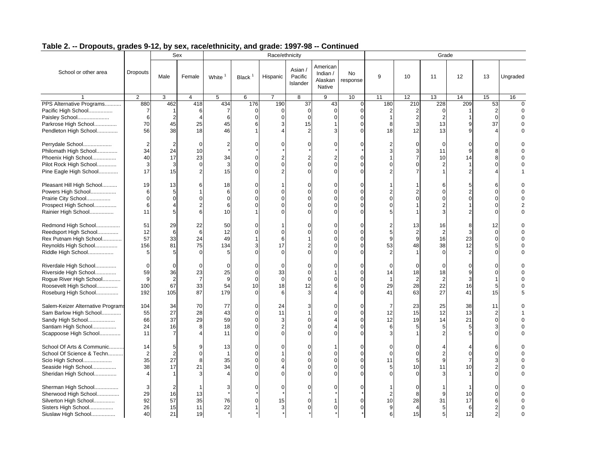|                                                                                                                                  |                                                    |                                                         | Sex                                                        |                                      |                                                    | Race/ethnicity                   |                                        |                                             |                                                             |                                |                                                    | Grade                                                      |                                                                      |                                                      |                      |
|----------------------------------------------------------------------------------------------------------------------------------|----------------------------------------------------|---------------------------------------------------------|------------------------------------------------------------|--------------------------------------|----------------------------------------------------|----------------------------------|----------------------------------------|---------------------------------------------|-------------------------------------------------------------|--------------------------------|----------------------------------------------------|------------------------------------------------------------|----------------------------------------------------------------------|------------------------------------------------------|----------------------|
| School or other area                                                                                                             | <b>Dropouts</b>                                    | Male                                                    | Female                                                     | White <sup>1</sup>                   | Black <sup>1</sup>                                 | Hispanic                         | Asian /<br>Pacific<br>Islander         | American<br>Indian $/$<br>Alaskan<br>Native | <b>No</b><br>response                                       | 9                              | 10                                                 | 11                                                         | 12                                                                   | 13                                                   | Ungraded             |
|                                                                                                                                  | 2                                                  | 3                                                       | 4                                                          | 5                                    | 6                                                  | 7                                | 8                                      | 9                                           | 10                                                          | 11                             | 12                                                 | 13                                                         | 14                                                                   | 15                                                   | 16                   |
| PPS Alternative Programs<br>Pacific High School<br>Paisley School<br>Parkrose High School<br>Pendleton High School               | 880<br>$\overline{7}$<br>6<br>70<br>56             | 462<br>$\overline{1}$<br>$\overline{2}$<br>45<br>38     | 418<br>6<br>25<br>18                                       | 434<br>7<br>6<br>45<br>46            | 176<br>$\Omega$<br>$\Omega$<br>6                   | 190<br>$\Omega$<br>$\Omega$<br>3 | 37<br>$\overline{0}$<br>$\Omega$<br>15 | 43<br>$\Omega$                              | $\mathbf 0$<br>$\Omega$<br>$\Omega$<br>$\Omega$<br>$\Omega$ | 180<br>8<br>18                 | 210<br>2<br>$\overline{2}$<br>$\overline{3}$<br>12 | 228<br>13<br>13                                            | 209<br>$\overline{9}$<br>9                                           | 53<br>$\Omega$<br>37                                 | $\Omega$<br>$\Omega$ |
| Perrydale School<br>Philomath High School<br>Phoenix High School<br>Pilot Rock High School<br>Pine Eagle High School             | 2<br>34<br>40<br>3<br>17                           | $\overline{2}$<br>24<br>17<br>3<br>15                   | $\mathbf 0$<br>10<br>23<br>$\mathbf 0$<br>$\sqrt{2}$       | $\overline{2}$<br>34<br>3<br>15      | 0<br>O<br>$\Omega$                                 | $\Omega$<br>O                    | $\Omega$                               |                                             | $\Omega$<br>$\Omega$<br>$\Omega$<br>$\Omega$                |                                | $\overline{0}$<br>3<br>$\overline{7}$<br>$\Omega$  | $\mathbf{0}$<br>11<br>10<br>2<br>1                         | $\overline{0}$<br>9<br>14<br>$\overline{2}$                          | 0<br>8<br>8<br>$\Omega$                              | $\Omega$             |
| Pleasant Hill High School<br>Powers High School<br>Prairie City School<br>Prospect High School<br>Rainier High School            | 19<br>6<br>0<br>6<br>11                            | 13<br>5<br>$\mathbf 0$<br>$\boldsymbol{\varDelta}$<br>5 | 6<br>$\overline{1}$<br>$\Omega$<br>$\overline{2}$<br>$\,6$ | 18<br>6<br>$\overline{0}$<br>6<br>10 | $\Omega$<br>O<br>$\Omega$                          | $\Omega$                         |                                        |                                             | $\Omega$<br>$\Omega$<br>$\Omega$<br>$\Omega$<br>$\Omega$    |                                | $\overline{2}$<br>$\Omega$                         | 6<br>0<br>$\mathbf{0}$<br>$\overline{2}$<br>$\overline{3}$ | 5 <sup>1</sup><br>$\overline{2}$<br>$\overline{0}$<br>$\overline{2}$ | 6<br>$\Omega$<br>$\mathbf 0$<br>$\Omega$<br>$\Omega$ | $\Omega$             |
| Redmond High School<br>Reedsport High School<br>Rex Putnam High School<br>Reynolds High School<br>Riddle High School             | 51<br>12<br>57<br>156<br>5                         | 29<br>6<br>33<br>81<br>5                                | 22<br>6<br>24<br>75<br>$\Omega$                            | 50<br>12<br>49<br>134<br>5           | O<br>$\Omega$                                      | $\Omega$<br>6<br>17<br>$\Omega$  |                                        |                                             | $\Omega$<br>$\Omega$<br>$\Omega$<br>$\Omega$<br>$\Omega$    | 5<br>53                        | 13<br>2<br>9<br>48                                 | 16<br>$\overline{2}$<br>16<br>38<br>$\Omega$               | 8<br>3<br>23<br>12<br>$\mathfrak{p}$                                 | 12<br>0<br>$\Omega$<br>5<br>$\Omega$                 | $\Omega$             |
| Riverdale High School<br>Riverside High School<br>Rogue River High School<br>Roosevelt High School<br>Roseburg High School       | $\Omega$<br>59<br>9<br>100<br>192                  | $\Omega$<br>36<br>$\overline{2}$<br>67<br>105           | $\Omega$<br>23<br>$\overline{7}$<br>33<br>87               | $\Omega$<br>25<br>9<br>54<br>179     | $\Omega$<br>$\Omega$<br>$\Omega$<br>10<br>$\Omega$ | $\Omega$<br>33<br>$\Omega$<br>18 | $\Omega$<br>12                         |                                             | $\Omega$<br>$\Omega$<br>$\Omega$<br>$\Omega$<br>$\Omega$    | 14<br>29<br>41                 | $\Omega$<br>18<br>$\overline{2}$<br>28<br>63       | $\Omega$<br>18<br>$\sqrt{2}$<br>22<br>27                   | 9<br>3<br>16<br>41                                                   | $\Omega$<br>$\Omega$<br>1<br>5<br>15                 | 5                    |
| Salem-Keizer Alternative Programs<br>Sam Barlow High School<br>Sandy High School<br>Santiam High School<br>Scappoose High School | 104<br>55<br>66<br>24<br>11                        | 34<br>27<br>37<br>16<br>$\overline{7}$                  | 70<br>28<br>29<br>8<br>$\overline{4}$                      | 77<br>43<br>59<br>18<br>11           | $\Omega$<br>$\Omega$<br>$\Omega$<br>$\Omega$       | 24<br>11<br>3                    |                                        |                                             | $\Omega$<br>$\Omega$<br>$\Omega$<br>$\Omega$<br>$\Omega$    | 12<br>12<br>6                  | 23<br>15<br>19<br>5                                | 25<br>12<br>14<br>5<br>2                                   | 38<br>13<br>21<br>5<br>5                                             | 11<br>$\overline{2}$<br>$\mathbf 0$<br>3<br>$\Omega$ |                      |
| School Of Arts & Communic<br>School Of Science & Techn<br>Scio High School<br>Seaside High School<br>Sheridan High School        | 14<br>$\overline{2}$<br>35<br>38<br>$\overline{4}$ | 5<br>$\overline{2}$<br>27<br>17<br>$\mathbf{1}$         | 9<br>$\mathbf 0$<br>8<br>21<br>3                           | 13<br>35<br>34                       | $\Omega$<br>O<br>$\Omega$                          | $\Omega$                         |                                        |                                             | $\Omega$<br>$\Omega$<br>$\Omega$<br>U                       | 11<br>5                        | $\Omega$<br>$\Omega$<br>5<br>10<br>$\Omega$        | 4<br>$\overline{2}$<br>9<br>11<br>3                        | $\Omega$<br>7<br>10                                                  | 6<br>$\Omega$<br>3<br>$\overline{2}$<br>$\Omega$     | $\Omega$             |
| Sherman High School<br>Sherwood High School<br>Silverton High School<br>Sisters High School<br>Siuslaw High School               | 3<br>29<br>92<br>26<br>40                          | $\overline{2}$<br>16<br>57<br>15<br>21                  | 13<br>35<br>11<br>19                                       | 3<br>76<br>22                        |                                                    | $\Omega$<br>15                   |                                        |                                             | $\Omega$<br>$\Omega$                                        | $\overline{2}$<br>10<br>9<br>6 | $\Omega$<br>8<br>28<br>$\overline{4}$<br>15        | 9<br>31<br>5 <sup>5</sup><br>5 <sub>l</sub>                | 10<br>17<br>6<br>12                                                  | $\Omega$<br>6<br>$\overline{2}$<br>$\overline{2}$    | $\Omega$<br>$\Omega$ |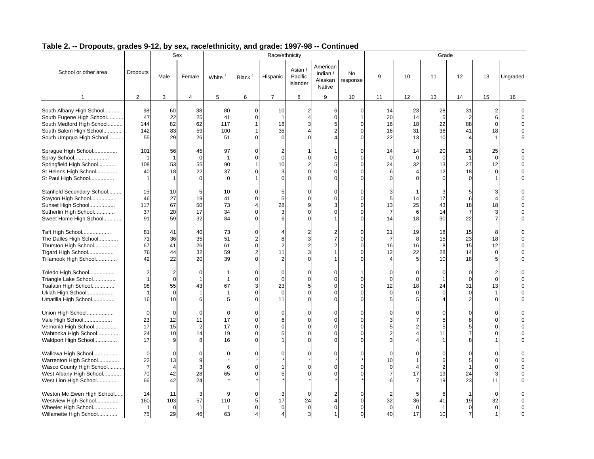|                                                                                                                                          |                                                    |                                                  | Sex                                            |                                        |                                                          | Race/ethnicity                                    |                                 |                                             |                                                                        |                                        |                                                    | Grade                                       |                                                       |                                              |                                       |
|------------------------------------------------------------------------------------------------------------------------------------------|----------------------------------------------------|--------------------------------------------------|------------------------------------------------|----------------------------------------|----------------------------------------------------------|---------------------------------------------------|---------------------------------|---------------------------------------------|------------------------------------------------------------------------|----------------------------------------|----------------------------------------------------|---------------------------------------------|-------------------------------------------------------|----------------------------------------------|---------------------------------------|
| School or other area                                                                                                                     | <b>Dropouts</b>                                    | Male                                             | Female                                         | White <sup>1</sup>                     | Black <sup>1</sup>                                       | Hispanic                                          | Asian /<br>Pacific<br>Islander  | American<br>Indian $/$<br>Alaskan<br>Native | <b>No</b><br>response                                                  | 9                                      | 10                                                 | 11                                          | 12                                                    | 13                                           | Ungraded                              |
| $\mathbf{1}$                                                                                                                             | 2                                                  | 3                                                | $\overline{4}$                                 | $5\phantom{.0}$                        | 6                                                        | $\overline{7}$                                    | 8                               | 9                                           | 10                                                                     | 11                                     | 12                                                 | 13                                          | 14                                                    | 15                                           | 16                                    |
| South Albany High School<br>South Eugene High School<br>South Medford High School<br>South Salem High School<br>South Umpqua High School | 98<br>47<br>144<br>142<br>55                       | 60<br>22<br>82<br>83<br>29                       | 38<br>25<br>62<br>59<br>26                     | 80<br>41<br>117<br>100<br>51           | $\mathbf 0$<br>$\Omega$                                  | 10<br>$\overline{1}$<br>18<br>35<br>$\Omega$      | $\overline{2}$<br>3             | 6<br>5                                      | $\overline{0}$<br>$\mathbf{1}$<br>$\mathbf{0}$<br>$\Omega$<br>$\Omega$ | 14<br>20<br>16<br>16<br>22             | 23<br>14<br>18<br>31<br>13                         | 28<br>$\overline{5}$<br>22<br>36<br>10      | 31<br>88<br>41<br>4                                   | 2<br>6<br>$\mathbf 0$<br>18<br>1             | $\Omega$<br>$\Omega$<br>$\Omega$<br>5 |
| Sprague High School<br>Spray School<br>Springfield High School<br>St Helens High School<br>St Paul High School                           | 101<br>$\overline{1}$<br>108<br>40<br>$\mathbf{1}$ | 56<br>$\mathbf{1}$<br>53<br>18<br>$\overline{1}$ | 45<br>$\mathbf 0$<br>55<br>22<br>$\mathbf 0$   | 97<br>90<br>37<br>$\Omega$             | $\Omega$<br>$\Omega$                                     | $\overline{2}$<br>$\Omega$<br>10<br>3<br>$\Omega$ |                                 |                                             | $\Omega$<br>$\Omega$<br>$\Omega$<br>$\Omega$                           | 14<br>$\Omega$<br>24<br>6              | 14<br>$\Omega$<br>32<br>$\overline{4}$<br>$\Omega$ | 20<br>$\mathbf 0$<br>13<br>12<br>$\Omega$   | 28<br>27<br>18<br>$\Omega$                            | 25<br>$\mathbf 0$<br>12<br>$\mathbf 0$<br>1  | $\Omega$<br>$\Omega$                  |
| Stanfield Secondary School<br>Stayton High School<br>Sunset High School<br>Sutherlin High School<br>Sweet Home High School               | 15<br>46<br>117<br>37<br>91                        | 10<br>27<br>67<br>20<br>59                       | 5<br>19<br>50<br>17<br>32                      | 10<br>41<br>73<br>34<br>84             | $\Omega$<br>$\Omega$<br>$\Omega$                         | 5<br>5<br>28<br>3                                 | $\Omega$                        | $\Omega$                                    | $\Omega$<br>$\Omega$<br>$\Omega$<br>$\Omega$<br>$\Omega$               | 13<br>14                               | 14<br>25<br>6<br>18                                | 17<br>43<br>14<br>30                        | 6<br>18<br>22                                         | 4<br>18<br>3<br>$\overline{7}$               |                                       |
| Taft High School<br>The Dalles High School<br>Thurston High School<br>Tigard High School<br>Tillamook High School                        | 81<br>71<br>67<br>76<br>42                         | 41<br>36<br>41<br>44<br>22                       | 40<br>35<br>26<br>32<br>20                     | 73<br>51<br>61<br>59<br>39             | $\Omega$<br>$\overline{2}$<br>$\Omega$<br>$\overline{2}$ | 8<br>11                                           |                                 |                                             | $\Omega$<br>$\Omega$<br>$\Omega$<br>$\Omega$                           | 21<br>16<br>12                         | 19<br>8<br>16<br>22<br>5                           | 18<br>15<br>8<br>28<br>10                   | 15<br>23<br>15<br>14<br>18                            | 8<br>18<br>12<br>$\mathbf 0$<br>5            | $\Omega$                              |
| Toledo High School<br>Triangle Lake School<br>Tualatin High School<br>Ukiah High School<br>Umatilla High School                          | 2<br>$\mathbf{1}$<br>98<br>$\mathbf{1}$<br>16      | 2<br>$\mathbf 0$<br>55<br>$\mathbf 0$<br>10      | 0<br>-1<br>43<br>$\overline{1}$<br>6           | 1<br>67<br>5                           | $\Omega$<br>O<br>3<br>$\Omega$                           | 0<br>$\Omega$<br>23<br>$\overline{0}$<br>11       | $\Omega$                        |                                             | $\Omega$<br>$\Omega$<br>$\Omega$<br>$\Omega$                           | $\Omega$<br>$\Omega$<br>12<br>$\Omega$ | $\overline{0}$<br>$\Omega$<br>18<br>$\mathbf 0$    | $\mathbf 0$<br>24<br>$\mathbf 0$<br>4       | $\mathbf 0$<br>$\mathbf{0}$<br>31<br>$\mathbf 0$<br>2 | 2<br>$\mathbf 0$<br>13<br>1<br>$\Omega$      | $\Omega$                              |
| Union High School<br>Vale High School<br>Vernonia High School<br>Wahtonka High School<br>Waldport High School                            | $\mathbf 0$<br>23<br>17<br>24<br>17                | $\mathbf 0$<br>12<br>15<br>10<br>9               | $\mathbf 0$<br>11<br>$\overline{2}$<br>14<br>8 | $\overline{0}$<br>17<br>17<br>19<br>16 | $\Omega$<br>$\Omega$<br>$\Omega$<br>O                    | $\Omega$<br>6<br>$\Omega$                         |                                 |                                             | $\Omega$<br>$\Omega$<br>$\Omega$<br>$\Omega$<br>$\Omega$               |                                        | $\Omega$<br>$\overline{7}$<br>$\overline{2}$       | $\Omega$<br>5 <sup>5</sup><br>5<br>11       | $\Omega$<br>8<br>5 <sup>1</sup><br>7<br>8             | $\Omega$<br>$\Omega$<br>$\Omega$<br>$\Omega$ | $\Omega$<br>$\Omega$                  |
| Wallowa High School<br>Warrenton High School<br>Wasco County High School<br>West Albany High School<br>West Linn High School             | $\mathbf 0$<br>22<br>$\overline{7}$<br>70<br>66    | $\Omega$<br>13<br>$\overline{4}$<br>42<br>42     | $\Omega$<br>9<br>3<br>28<br>24                 | $\Omega$<br>6<br>65                    |                                                          |                                                   |                                 |                                             | $\Omega$<br>$\Omega$                                                   | 10                                     | $\Omega$<br>1<br>$\Delta$<br>17<br>$\overline{7}$  | $\Omega$<br>6<br>$\overline{2}$<br>19<br>19 | $\Omega$<br>5<br>24<br>23                             | $\Omega$<br>0<br>$\Omega$<br>3<br>11         |                                       |
| Weston Mc Ewen High School<br>Westview High School<br>Wheeler High School<br>Willamette High School                                      | 14<br>160<br>$\mathbf{1}$<br>75                    | 11<br>103<br>$\mathbf 0$<br>29                   | 3<br>57<br>$\overline{1}$<br>46                | 9<br>110<br>63                         | 5                                                        | 3<br>17<br>$\Omega$                               | $\Omega$<br>24<br>$\Omega$<br>3 |                                             | $\overline{0}$<br>$\overline{0}$<br>$\Omega$<br>$\overline{0}$         | 32<br>$\Omega$<br>40                   | 5<br>36<br>$\mathbf{0}$<br>17                      | 6<br>41<br>$\overline{1}$<br>10             | 19<br>$\mathbf{0}$<br>$\overline{7}$                  | 0<br>32<br>$\mathbf 0$<br>$\mathbf{1}$       | $\Omega$                              |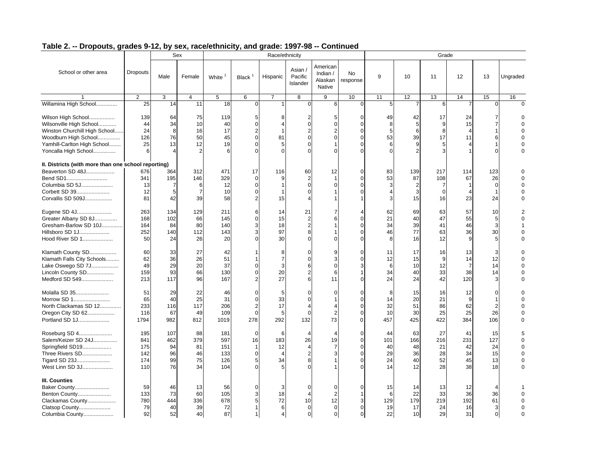|                                                                                                                                                               |                                        |                                    | Sex                                |                                        |                                                                           | Race/ethnicity                         |                                             |                                             |                                  |                                   |                                        | Grade                                |                                         |                                                |                                        |
|---------------------------------------------------------------------------------------------------------------------------------------------------------------|----------------------------------------|------------------------------------|------------------------------------|----------------------------------------|---------------------------------------------------------------------------|----------------------------------------|---------------------------------------------|---------------------------------------------|----------------------------------|-----------------------------------|----------------------------------------|--------------------------------------|-----------------------------------------|------------------------------------------------|----------------------------------------|
| School or other area                                                                                                                                          | Dropouts                               | Male                               | Female                             | White                                  | Black $1$                                                                 | Hispanic                               | Asian /<br>Pacific<br>Islander              | American<br>Indian /<br>Alaskan<br>Native   | <b>No</b><br>response            | 9                                 | 10                                     | 11                                   | 12                                      | 13                                             | Ungraded                               |
|                                                                                                                                                               | 2                                      | 3                                  | $\overline{4}$                     | 5                                      | 6                                                                         | $\overline{7}$                         | 8                                           | 9                                           | 10                               | 11                                | 12                                     | 13                                   | 14                                      | 15                                             | 16                                     |
| Willamina High School                                                                                                                                         | 25                                     | 14                                 | 11                                 | 18                                     | $\mathbf 0$                                                               |                                        | $\overline{0}$                              | 6                                           | $\mathbf{0}$                     | 5                                 | 7                                      | 6                                    |                                         |                                                | $\Omega$                               |
| Wilson High School<br>Wilsonville High School<br>Winston Churchill High School<br>Woodburn High School<br>Yamhill-Carlton High School<br>Yoncalla High School | 139<br>44<br>24<br>126<br>25<br>6      | 64<br>34<br>8<br>76<br>13          | 75<br>10<br>16<br>50<br>12         | 119<br>40<br>17<br>45<br>19<br>6       | 5<br>$\mathbf 0$<br>$\overline{2}$<br>$\mathbf 0$<br>$\Omega$<br>$\Omega$ | 8<br>4<br>81<br>5                      | 2<br>$\mathbf{O}$<br>$\Omega$<br>$\Omega$   | 5<br>$\Omega$                               | $\Omega$<br>$\Omega$<br>$\Omega$ | 49<br>8<br>5<br>53<br>6           | 42<br>5<br>6<br>39<br>9                | 17<br>9<br>8<br>17<br>5<br>3         | 24<br>15<br>$\overline{4}$<br>11        | 7<br>$\overline{7}$<br>1<br>6<br>1<br>$\Omega$ |                                        |
|                                                                                                                                                               |                                        |                                    |                                    |                                        |                                                                           |                                        |                                             |                                             |                                  |                                   |                                        |                                      |                                         |                                                |                                        |
| II. Districts (with more than one school reporting)<br>Beaverton SD 48J<br>Bend SD1<br>Columbia SD 5J<br>Corbett SD 39<br>Corvallis SD 509J                   | 676<br>341<br>13<br>12<br>81           | 364<br>195<br>7<br>5<br>42         | 312<br>146<br>$\overline{7}$<br>39 | 471<br>329<br>12<br>10<br>58           | 17<br>$\mathbf 0$<br>$\mathbf 0$<br>$\mathbf 0$<br>$\overline{2}$         | 116<br>9<br>15                         | 60<br>$\overline{2}$<br>$\Omega$            | 12<br>1                                     | $\Omega$<br>$\Omega$             | 83<br>53<br>3<br>3                | 139<br>87<br>$\overline{2}$<br>3<br>15 | 217<br>108<br>7<br>$\mathbf 0$<br>16 | 114<br>67<br>4<br>23                    | 123<br>26<br>0<br>1<br>24                      |                                        |
| Eugene SD 4J<br>Greater Albany SD 8J<br>Gresham-Barlow SD 10J<br>Hillsboro SD 1J<br>Hood River SD 1                                                           | 263<br>168<br>164<br>252<br>50         | 134<br>102<br>84<br>140<br>24      | 129<br>66<br>80<br>112<br>26       | 211<br>145<br>140<br>143<br>20         | 6<br>$\mathbf 0$<br>3<br>3<br>$\sqrt{ }$                                  | 14<br>15<br>18<br>97<br>30             | 21<br>$\overline{2}$<br>$\overline{2}$<br>8 |                                             | $\Omega$                         | 62<br>21<br>34<br>46<br>8         | 69<br>40<br>39<br>77<br>16             | 63<br>47<br>41<br>63<br>12           | 57<br>55<br>46<br>36<br>9               | 10<br>5<br>3<br>30<br>5                        | $\overline{2}$<br>$\Omega$<br>$\Omega$ |
| Klamath County SD<br>Klamath Falls City Schools<br>Lake Oswego SD 7J<br>Lincoln County SD<br>Medford SD 549                                                   | 60<br>62<br>49<br>159<br>213           | 33<br>36<br>29<br>93<br>117        | 27<br>26<br>20<br>66<br>96         | 42<br>51<br>37<br>130<br>167           | $\mathbf 0$<br>$\Omega$<br>2                                              | 8<br>7<br>3<br>20<br>27                | 0<br>$\Omega$<br>6<br>ี                     | 11                                          | $\Omega$                         | 11<br>12<br>6<br>34<br>24         | 17<br>15<br>10<br>40<br>24             | 16<br>9<br>12<br>33<br>42            | 13<br>14<br>$\overline{7}$<br>38<br>120 | 3<br>12<br>14<br>14<br>3                       |                                        |
| Molalla SD 35<br>Morrow SD 1<br>North Clackamas SD 12<br>Oregon City SD 62<br>Portland SD 1J                                                                  | 51<br>65<br>233<br>116<br>1794         | 29<br>40<br>116<br>67<br>982       | 22<br>25<br>117<br>49<br>812       | 46<br>31<br>206<br>109<br>1019         | $\Omega$<br>$\Omega$<br>$\overline{2}$<br>$\mathbf 0$<br>278              | 5<br>33<br>17<br>5<br>292              | $\Omega$<br>$\Omega$<br>$\Omega$<br>132     | 2<br>73                                     | $\Omega$                         | 8<br>14<br>32<br>10<br>457        | 15<br>20<br>51<br>30<br>425            | 16<br>21<br>86<br>25<br>422          | 12<br>9<br>62<br>25<br>384              | $\Omega$<br>$\overline{2}$<br>26<br>106        |                                        |
| Roseburg SD 4<br>Salem/Keizer SD 24J<br>Springfield SD19<br>Three Rivers SD<br>Tigard SD 23J<br>West Linn SD 3J                                               | 195<br>841<br>175<br>142<br>174<br>110 | 107<br>462<br>94<br>96<br>99<br>76 | 88<br>379<br>81<br>46<br>75<br>34  | 181<br>597<br>151<br>133<br>126<br>104 | $\mathbf 0$<br>16<br>$\overline{1}$<br>$\mathbf 0$<br>5<br>$\Omega$       | 6<br>183<br>12<br>$\overline{4}$<br>34 | 4<br>26<br>$\overline{4}$<br>8              | 19                                          | $\Omega$<br>$\Omega$             | 44<br>101<br>40<br>29<br>24<br>14 | 63<br>166<br>48<br>36<br>40<br>12      | 27<br>216<br>21<br>28<br>52<br>28    | 41<br>231<br>42<br>34<br>45<br>38       | 15<br>127<br>24<br>15<br>13<br>18              | $\Omega$                               |
| III. Counties<br>Baker County<br>Benton County<br>Clackamas County<br>Clatsop County<br>Columbia County                                                       | 59<br>133<br>780<br>79<br>92           | 46<br>73<br>444<br>40<br>52        | 13<br>60<br>336<br>39<br>40        | 56<br>105<br>678<br>72<br>87           | $\Omega$<br>3<br>5                                                        | 3<br>18<br>72<br>6                     | $\Omega$<br>10<br>$\Omega$<br>$\Omega$      | $\Omega$<br>2<br>12<br>$\Omega$<br>$\Omega$ | $\Omega$<br>$\Omega$             | 15<br>6<br>129<br>19<br>22        | 14<br>22<br>179<br>17<br>10            | 13<br>33<br>219<br>24<br>29          | 12<br>36<br>192<br>16<br>31             | 36<br>61<br>3<br>$\mathbf{O}$                  | $\Omega$<br>$\Omega$                   |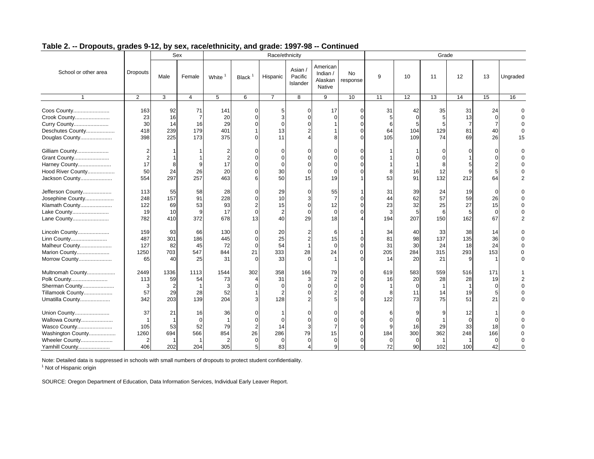|                                                                                                         |                                              | Sex                                         |                                                    |                               |                                                                     | Race/ethnicity                            |                                 |                                              |                       |                             |                                   | Grade                        |                             |                                            |                |
|---------------------------------------------------------------------------------------------------------|----------------------------------------------|---------------------------------------------|----------------------------------------------------|-------------------------------|---------------------------------------------------------------------|-------------------------------------------|---------------------------------|----------------------------------------------|-----------------------|-----------------------------|-----------------------------------|------------------------------|-----------------------------|--------------------------------------------|----------------|
| School or other area                                                                                    | <b>Dropouts</b>                              | Male                                        | Female                                             | White                         | Black <sup>1</sup>                                                  | Hispanic                                  | Asian /<br>Pacific<br>Islander  | American<br>Indian /<br>Alaskan<br>Native    | <b>No</b><br>response | 9                           | 10                                | 11                           | 12                          | 13                                         | Ungraded       |
| $\mathbf{1}$                                                                                            | $\overline{2}$                               | 3                                           | $\overline{4}$                                     | 5                             | 6                                                                   | $\overline{7}$                            | 8                               | 9                                            | 10                    | 11                          | 12                                | 13                           | 14                          | 15                                         | 16             |
| Coos County<br>Crook County<br>Curry County<br>Deschutes County<br>Douglas County                       | 163<br>23<br>30<br>418<br>398                | 92<br>16<br>14<br>239<br>225                | 71<br>$\overline{7}$<br>16<br>179<br>173           | 141<br>20<br>29<br>401<br>375 | $\mathbf 0$<br>$\Omega$<br>$\Omega$<br>$\Omega$                     | 5<br>З<br>$\sqrt{ }$<br>13<br>11          | $\Omega$                        | 17<br>$\Omega$                               | $\Omega$              | 31<br>64<br>105             | 42<br>$\Omega$<br>104<br>109      | 35<br>129<br>74              | 31<br>13<br>81<br>69        | 24<br>40<br>26                             | $\Omega$<br>15 |
| Gilliam County<br>Grant County<br>Harney County<br>Hood River County<br>Jackson County                  | 17<br>50<br>554                              | 8<br>24<br>297                              | 9<br>26<br>257                                     | 17<br>20<br>463               | $\Omega$<br>$\Omega$<br>$\Omega$<br>$\Omega$<br>6                   | O<br>$\epsilon$<br>$\sqrt{ }$<br>30<br>50 | $\Omega$<br>15                  | $\Omega$<br>19                               |                       | 53                          | 16<br>91                          | 12<br>132                    | 212                         | n<br>U<br>5<br>64                          | 2              |
| Jefferson County<br>Josephine County<br>Klamath County<br>Lake County<br>Lane County                    | 113<br>248<br>122<br>19<br>782               | 55<br>157<br>69<br>10<br>410                | 58<br>91<br>53<br>9<br>372                         | 28<br>228<br>93<br>17<br>678  | $\Omega$<br>$\Omega$<br>$\overline{2}$<br>$\mathbf 0$<br>13         | 29<br>10<br>15<br>$\overline{2}$<br>40    | ∩<br>$\Omega$<br>$\Omega$<br>29 | 55<br>$\overline{7}$<br>12<br>$\Omega$<br>18 |                       | 31<br>44<br>23<br>3<br>194  | 39<br>62<br>32<br>5<br>207        | 24<br>57<br>25<br>6<br>150   | 19<br>59<br>27<br>5<br>162  | $\Omega$<br>26<br>15<br>$\mathbf 0$<br>67  | $\overline{2}$ |
| Lincoln County<br>Linn County<br>Malheur County<br>Marion County<br>Morrow County                       | 159<br>487<br>127<br>1250<br>65              | 93<br>301<br>82<br>703<br>40                | 66<br>186<br>45<br>547<br>25                       | 130<br>445<br>72<br>844<br>31 | $\mathbf 0$<br>$\mathbf 0$<br>$\mathbf 0$<br>21<br>$\Omega$         | 20<br>25<br>54<br>333<br>33               | 2<br>28<br>$\Omega$             | 6<br>15<br>$\Omega$<br>24                    | $\Omega$              | 34<br>81<br>31<br>205<br>14 | 40<br>98<br>30<br>284<br>20       | 33<br>137<br>24<br>315<br>21 | 38<br>135<br>18<br>293<br>9 | 14<br>36<br>24<br>153                      | $\Omega$       |
| Multnomah County<br>Polk County<br>Sherman County<br>Tillamook County<br>Umatilla County                | 2449<br>113<br>3<br>57<br>342                | 1336<br>59<br>$\overline{2}$<br>29<br>203   | 1113<br>54<br>28<br>139                            | 1544<br>73<br>3<br>52<br>204  | 302<br>$\overline{4}$<br>$\Omega$<br>3                              | 358<br>31<br>$\Omega$<br>2<br>128         | 166<br>3<br>$\Omega$            | 79                                           | $\Omega$              | 619<br>16<br>122            | 583<br>20<br>$\Omega$<br>11<br>73 | 559<br>28<br>14<br>75        | 516<br>28<br>19<br>51       | 171<br>19<br>$\mathbf 0$<br>5<br>21        |                |
| Union County<br>Wallowa County<br>Wasco County<br>Washington County<br>Wheeler County<br>Yamhill County | 37<br>$\mathbf 1$<br>105<br>1260<br>2<br>406 | 21<br>$\mathbf{1}$<br>53<br>694<br>1<br>202 | 16<br>$\Omega$<br>52<br>566<br>$\mathbf{1}$<br>204 | 36<br>79<br>854<br>305        | $\Omega$<br>$\mathbf 0$<br>$\overline{2}$<br>26<br>$\mathbf 0$<br>5 | -C<br>14<br>286<br>$\mathbf 0$<br>83      | 79<br>$\mathbf 0$               | 15<br>$\overline{0}$<br>q                    |                       | 184<br>$\mathbf 0$<br>72    | 16<br>300<br>$\Omega$<br>90       | 29<br>362<br>102             | 12<br>∩<br>33<br>248<br>100 | $\Omega$<br>18<br>166<br>$\mathbf 0$<br>42 | 0              |

Note: Detailed data is suppressed in schools with small numbers of dropouts to protect student confidentiality.

<sup>1</sup> Not of Hispanic origin

SOURCE: Oregon Department of Education, Data Information Services, Individual Early Leaver Report.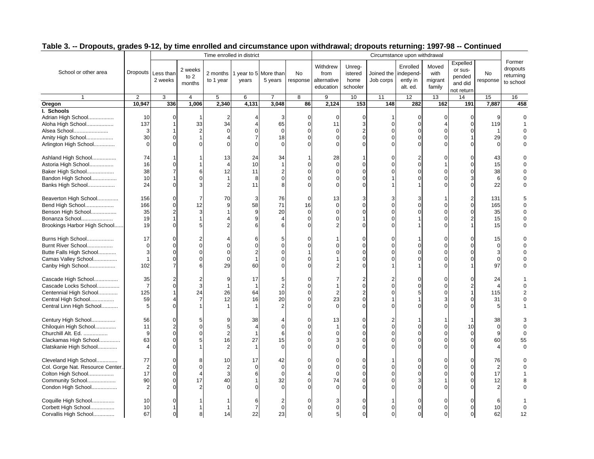|                                 |                |                               |                           | Time enrolled in district |                                |                |                |                                              |                                       |                         | Circumstance upon withdrawal                  |                                    |                                                        |                 |                                              |
|---------------------------------|----------------|-------------------------------|---------------------------|---------------------------|--------------------------------|----------------|----------------|----------------------------------------------|---------------------------------------|-------------------------|-----------------------------------------------|------------------------------------|--------------------------------------------------------|-----------------|----------------------------------------------|
| School or other area            |                | Dropouts Less than<br>2 weeks | 2 weeks<br>to 2<br>months | 2 months<br>to 1 year     | 1 year to 5 More than<br>years | 5 years        | No<br>response | Withdrew<br>from<br>alternative<br>education | Unreg-<br>istered<br>home<br>schooler | Joined the<br>Job corps | Enrolled<br>independ-<br>ently in<br>alt. ed. | Moved<br>with<br>migrant<br>family | Expelled<br>or sus-<br>pended<br>and did<br>not return | No<br>response  | Former<br>dropouts<br>returning<br>to school |
| $\mathbf{1}$                    | 2              | 3                             | 4                         | $\overline{5}$            | 6                              | $\overline{7}$ | $\overline{8}$ | $\overline{9}$                               | 10                                    | 11                      | 12                                            | 13                                 | 14                                                     | 15              | 16                                           |
| Oregon                          | 10,947         | 336                           | 1,006                     | 2,340                     | 4,131                          | 3,048          | 86             | 2,124                                        | 153                                   | 148                     | 282                                           | 162                                | 191                                                    | 7,887           | 458                                          |
| I. Schools                      |                |                               |                           |                           |                                |                |                |                                              |                                       |                         |                                               |                                    |                                                        |                 |                                              |
| Adrian High School              | 10             | $\Omega$                      | 1                         |                           | $\overline{4}$                 | 3              | $\mathbf 0$    | $\mathbf 0$                                  | $\mathbf 0$                           | -1                      | $\mathbf 0$                                   | $\mathbf 0$                        | $\mathbf 0$                                            | 9               |                                              |
| Aloha High School               | 137            | 1                             | 33                        | 34                        | $\overline{4}$                 | 65             | $\Omega$       | 11                                           | 3                                     | $\Omega$                | $\mathbf 0$                                   | $\overline{4}$                     | $\Omega$                                               | 119             |                                              |
| Alsea School                    | 3              |                               | $\overline{2}$            | $\Omega$                  | $\mathbf 0$                    | $\mathbf 0$    |                | $\mathbf 0$                                  | $\overline{2}$                        | $\Omega$                | $\mathbf 0$                                   | $\mathbf 0$                        |                                                        | $\overline{1}$  |                                              |
| Amity High School               | 30             | $\Omega$                      | 1                         |                           | $\overline{7}$                 | 18             |                |                                              | $\Omega$                              |                         | $\mathbf 0$                                   | $\Omega$                           |                                                        | 29              |                                              |
| Arlington High School           | $\mathbf 0$    | $\Omega$                      | 0                         | $\Omega$                  | $\mathbf 0$                    | $\Omega$       |                | $\Omega$                                     | $\Omega$                              | $\Omega$                | $\mathbf 0$                                   | $\mathbf 0$                        |                                                        | $\mathbf 0$     |                                              |
|                                 |                |                               |                           |                           |                                |                |                |                                              |                                       |                         |                                               |                                    | $\sqrt{2}$                                             |                 |                                              |
| Ashland High School             | 74             |                               |                           | 13                        | 24                             | 34             |                | 28<br>$\Omega$                               |                                       |                         | $\overline{2}$                                | $\Omega$                           |                                                        | 43              |                                              |
| Astoria High School             | 16             | $\Omega$                      |                           |                           | 10                             |                | C              |                                              | $\mathbf 0$                           | $\Omega$                | $\mathbf 0$                                   | $\overline{1}$                     | $\Omega$                                               | 15              |                                              |
| Baker High School               | 38             | $\overline{7}$                | 6                         | 12                        | 11                             |                |                |                                              | $\Omega$                              |                         | $\Omega$                                      | $\Omega$                           |                                                        | 38              |                                              |
| Bandon High School              | 10             |                               | $\Omega$                  |                           | 8                              |                |                |                                              | $\Omega$                              |                         | $\Omega$                                      | $\Omega$                           |                                                        | $6\phantom{1}6$ |                                              |
| Banks High School               | 24             | $\Omega$                      | 3                         |                           | 11                             |                |                |                                              | $\Omega$                              |                         | 1                                             | $\Omega$                           |                                                        | 22              |                                              |
| Beaverton High School           | 156            | $\Omega$                      | $\overline{7}$            | 70                        | 3                              | 76             | $\Omega$       | 13                                           | 3                                     | 3                       | 3                                             | $\overline{1}$                     | $\overline{2}$                                         | 131             |                                              |
| Bend High School                | 166            | $\Omega$                      | 12                        |                           | 58                             | 71             | 16             |                                              | $\Omega$                              |                         | $\Omega$                                      | $\Omega$                           | $\sqrt{ }$                                             | 165             |                                              |
| Benson High School              | 35             | $\overline{2}$                | 3                         |                           | $\boldsymbol{9}$               | 20             | $\Omega$       |                                              | $\Omega$                              |                         | $\Omega$                                      | $\Omega$                           |                                                        | 35              |                                              |
| Bonanza School                  | 19             |                               |                           |                           | 9                              | $\Delta$       | $\Omega$       |                                              |                                       |                         | 1                                             | $\mathbf 0$                        |                                                        | 15              |                                              |
| Brookings Harbor High School    | 19             | $\Omega$                      | 5                         |                           | 6                              |                |                |                                              | $\Omega$                              |                         | 1                                             | $\Omega$                           |                                                        | 15              |                                              |
|                                 |                |                               |                           |                           |                                |                |                |                                              |                                       |                         |                                               |                                    |                                                        |                 |                                              |
| Burns High School               | 17             | $\Omega$                      | 2                         |                           | 6                              | 5              | $\Omega$       |                                              | $\Omega$                              | U                       | 1                                             | $\Omega$                           | $\Omega$                                               | 15              |                                              |
| Burnt River School              | $\Omega$       | $\Omega$                      | $\Omega$                  |                           | $\Omega$                       | $\Omega$       |                |                                              | $\Omega$                              |                         | $\Omega$                                      | $\Omega$                           |                                                        | $\Omega$        |                                              |
| Butte Falls High School         | 3              | $\Omega$                      | $\Omega$                  | U                         | $\overline{2}$                 | $\Omega$       |                |                                              | $\Omega$                              |                         | $\Omega$                                      | $\mathbf 0$                        |                                                        | 3               |                                              |
| Camas Valley School             | $\mathbf{1}$   | $\Omega$                      | $\Omega$                  |                           |                                |                |                |                                              | $\Omega$                              |                         | $\Omega$                                      | $\Omega$                           |                                                        | $\Omega$        |                                              |
| Canby High School               | 102            | $\overline{7}$                | 6                         | 29                        | 60                             |                |                |                                              | $\Omega$                              |                         |                                               | $\Omega$                           |                                                        | 97              |                                              |
|                                 |                |                               |                           |                           |                                |                |                |                                              |                                       |                         |                                               |                                    |                                                        |                 |                                              |
| Cascade High School             | 35             | 2                             | $\overline{2}$            | <sub>9</sub>              | 17                             | 5              |                |                                              | 2                                     |                         | $\Omega$                                      | $\Omega$                           | C                                                      | 24              |                                              |
| Cascade Locks School            | $\overline{7}$ | $\Omega$                      | 3                         |                           | $\overline{1}$                 | $\overline{2}$ |                |                                              | $\Omega$                              |                         | $\Omega$                                      | $\Omega$                           |                                                        | $\Delta$        |                                              |
| Centennial High School          | 125            | 1                             | 24                        | 26                        | 64                             | 10             |                | $\overline{2}$                               | $\overline{2}$                        | $\Omega$                | 5                                             | $\Omega$                           |                                                        | 115             |                                              |
| Central High School             | 59             |                               | $\overline{7}$            | 12                        | 16                             | 20             |                | 23                                           | $\Omega$                              |                         |                                               | 3                                  |                                                        | 31              |                                              |
| Central Linn High School        | 5              | $\Omega$                      |                           |                           | $\mathbf{1}$                   | $\overline{2}$ |                | $\Omega$                                     | $\Omega$                              | $\Omega$                | $\Omega$                                      | $\Omega$                           |                                                        | 5               |                                              |
| Century High School             | 56             | $\Omega$                      | 5                         |                           | 38                             |                | C              | 13                                           | $\Omega$                              |                         | 1                                             |                                    |                                                        | 38              |                                              |
| Chiloquin High School           | 11             | $\overline{2}$                | $\Omega$                  | 5                         | $\overline{4}$                 | $\Omega$       |                |                                              | $\Omega$                              | $\Omega$                | $\mathbf 0$                                   | $\Omega$                           | 10                                                     | $\Omega$        |                                              |
| Churchill Alt. Ed.              | 9              | $\Omega$                      | $\Omega$                  | 2                         | $\mathbf{1}$                   | 6              |                |                                              | $\Omega$                              |                         | $\Omega$                                      | $\Omega$                           | $\Omega$                                               | 9               |                                              |
| Clackamas High School           | 63             | $\Omega$                      | 5                         | 16                        | 27                             | 15             |                |                                              | $\Omega$                              |                         | $\mathbf 0$                                   | $\mathbf 0$                        | $\Omega$                                               | 60              | 55                                           |
| Clatskanie High School          | 4              | $\Omega$                      |                           |                           | $\overline{1}$                 | $\Omega$       |                | $\Omega$                                     | $\Omega$                              |                         | $\Omega$                                      | $\Omega$                           |                                                        |                 |                                              |
|                                 |                |                               |                           |                           |                                |                |                |                                              |                                       |                         |                                               |                                    |                                                        |                 |                                              |
| Cleveland High School           | 77             | 0                             | 8                         | 10                        | 17                             | 42             | $\Omega$       | $\Omega$                                     | $\Omega$                              |                         | $\mathbf 0$                                   | $\Omega$                           | $\Omega$                                               | 76              |                                              |
| Col. Gorge Nat. Resource Center | $\overline{2}$ | $\Omega$                      | $\Omega$                  |                           | $\Omega$                       | $\Omega$       |                |                                              | $\Omega$                              |                         | $\Omega$                                      | $\Omega$                           |                                                        | $\overline{2}$  |                                              |
| Colton High School              | 17             | $\Omega$                      | $\overline{4}$            |                           | 6                              | $\Omega$       |                |                                              | $\Omega$                              |                         | $\Omega$                                      | $\Omega$                           |                                                        | 17              |                                              |
| Community School                | 90             | $\Omega$                      | 17                        | 40                        |                                | 32             |                | 74                                           | $\Omega$                              |                         | 3                                             |                                    |                                                        | 12              |                                              |
| Condon High School              | $\overline{2}$ | $\Omega$                      | 2                         |                           |                                | $\Omega$       |                |                                              | $\Omega$                              |                         | $\Omega$                                      | $\Omega$                           |                                                        | $\mathfrak{p}$  |                                              |
|                                 |                |                               |                           |                           |                                |                |                |                                              |                                       |                         |                                               |                                    |                                                        |                 |                                              |
| Coquille High School            | 10             |                               |                           |                           | 6                              |                |                | 3                                            | $\mathbf 0$                           |                         | 0                                             | $\Omega$                           |                                                        |                 |                                              |
| Corbett High School             | 10             |                               |                           |                           | $\overline{7}$                 | $\Omega$       |                | $\mathbf 0$                                  | $\Omega$                              |                         | $\Omega$                                      | $\Omega$                           |                                                        | 10              |                                              |
| Corvallis High School           | 67             | 0                             | 8                         | 14                        | 22                             | 23             | $\Omega$       | 5                                            | $\mathbf 0$                           | $\Omega$                | $\mathbf 0$                                   | $\mathbf 0$                        | $\Omega$                                               | 62              | 12                                           |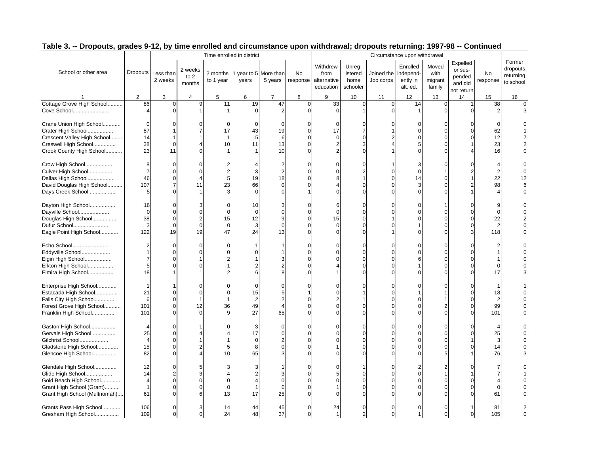|                                                                                                                                   |                                                  |                                                                |                                              | Time enrolled in district  |                                                             |                                                      |                |                                              |                                                               |                         | Circumstance upon withdrawal                                   |                                                                |                                                        |                                              |                                              |
|-----------------------------------------------------------------------------------------------------------------------------------|--------------------------------------------------|----------------------------------------------------------------|----------------------------------------------|----------------------------|-------------------------------------------------------------|------------------------------------------------------|----------------|----------------------------------------------|---------------------------------------------------------------|-------------------------|----------------------------------------------------------------|----------------------------------------------------------------|--------------------------------------------------------|----------------------------------------------|----------------------------------------------|
| School or other area                                                                                                              |                                                  | Dropouts Less than<br>2 weeks                                  | 2 weeks<br>to 2<br>months                    | 2 months<br>to 1 year      | 1 year to 5 More than<br>years                              | 5 years                                              | No<br>response | Withdrew<br>from<br>alternative<br>education | Unreg-<br>istered<br>home<br>schooler                         | Joined the<br>Job corps | Enrolled<br>independ-<br>ently in<br>alt. ed.                  | Moved<br>with<br>migrant<br>family                             | Expelled<br>or sus-<br>pended<br>and did<br>not return | No<br>response                               | Former<br>dropouts<br>returning<br>to school |
|                                                                                                                                   | $\overline{2}$                                   | 3                                                              | 4                                            | $\overline{5}$             | 6                                                           | $\overline{7}$                                       | $\overline{8}$ | 9                                            | 10                                                            | 11                      | 12                                                             | 13                                                             | 14                                                     | 15                                           | 16                                           |
| Cottage Grove High School<br>Cove School                                                                                          | 86<br>$\Delta$                                   | 0<br>$\Omega$                                                  | 9                                            | 11                         | 19<br>$\mathbf{0}$                                          | 47<br>$\overline{2}$                                 | 0<br>$\Omega$  | 33<br>$\Omega$                               | $\mathsf 0$<br>$\mathbf 1$                                    | 0<br>n                  | 14<br>$\mathbf{1}$                                             | $\mathbf 0$<br>$\mathbf 0$                                     |                                                        | 38<br>$\mathcal{P}$                          | $\Omega$                                     |
| Crane Union High School<br>Crater High School<br>Crescent Valley High School<br>Creswell High School<br>Crook County High School  | 0<br>87<br>14<br>38<br>23                        | 1<br>$\mathbf 0$<br>11                                         | $\overline{7}$<br>1<br>$\Delta$              | 17<br>10                   | $\mathbf 0$<br>43<br>5<br>11                                | $\mathbf 0$<br>19<br>6<br>13<br>10                   | $\Omega$       | $\Omega$<br>17<br>$\Omega$<br>$\overline{2}$ | $\mathbf 0$<br>$\overline{7}$<br>$\mathbf 0$<br>3<br>$\Omega$ |                         | $\Omega$<br>$\mathbf 0$<br>$\mathbf 0$<br>5<br>$\Omega$        | $\Omega$<br>$\mathbf 0$<br>$\Omega$<br>$\mathbf 0$<br>$\Omega$ |                                                        | $\Omega$<br>62<br>12<br>23<br>16             |                                              |
| Crow High School<br>Culver High School<br>Dallas High School<br>David Douglas High School<br>Days Creek School                    | 8<br>$\overline{7}$<br>46<br>107<br>5            | $\Omega$<br>$\Omega$<br>$\Omega$<br>$\overline{7}$<br>$\Omega$ | $\Omega$<br>$\overline{4}$<br>11             | 23                         | $\overline{4}$<br>3<br>19<br>66<br>$\Omega$                 | $\boldsymbol{2}$<br>$\overline{2}$<br>18<br>$\Omega$ | $\Omega$       |                                              | 0<br>$\overline{2}$<br>$\Omega$<br>$\Omega$                   | $\Omega$                | 3<br>$\mathbf 0$<br>14<br>3<br>$\Omega$                        | $\Omega$<br>-1<br>$\Omega$<br>$\Omega$<br>$\Omega$             |                                                        | 22<br>98                                     | 12                                           |
| Dayton High School<br>Dayville School<br>Douglas High School<br>Dufur School<br>Eagle Point High School                           | 16<br>$\mathbf 0$<br>38<br>3<br>122              | $\Omega$<br>$\Omega$<br>$\Omega$<br>$\mathbf 0$<br>19          | $\Omega$<br>$\overline{2}$<br>$\Omega$<br>19 | 15<br>$\Omega$<br>47       | 10<br>$\mathbf 0$<br>12<br>3<br>24                          | З<br>$\Omega$<br>$\mathbf{q}$<br>$\Omega$<br>13      |                | 6<br>$\Omega$<br>15                          | $\Omega$<br>$\Omega$<br>$\Omega$<br>$\Omega$<br>$\Omega$      |                         | $\Omega$<br>$\Omega$<br>$\Omega$<br>$\overline{1}$<br>$\Omega$ | $\Omega$<br>$\Omega$<br>$\Omega$<br>$\Omega$                   | $\Omega$<br>C                                          | 9<br>$\Omega$<br>22<br>$\overline{2}$<br>118 |                                              |
| Echo School<br>Eddyville School<br>Elgin High School<br>Elkton High School<br>Elmira High School                                  | 1<br>$\overline{7}$<br>5<br>18                   | $\Omega$<br>$\Omega$<br>$\Omega$<br>$\Omega$                   | $\Omega$<br>$\Omega$                         |                            | $\Omega$<br>6                                               |                                                      |                |                                              | $\Omega$<br>$\Omega$<br>$\Omega$<br>$\Omega$<br>$\Omega$      | U                       | $\Omega$<br>$\mathbf 0$<br>6<br>1<br>$\Omega$                  | $\Omega$<br>$\mathbf 0$<br>$\Omega$<br>$\Omega$<br>$\Omega$    | $\Omega$                                               | O<br>17                                      |                                              |
| Enterprise High School<br>Estacada High School<br>Falls City High School<br>Forest Grove High School<br>Franklin High School      | -1<br>21<br>6<br>101<br>101                      | $\Omega$<br>$\Omega$<br>0<br>$\Omega$                          | 12                                           | ∩<br>36                    | $\mathbf 0$<br>15<br>$\overline{c}$<br>49<br>27             | $\Omega$<br>5<br>$\boldsymbol{\varDelta}$<br>65      |                | $\Omega$                                     | $\Omega$<br>$\Omega$<br>$\Omega$                              | U                       | $\Omega$<br>1<br>$\Omega$<br>$\mathbf 0$<br>$\Omega$           | $\Omega$<br>$\overline{2}$<br>$\Omega$                         | $\Omega$                                               | 18<br>$\overline{2}$<br>99<br>101            |                                              |
| Gaston High School<br>Gervais High School<br>Gilchrist School<br>Gladstone High School<br>Glencoe High School                     | 25<br>$\overline{4}$<br>15<br>82                 | $\Omega$<br>$\Omega$<br>$\Omega$<br>$\Omega$<br>$\Omega$       | $\overline{2}$<br>$\Delta$                   | 5<br>10                    | 3<br>17<br>$\mathbf 0$<br>8<br>65                           | $\Omega$<br>$\Omega$<br>$\Omega$                     | $\Omega$       |                                              | $\Omega$<br>$\Omega$<br>$\Omega$<br>$\Omega$<br>$\Omega$      | $\Omega$                | $\mathbf 0$<br>$\Omega$<br>$\Omega$<br>$\Omega$<br>$\Omega$    | $\mathbf 0$<br>$\Omega$<br>$\Omega$<br>$\Omega$<br>5           | $\Omega$                                               | 25<br>3<br>14<br>76                          |                                              |
| Glendale High School<br>Glide High School<br>Gold Beach High School<br>Grant High School (Grant)<br>Grant High School (Multnomah) | 12<br>14<br>$\overline{4}$<br>$\mathbf{1}$<br>61 | $\Omega$<br>$\overline{2}$<br>$\Omega$<br>$\Omega$<br>$\Omega$ | 5<br>3<br>$\Omega$<br>$\Omega$<br>6          | $\Omega$<br>$\Omega$<br>13 | 3<br>$\overline{2}$<br>$\overline{4}$<br>$\mathbf{1}$<br>17 | $\Omega$<br>$\Omega$<br>25                           |                | $\Omega$                                     | $\Omega$<br>$\Omega$<br>$\Omega$<br>$\Omega$                  |                         | 2<br>$\Omega$<br>$\mathbf 0$<br>$\Omega$<br>$\Omega$           | $\Omega$<br>$\Omega$<br>$\Omega$                               |                                                        | $\Omega$<br>61                               |                                              |
| Grants Pass High School<br>Gresham High School                                                                                    | 106<br>109                                       | 0                                                              | 3<br>$\mathbf 0$                             | 14<br>24                   | 44<br>48                                                    | 45<br>37                                             | $\Omega$       | 24<br>$\mathbf{1}$                           | $\Omega$<br>2                                                 | $\mathbf 0$             | $\Omega$<br>$\mathbf{1}$                                       | $\Omega$<br>$\mathbf 0$                                        | $\Omega$                                               | 81<br>105                                    |                                              |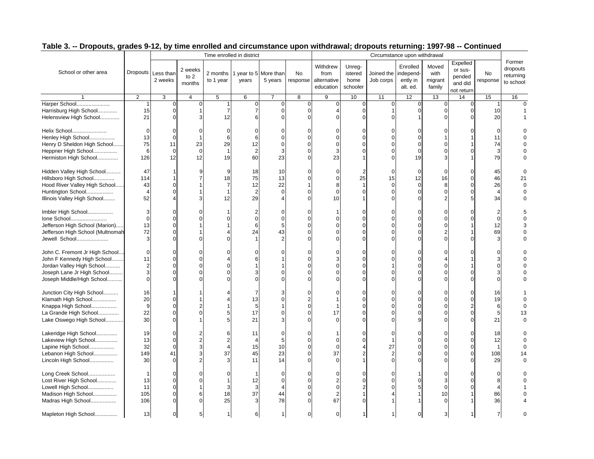|                                                                                                                                                      |                                         |                                                          |                                            | Time enrolled in district |                                                |                                                           |                              |                                              |                                       |                                                          | Circumstance upon withdrawal                                      |                                                              |                                                        |                                        |                                              |
|------------------------------------------------------------------------------------------------------------------------------------------------------|-----------------------------------------|----------------------------------------------------------|--------------------------------------------|---------------------------|------------------------------------------------|-----------------------------------------------------------|------------------------------|----------------------------------------------|---------------------------------------|----------------------------------------------------------|-------------------------------------------------------------------|--------------------------------------------------------------|--------------------------------------------------------|----------------------------------------|----------------------------------------------|
| School or other area                                                                                                                                 |                                         | Dropouts Less than<br>2 weeks                            | 2 weeks<br>to $2$<br>months                | 2 months<br>to 1 year     | 1 year to 5 More than<br>years                 | 5 years                                                   | No<br>response               | Withdrew<br>from<br>alternative<br>education | Unreg-<br>istered<br>home<br>schooler | Joined the<br>Job corps                                  | Enrolled<br>independ-<br>ently in<br>alt. ed.                     | Moved<br>with<br>migrant<br>family                           | Expelled<br>or sus-<br>pended<br>and did<br>not return | No<br>response                         | Former<br>dropouts<br>returning<br>to school |
|                                                                                                                                                      | 2                                       | 3                                                        | 4                                          | 5                         | 6                                              | $\overline{7}$                                            | 8                            | 9                                            | 10                                    | 11                                                       | 12                                                                | 13                                                           | 14                                                     | 15                                     | 16                                           |
| Harper School<br>Harrisburg High School<br>Helensview High School                                                                                    | $\mathbf{1}$<br>15<br>21                | $\Omega$<br>$\Omega$<br>$\Omega$                         | $\Omega$<br>3                              | 12                        | $\mathbf 0$<br>$\overline{7}$<br>6             | $\Omega$<br>$\Omega$<br>$\Omega$                          | $\mathbf 0$<br>$\Omega$<br>∩ | $\mathbf 0$                                  | 0<br>$\Omega$<br>$\Omega$             | $\mathbf 0$<br>$\mathbf 1$<br>$\Omega$                   | $\mathbf 0$<br>$\mathbf 0$                                        | $\mathbf{C}$<br>$\mathbf 0$<br>$\sqrt{ }$                    | $\mathbf 0$<br>$\Omega$                                | 10<br>20                               | $\Omega$                                     |
| Helix School<br>Henley High School<br>Henry D Sheldon High School<br>Heppner High School<br>Hermiston High School                                    | $\mathbf 0$<br>13<br>75<br>6<br>126     | 0<br>$\mathbf 0$<br>11<br>$\mathbf 0$<br>12              | $\Omega$<br>-1<br>23<br>$\mathbf 0$<br>12  | 6<br>29<br>19             | $\mathbf 0$<br>6<br>12<br>$\overline{2}$<br>60 | $\Omega$<br>C<br>$\mathbf 0$<br>3<br>23                   | $\Omega$                     | $\Omega$<br>3<br>23                          | $\Omega$<br>$\Omega$<br>$\Omega$      | $\Omega$<br>$\Omega$                                     | $\Omega$<br>$\mathsf{C}$<br>$\Omega$<br>$\Omega$<br>19            | ſ<br>C<br>3                                                  |                                                        | $\Omega$<br>11<br>74<br>3<br>79        |                                              |
| Hidden Valley High School<br>Hillsboro High School<br>Hood River Valley High School<br>Huntington School<br>Illinois Valley High School              | 47<br>114<br>43<br>$\overline{4}$<br>52 | 1<br>1<br>$\Omega$<br>$\Omega$<br>4                      | 9<br>3                                     | 9<br>18<br>12             | 18<br>75<br>12<br>$\overline{c}$<br>29         | 10<br>13<br>22<br>$\Omega$<br>$\boldsymbol{\vartriangle}$ | $\Omega$<br>$\Omega$         | $\Omega$<br>$\Omega$<br>8<br>$\Omega$<br>10  | 25                                    | $\Omega$<br>15<br>$\mathbf 0$<br>$\mathbf 0$<br>$\Omega$ | $\mathbf 0$<br>12<br>$\mathbf 0$<br>$\Omega$<br>$\Omega$          | $\mathbf 0$<br>16<br>8<br>$\mathbf{C}$<br>2                  | $\Omega$<br>0                                          | 45<br>46<br>26<br>$\overline{4}$<br>34 | 21                                           |
| Imbler High School<br>Ione School<br>Jefferson High School (Marion)<br>Jefferson High School (Multnomah<br>Jewell School                             | 3<br>$\mathbf 0$<br>13<br>72<br>3       | $\Omega$<br>$\Omega$<br>$\Omega$<br>$\Omega$<br>$\Omega$ | O                                          |                           | $\overline{2}$<br>$\mathbf 0$<br>6<br>24       | $\Omega$<br>$\Omega$<br>5<br>43                           | $\Omega$                     |                                              | $\Omega$<br>$\Omega$                  | $\Omega$<br>$\Omega$                                     | $\Omega$<br>$\Omega$<br>$\Omega$<br>$\mathsf{C}$<br>$\mathcal{C}$ | $\sqrt{ }$<br>$\sqrt{ }$<br>C                                |                                                        | 12<br>69                               |                                              |
| John C. Fremont Jr High School<br>John F Kennedy High School<br>Jordan Valley High School<br>Joseph Lane Jr High School<br>Joseph Middle/High School | 0<br>11<br>2<br>3<br>0                  | $\Omega$<br>$\Omega$<br>$\Omega$<br>$\Omega$<br>$\Omega$ |                                            |                           | $\Omega$<br>6<br>З                             | C                                                         | O                            |                                              | $\Omega$<br>$\Omega$                  | $\Omega$<br>$\Omega$<br>$\Omega$                         | $\Omega$<br>$\mathsf{C}$<br>$\mathcal{C}$<br>$\Omega$<br>$\Omega$ | $\sqrt{ }$<br>$\Omega$                                       |                                                        |                                        |                                              |
| Junction City High School<br>Klamath High School<br>Knappa High School<br>La Grande High School<br>Lake Oswego High School                           | 16<br>20<br>9<br>22<br>30               | $\Omega$<br>$\Omega$<br>$\Omega$<br>$\Omega$             | 2                                          |                           | 7<br>13<br>5<br>17<br>21                       | 3                                                         | $\Omega$                     | 17                                           | $\Omega$<br>$\Omega$<br>$\Omega$      | $\Omega$<br>$\Omega$<br>$\Omega$                         | $\Omega$<br>$\Omega$<br>$\Omega$                                  | $\sqrt{ }$<br>$\sqrt{ }$<br>$\Omega$<br>C<br>C               |                                                        | 16<br>19<br>6<br>5<br>21               | 13                                           |
| Lakeridge High School<br>Lakeview High School<br>Lapine High School<br>Lebanon High School<br>Lincoln High School                                    | 19<br>13<br>32<br>149<br>30             | 0<br>$\Omega$<br>$\Omega$<br>41<br>$\Omega$              | $\overline{2}$<br>3<br>3<br>$\overline{2}$ | 37                        | 11<br>4<br>15<br>45<br>11                      | $\Omega$<br>5<br>10<br>23<br>14                           | $\Omega$                     | $\Omega$<br>$\Omega$<br>37<br>$\Omega$       | $\overline{2}$                        | $\Omega$<br>1<br>27<br>$\overline{2}$<br>$\mathbf 0$     | $\Omega$<br>$\Omega$<br>$\Omega$<br>C<br>$\Omega$                 | $\sqrt{ }$<br>$\Omega$<br>$\Omega$<br>$\sqrt{ }$<br>$\Omega$ | $\Omega$<br>$\Omega$                                   | 18<br>12<br>1<br>108<br>29             |                                              |
| Long Creek School<br>Lost River High School<br>Lowell High School<br>Madison High School<br>Madras High School                                       | $\mathbf{1}$<br>13<br>11<br>105<br>106  | $\Omega$<br>$\Omega$<br>$\Omega$<br>$\Omega$<br>$\Omega$ | 0<br>6<br>$\Omega$                         | 18<br>25                  | 12<br>3<br>37<br>3                             | <sup>-</sup><br>$\sqrt{ }$<br>4<br>44<br>78               |                              | 2<br>$\Omega$<br>$\overline{c}$<br>67        | $\Omega$                              | $\Omega$<br>$\Omega$<br>$\Omega$                         | $\Omega$                                                          | $\mathbf C$<br>3<br>$\sqrt{ }$<br>10<br>$\sqrt{ }$           |                                                        | 86<br>36                               |                                              |
| Mapleton High School                                                                                                                                 | 13                                      | 0                                                        | 5                                          |                           | 6                                              |                                                           | $\Omega$                     | 0                                            |                                       |                                                          | $\Omega$                                                          | 3                                                            |                                                        |                                        |                                              |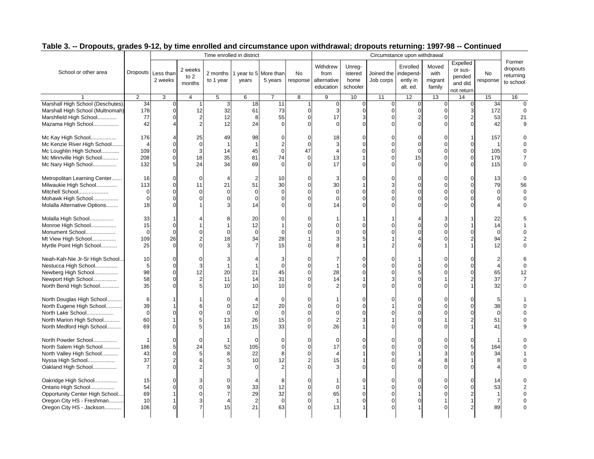|                                                                                                                                        |                                               |                                                        |                                                  | Time enrolled in district        |                                                          |                                                             |                                                    |                                              |                                                              |                                                          | Circumstance upon withdrawal                                |                                                          |                                                        |                                                    |                                              |
|----------------------------------------------------------------------------------------------------------------------------------------|-----------------------------------------------|--------------------------------------------------------|--------------------------------------------------|----------------------------------|----------------------------------------------------------|-------------------------------------------------------------|----------------------------------------------------|----------------------------------------------|--------------------------------------------------------------|----------------------------------------------------------|-------------------------------------------------------------|----------------------------------------------------------|--------------------------------------------------------|----------------------------------------------------|----------------------------------------------|
| School or other area                                                                                                                   |                                               | Dropouts Less than<br>2 weeks                          | 2 weeks<br>to $2$<br>months                      | 2 months<br>to 1 year            | 1 year to 5 More than<br>years                           | 5 years                                                     | No<br>response                                     | Withdrew<br>from<br>alternative<br>education | Unreg-<br>istered<br>home<br>schooler                        | Joined the<br>Job corps                                  | Enrolled<br>independ-<br>ently in<br>alt. ed.               | Moved<br>with<br>migrant<br>family                       | Expelled<br>or sus-<br>pended<br>and did<br>not return | No<br>response                                     | Former<br>dropouts<br>returning<br>to school |
|                                                                                                                                        | 2                                             | 3                                                      | 4                                                | $\overline{5}$                   | 6                                                        | $\overline{7}$                                              | $\overline{8}$                                     | 9                                            | 10                                                           | 11                                                       | 12                                                          | 13                                                       | 14                                                     | 15                                                 | 16                                           |
| Marshall High School (Deschutes).<br>Marshall High School (Multnomah)<br>Marshfield High School<br>Mazama High School                  | 34<br>178<br>77<br>42                         | 0<br>$\mathbf 0$<br>0<br>4                             | 12<br>$\overline{2}$<br>$\overline{2}$           | 3<br>32<br>12<br>12              | 18<br>61<br>8<br>24                                      | 11<br>73<br>55<br>$\Omega$                                  | 1<br>$\Omega$<br>$\Omega$                          | $\pmb{0}$<br>3<br>17<br>$\Omega$             | $\mathbf 0$<br>$\mathbf 0$<br>3<br>$\Omega$                  | $\mathbf 0$<br>$\mathbf 0$<br>$\Omega$<br>$\Omega$       | $\boldsymbol{0}$<br>$\pmb{0}$<br>$\overline{2}$<br>$\Omega$ | $\mathbf 0$<br>$\overline{0}$<br>$\Omega$<br>$\Omega$    | 0<br>3<br>U                                            | 34<br>172<br>53<br>42                              | $\Omega$<br>21                               |
| Mc Kay High School<br>Mc Kenzie River High School<br>Mc Loughlin High School<br>Mc Minnville High School<br>Mc Nary High School        | 176<br>$\overline{4}$<br>109<br>208<br>132    | 0<br>0<br>0<br>5                                       | 25<br>$\mathbf 0$<br>3<br>18<br>24               | 49<br>14<br>35<br>34             | 98<br>$\mathbf{1}$<br>45<br>81<br>69                     | $\Omega$<br>$\overline{2}$<br>$\mathbf 0$<br>74<br>$\Omega$ | $\Omega$<br>$\Omega$<br>47<br>$\Omega$<br>$\Omega$ | 18<br>3<br>13<br>17                          | $\Omega$<br>$\Omega$<br>$\Omega$<br>$\mathbf{1}$<br>$\Omega$ | $\Omega$<br>$\Omega$<br>$\Omega$<br>$\Omega$<br>$\Omega$ | $\Omega$<br>$\Omega$<br>$\mathbf 0$<br>15<br>$\Omega$       | $\Omega$<br>$\Omega$<br>$\Omega$<br>$\Omega$<br>$\Omega$ | 0<br>$\Omega$<br>$\Omega$<br>$\Omega$                  | 157<br>105<br>179<br>115                           |                                              |
| Metropolitan Learning Center<br>Milwaukie High School<br>Mitchell School<br>Mohawk High School<br>Molalla Alternative Options          | 16<br>113<br>$\mathbf 0$<br>$\mathbf 0$<br>18 | 0<br>0<br>0<br>$\Omega$<br>$\Omega$                    | $\Omega$<br>11<br>$\Omega$<br>$\Omega$           | 21<br>∩<br>O                     | $\overline{2}$<br>51<br>$\mathbf 0$<br>$\mathbf 0$<br>14 | 10<br>30<br>$\overline{0}$<br>$\Omega$                      |                                                    | 3<br>30<br>$\mathbf 0$<br>$\Omega$<br>14     | $\Omega$<br>$\mathbf 0$<br>$\Omega$<br>$\Omega$              | 3<br>$\Omega$                                            | $\Omega$<br>$\Omega$<br>$\Omega$<br>$\Omega$<br>$\Omega$    | $\Omega$<br>$\Omega$<br>$\Omega$<br>$\Omega$             | $\Omega$<br>O                                          | 13<br>79<br>$\Omega$                               | 56                                           |
| Molalla High School<br>Monroe High School<br>Monument School<br>Mt View High School<br>Myrtle Point High School                        | 33<br>15<br>$\mathbf 0$<br>109<br>25          | 1<br>$\Omega$<br>$\mathbf 0$<br>26<br>$\Omega$         | $\Omega$<br>$\overline{2}$<br>$\Omega$           | 8<br>∩<br>18                     | 20<br>12<br>$\mathbf 0$<br>34<br>$\overline{7}$          | 0<br>$\Omega$<br>28<br>15                                   | $\Omega$                                           |                                              | $\Omega$<br>$\Omega$<br>5<br>$\mathbf 1$                     | $\Omega$                                                 | $\Omega$<br>$\Omega$                                        | 3<br>$\epsilon$<br>$\Omega$                              |                                                        | 22<br>14<br>$\mathbf 0$<br>94<br>12                |                                              |
| Neah-Kah-Nie Jr-Sr High School<br>Nestucca High School<br>Newberg High School<br>Newport High School<br>North Bend High School         | 10<br>5<br>98<br>58<br>35                     | 0<br>$\mathbf 0$<br>0<br>0<br>0                        | $\Omega$<br>3<br>12<br>$\overline{2}$<br>5       | 3<br>20<br>11<br>10              | $\overline{4}$<br>$\overline{1}$<br>21<br>14<br>10       | 3<br>$\overline{0}$<br>45<br>31<br>10                       | $\Omega$<br>$\Omega$                               | 28<br>14                                     | $\mathbf 0$<br>$\mathbf 0$<br>$\mathbf 0$<br>$\Omega$        | $\Omega$<br>$\Omega$<br>$\Omega$<br>3                    | $\Omega$<br>5<br>$\Omega$<br>$\Omega$                       | $\Omega$<br>$\Omega$<br>$\Omega$                         | $\Omega$                                               | 65<br>37<br>32                                     | 12<br>$\Omega$                               |
| North Douglas High School<br>North Eugene High School<br>North Lake School<br>North Marion High School<br>North Medford High School    | 6<br>39<br>$\mathbf 0$<br>60<br>69            | 0<br>1<br>$\Omega$                                     | 6<br>$\Omega$<br>5<br>5                          | $\Omega$<br>$\Omega$<br>13<br>16 | $\overline{4}$<br>12<br>$\mathbf{0}$<br>26<br>15         | $\Omega$<br>20<br>$\mathbf 0$<br>15<br>33                   | $\Omega$<br>$\Omega$                               | $\Omega$<br>$\overline{2}$<br>26             | $\Omega$<br>$\mathbf 0$<br>$\Omega$<br>3<br>$\mathbf{1}$     | $\Omega$<br>$\Omega$                                     | $\Omega$<br>$\Omega$<br>$\Omega$<br>$\Omega$<br>$\Omega$    | $\Omega$<br>$\Omega$<br>$\Omega$<br>$\Omega$             | ŋ                                                      | 5<br>38<br>$\mathbf 0$<br>51<br>41                 |                                              |
| North Powder School<br>North Salem High School<br>North Valley High School<br>Nyssa High School<br>Oakland High School                 | -1<br>186<br>43<br>37<br>$\overline{7}$       | 0<br>5<br>$\mathbf 0$<br>$\overline{2}$<br>$\mathbf 0$ | $\Omega$<br>24<br>5<br>6                         | 52<br>8<br>5                     | $\Omega$<br>105<br>22<br>10<br>$\Omega$                  | $\Omega$<br>$\mathbf 0$<br>8<br>12<br>$\overline{c}$        |                                                    | $\Omega$<br>17<br>15                         | $\Omega$<br>$\mathbf 0$<br>$\Omega$                          | $\Omega$<br>$\Omega$                                     | $\Omega$<br>$\Omega$                                        | C<br>$\Omega$<br>8<br>$\Omega$                           |                                                        | 164<br>34<br>8                                     |                                              |
| Oakridge High School<br>Ontario High School<br>Opportunity Center High School<br>Oregon City HS - Freshman<br>Oregon City HS - Jackson | 15<br>54<br>69<br>10<br>106                   | 0<br>0<br>1<br>1<br>$\Omega$                           | 3<br>$\Omega$<br>$\Omega$<br>3<br>$\overline{7}$ | q<br>15                          | $\overline{4}$<br>33<br>29<br>$\overline{2}$<br>21       | 8<br>12<br>32<br>$\mathbf 0$<br>63                          | O<br>$\Omega$                                      | $\Omega$<br>65<br>$\mathbf{1}$<br>13         | $\Omega$<br>$\mathbf 0$<br>$\mathbf 0$                       | $\Omega$<br>$\Omega$<br>$\Omega$<br>$\Omega$             | $\Omega$<br>$\Omega$<br>$\Omega$                            | $\Omega$<br>$\Omega$<br>$\sqrt{ }$                       |                                                        | 14<br>53<br>$\overline{1}$<br>$\overline{7}$<br>89 |                                              |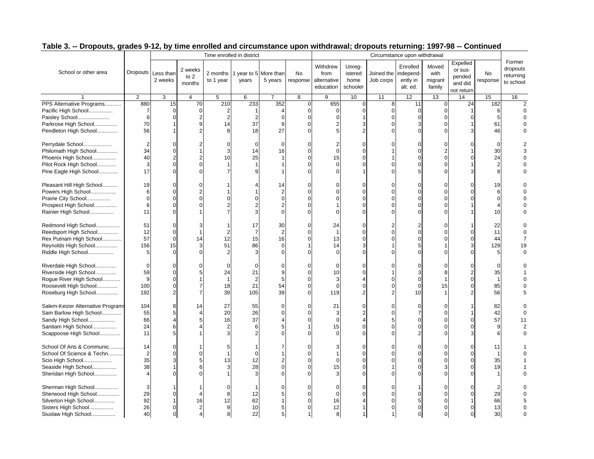|                                  |                |                               |                                         |                       | Time enrolled in district      |                |                |                                              |                                       |                         | Circumstance upon withdrawal                  |                                    |                                                        |                |                                              |
|----------------------------------|----------------|-------------------------------|-----------------------------------------|-----------------------|--------------------------------|----------------|----------------|----------------------------------------------|---------------------------------------|-------------------------|-----------------------------------------------|------------------------------------|--------------------------------------------------------|----------------|----------------------------------------------|
| School or other area             |                | Dropouts Less than<br>2 weeks | 2 weeks<br>to 2<br>months               | 2 months<br>to 1 year | 1 year to 5 More than<br>years | 5 years        | No<br>response | Withdrew<br>from<br>alternative<br>education | Unreg-<br>istered<br>home<br>schooler | Joined the<br>Job corps | Enrolled<br>independ-<br>ently in<br>alt. ed. | Moved<br>with<br>migrant<br>family | Expelled<br>or sus-<br>pended<br>and did<br>not return | No<br>response | Former<br>dropouts<br>returning<br>to school |
|                                  | $\overline{2}$ | 3                             | 4                                       | $5\overline{)}$       | 6                              | $\overline{7}$ | $\overline{8}$ | 9                                            | 10                                    | 11                      | 12                                            | 13                                 | 14                                                     | 15             | 16                                           |
| PPS Alternative Programs         | 880            | 15                            | 70                                      | $\overline{210}$      | 233                            | 352            | $\mathbf 0$    | 655                                          | $\mathbf 0$                           | 8                       | 11                                            | $\mathbf 0$                        | 24                                                     | 182            |                                              |
| Pacific High School              | 7              | $\Omega$                      | $\mathbf 0$                             | 2                     |                                | 4              | $\mathbf 0$    | $\Omega$                                     | $\mathbf 0$                           | $\mathbf 0$             | $\mathbf 0$                                   | $\mathbf 0$                        |                                                        | 6              |                                              |
| Paisley School                   | 6              | $\Omega$                      | $\overline{2}$                          | 2                     | $\overline{2}$                 | $\cap$         | $\Omega$       |                                              |                                       | $\Omega$                | $\Omega$                                      | $\Omega$                           |                                                        | 5              |                                              |
| Parkrose High School             | 70             |                               | 9                                       | 14                    | 37                             | q              | $\Omega$       |                                              | 3                                     |                         | 3                                             | $\Omega$                           |                                                        | 61             |                                              |
| Pendleton High School            | 56             |                               | $\mathfrak{p}$                          | 8                     | 18                             | 27             |                |                                              |                                       | $\Omega$                | $\Omega$                                      | $\Omega$                           |                                                        | 46             |                                              |
| Perrydale School                 | $\overline{2}$ | $\Omega$                      | 2                                       | $\Omega$              | $\mathbf 0$                    | $\Omega$       | $\Omega$       | 2                                            | $\Omega$                              |                         | $\Omega$                                      | $\Omega$                           |                                                        | $\Omega$       |                                              |
| Philomath High School            | 34             | $\Omega$                      |                                         | 3                     | 14                             | 16             |                | $\Omega$                                     |                                       |                         | $\Omega$                                      | 2                                  |                                                        | 30             |                                              |
| Phoenix High School              | 40             | $\overline{2}$                | 2                                       | 10                    | 25                             |                |                | 15                                           | $\Omega$                              |                         | $\Omega$                                      | $\Omega$                           |                                                        | 24             |                                              |
| Pilot Rock High School           | 3              | $\Omega$                      | $\Omega$                                |                       | $\overline{1}$                 |                |                | $\Omega$                                     | $\Omega$                              | $\Omega$                | $\Omega$                                      | $\Omega$                           |                                                        | $\overline{2}$ |                                              |
| Pine Eagle High School           | 17             | $\Omega$                      | $\Omega$                                |                       |                                |                |                |                                              |                                       | $\Omega$                |                                               | $\Omega$                           |                                                        |                |                                              |
| Pleasant Hill High School        | 19             | $\Omega$                      | $\Omega$                                |                       | 4                              | 14             | $\Omega$       |                                              | $\Omega$                              | $\Omega$                | $\Omega$                                      | $\Omega$                           |                                                        | 19             |                                              |
| Powers High School               | 6              | $\mathbf 0$                   | 2                                       |                       |                                | 2              |                |                                              | $\Omega$                              | $\Omega$                | $\Omega$                                      | $\Omega$                           |                                                        | 6              |                                              |
| Prairie City School              | $\mathbf 0$    | $\mathbf 0$                   | $\Omega$                                | $\Omega$              | $\Omega$                       | $\Omega$       |                |                                              | $\Omega$                              | $\Omega$                | $\mathbf 0$                                   | $\Omega$                           |                                                        | $\overline{0}$ |                                              |
| Prospect High School             | 6              | $\Omega$                      |                                         |                       |                                |                |                |                                              |                                       | $\Omega$                | $\Omega$                                      | $\Omega$                           |                                                        |                |                                              |
| Rainier High School              | 11             | $\Omega$                      |                                         |                       | 3                              |                |                |                                              |                                       | $\Omega$                | $\Omega$                                      | $\Omega$                           |                                                        | 10             |                                              |
|                                  |                |                               |                                         |                       |                                |                |                |                                              |                                       |                         |                                               |                                    |                                                        |                |                                              |
| Redmond High School              | 51             | $\Omega$                      | 3                                       |                       | 17                             | 30             | $\Omega$       | 24                                           | $\Omega$                              | $\overline{2}$          | 2                                             | $\Omega$                           |                                                        | 22             |                                              |
| Reedsport High School            | 12             | $\Omega$                      | -1                                      | 2                     | $\overline{7}$                 | $\overline{2}$ |                | $\overline{1}$                               | $\Omega$                              | $\Omega$                | $\Omega$                                      | $\Omega$                           |                                                        | 11             |                                              |
| Rex Putnam High School           | 57             | $\mathbf 0$                   | 14                                      | 12                    | 15                             | 16             |                | 13                                           | $\Omega$                              | $\Omega$                | $\Omega$                                      | $\Omega$                           |                                                        | 44             |                                              |
| Reynolds High School             | 156            | 15                            | 3                                       | 51                    | 86                             | $\Omega$       |                | 14                                           |                                       |                         |                                               |                                    |                                                        | 129            | 19                                           |
| Riddle High School               | 5              | $\Omega$                      | $\Omega$                                | 2                     | 3                              |                | ∩              |                                              | $\Omega$                              | $\Omega$                | $\Omega$                                      | $\Omega$                           |                                                        | 5              |                                              |
| Riverdale High School            | 0              | $\Omega$                      |                                         | $\Omega$              | $\mathbf 0$                    |                |                |                                              |                                       |                         | $\Omega$                                      | $\Omega$                           |                                                        | 0              |                                              |
| Riverside High School            | 59             | $\mathbf 0$                   | 5                                       | 24                    | 21                             |                |                | 10                                           | $\Omega$                              |                         | 3                                             | 8                                  |                                                        | 35             |                                              |
| Rogue River High School          | 9              | $\Omega$                      |                                         | -1                    | $\overline{2}$                 | 5              |                | 3                                            |                                       |                         | $\mathbf 0$                                   |                                    |                                                        | $\overline{1}$ |                                              |
|                                  | 100            | $\Omega$                      | 7                                       | 18                    | 21                             | 54             | $\Omega$       | $\Omega$                                     | $\Omega$                              | $\Omega$                | $\mathbf 0$                                   | 15                                 |                                                        | 85             |                                              |
| Roosevelt High School            | 192            | $\overline{2}$                | $\overline{7}$                          | 39                    | 105                            | 39             | $\Omega$       | 119                                          | $\mathfrak{p}$                        | $\overline{2}$          | 10                                            |                                    |                                                        | 56             |                                              |
| Roseburg High School             |                |                               |                                         |                       |                                |                |                |                                              |                                       |                         |                                               |                                    |                                                        |                |                                              |
| Salem-Keizer Alternative Program | 104            | 8                             | 14                                      | 27                    | 55                             | $\Omega$       | $\Omega$       | 21                                           | $\Omega$                              | $\Omega$                | $\mathbf 0$                                   | $\Omega$                           |                                                        | 82             |                                              |
| Sam Barlow High School           | 55             | 5                             |                                         | 20                    | 26                             |                |                |                                              |                                       | $\Omega$                | $\overline{7}$                                | $\Omega$                           |                                                        | 42             |                                              |
| Sandy High School                | 66             | $\overline{4}$                |                                         | 16                    | 37                             |                |                |                                              |                                       |                         | $\Omega$                                      | $\Omega$                           |                                                        | 57             | 11                                           |
| Santiam High School              | 24             | 6                             |                                         | 2                     | 6                              | 5              |                | 15                                           | $\Omega$                              | $\Omega$                | $\Omega$                                      | $\Omega$                           |                                                        | 9              |                                              |
| Scappoose High School            | 11             | 5                             |                                         | 3                     | 2                              |                |                |                                              | $\Omega$                              |                         |                                               | $\Omega$                           |                                                        | 6              |                                              |
| School Of Arts & Communic        | 14             | $\Omega$                      |                                         | 5                     |                                |                | O              |                                              | $\Omega$                              | $\Omega$                | $\Omega$                                      | $\Omega$                           | O                                                      | 11             |                                              |
| School Of Science & Techn        | $\overline{2}$ | $\mathbf 0$                   | $\Omega$                                |                       | $\Omega$                       |                |                |                                              | $\Omega$                              |                         | $\Omega$                                      | $\Omega$                           |                                                        | $\mathbf{1}$   |                                              |
| Scio High School                 | 35             | 3                             | 5                                       | 13                    | 12                             |                | $\Omega$       | $\Omega$                                     | $\Omega$                              | $\Omega$                | $\Omega$                                      | $\Omega$                           |                                                        | 35             |                                              |
| Seaside High School              | 38             | 1                             | 6                                       | 3                     | 28                             |                |                | 15                                           |                                       |                         | $\Omega$                                      | 3                                  |                                                        | 19             |                                              |
| Sheridan High School             | 4              | $\Omega$                      |                                         |                       | 3                              |                |                |                                              | $\Omega$                              |                         | $\Omega$                                      | $\Omega$                           |                                                        |                |                                              |
| Sherman High School              | 3              |                               |                                         | $\Omega$              |                                |                | U              |                                              |                                       | $\Omega$                |                                               | $\Omega$                           |                                                        | $\overline{2}$ |                                              |
| Sherwood High School             | 29             | $\Omega$                      |                                         | 8                     | 12                             |                | O              | $\Omega$                                     | $\Omega$                              | $\Omega$                | $\Omega$                                      | $\Omega$                           |                                                        | 29             |                                              |
|                                  | 92             |                               | 16                                      | 12                    | 62                             |                |                | 16                                           |                                       | $\Omega$                | 5                                             | $\Omega$                           |                                                        | 66             |                                              |
| Silverton High School            | 26             | $\Omega$                      |                                         |                       |                                |                |                |                                              |                                       |                         | $\Omega$                                      | $\Omega$                           |                                                        |                |                                              |
| Sisters High School              |                |                               | $\overline{2}$<br>$\boldsymbol{\Delta}$ | 9                     | 10                             |                |                | 12                                           |                                       |                         |                                               | $\Omega$                           | $\Omega$                                               | 13             |                                              |
| Siuslaw High School              | 40             | $\mathbf 0$                   |                                         | 8                     | 22                             | 5              |                | 8                                            |                                       |                         | $\Omega$                                      |                                    |                                                        | 30             |                                              |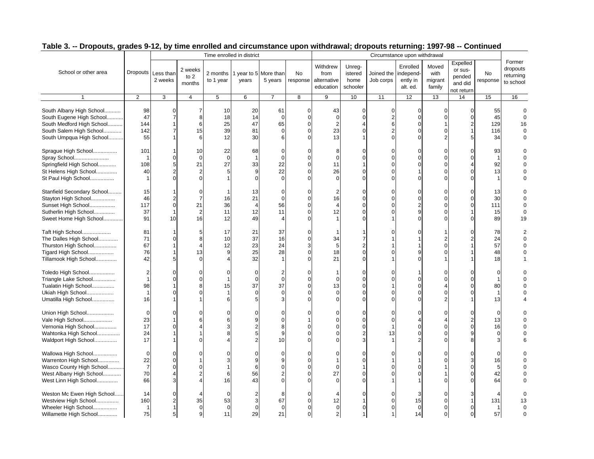|                                                                                                                                          |                                                            |                                                         |                                                    |                            | Time enrolled in district                              |                                                         |                    |                                              |                                                               |                                            | Circumstance upon withdrawal                                             |                                                                      |                                                        |                                                |                                              |
|------------------------------------------------------------------------------------------------------------------------------------------|------------------------------------------------------------|---------------------------------------------------------|----------------------------------------------------|----------------------------|--------------------------------------------------------|---------------------------------------------------------|--------------------|----------------------------------------------|---------------------------------------------------------------|--------------------------------------------|--------------------------------------------------------------------------|----------------------------------------------------------------------|--------------------------------------------------------|------------------------------------------------|----------------------------------------------|
| School or other area                                                                                                                     | <b>Dropouts</b>                                            | Less than<br>2 weeks                                    | 2 weeks<br>to $2$<br>months                        | 2 months<br>to 1 year      | 1 year to 5 More than<br>years                         | 5 years                                                 | No<br>response     | Withdrew<br>from<br>alternative<br>education | Unreg-<br>istered<br>home<br>schooler                         | Joined the<br>Job corps                    | Enrolled<br>independ-<br>ently in<br>alt. ed.                            | Moved<br>with<br>migrant<br>family                                   | Expelled<br>or sus-<br>pended<br>and did<br>not return | No<br>response                                 | Former<br>dropouts<br>returning<br>to school |
|                                                                                                                                          | $\mathbf{2}$                                               | 3                                                       | $\overline{4}$                                     | $\overline{5}$             | 6                                                      | $\overline{7}$                                          | 8                  | 9                                            | 10                                                            | 11                                         | 12                                                                       | 13                                                                   | 14                                                     | 15                                             | 16                                           |
| South Albany High School<br>South Eugene High School<br>South Medford High School<br>South Salem High School<br>South Umpqua High School | 98<br>47<br>144<br>142<br>55                               | 0<br>$\overline{7}$<br>$\overline{7}$                   | 7<br>8<br>6<br>15<br>6                             | 10<br>18<br>25<br>39<br>12 | 20<br>14<br>47<br>81<br>30                             | 61<br>$\mathbf 0$<br>65<br>$\Omega$<br>6                | 0<br>$\Omega$      | 43<br>$\Omega$<br>$\overline{c}$<br>23<br>13 | 0<br>$\overline{0}$<br>$\mathbf 0$                            | 0<br>$\overline{2}$<br>6<br>$\overline{2}$ | $\overline{0}$<br>$\mathbf{0}$<br>$\mathbf 0$<br>$\mathbf 0$<br>$\Omega$ | 0<br>$\mathbf 0$<br>$\mathbf 0$<br>$\overline{2}$                    | $\Omega$<br>$\Omega$                                   | 55<br>45<br>129<br>116<br>34                   | 16                                           |
| Sprague High School<br>Spray School<br>Springfield High School<br>St Helens High School<br>St Paul High School                           | 101<br>$\mathbf 1$<br>108<br>40<br>$\mathbf{1}$            | $\Omega$<br>5<br>$\overline{2}$<br>$\Omega$             | 10<br>$\Omega$<br>21<br>$\overline{2}$<br>$\Omega$ | 22<br>$\Omega$<br>27       | 68<br>$\overline{1}$<br>33<br>9<br>$\Omega$            | $\sqrt{ }$<br>$\Omega$<br>22<br>22<br>$\Omega$          |                    | 8<br>$\Omega$<br>11<br>26                    | $\Omega$<br>$\mathbf 0$<br>$\Omega$<br>$\Omega$               | $\Omega$<br>$\Omega$<br>$\Omega$           | $\Omega$<br>$\Omega$<br>$\Omega$<br>$\overline{1}$<br>$\Omega$           | $\Omega$<br>$\Omega$<br>$\mathbf 0$<br>$\Omega$<br>$\Omega$          | $\Omega$                                               | 93<br>$\overline{1}$<br>92<br>13               |                                              |
| Stanfield Secondary School<br>Stayton High School<br>Sunset High School<br>Sutherlin High School<br>Sweet Home High School               | 15<br>46<br>117<br>37<br>91                                | $\overline{2}$<br>$\mathbf 0$<br>1<br>10                | $\overline{7}$<br>21<br>$\overline{2}$<br>16       | 16<br>36<br>11<br>12       | 13<br>21<br>$\overline{4}$<br>12<br>49                 | $\sqrt{ }$<br>$\mathbf 0$<br>56<br>11<br>$\overline{4}$ | $\Omega$           | 2<br>16<br>12                                | $\Omega$<br>0<br>$\Omega$<br>$\mathbf 0$<br>$\Omega$          | $\Omega$                                   | $\Omega$<br>$\mathbf 0$<br>$\overline{2}$<br>9<br>$\Omega$               | $\Omega$<br>$\mathbf 0$<br>$\Omega$<br>$\mathbf 0$<br>$\Omega$       | $\Omega$<br>$\Omega$<br>$\Omega$                       | 13<br>30<br>111<br>15<br>89                    | 19                                           |
| Taft High School<br>The Dalles High School<br>Thurston High School<br>Tigard High School<br>Tillamook High School                        | 81<br>71<br>67<br>76<br>42                                 | $\Omega$<br>5                                           | 5<br>8<br>13                                       | 17<br>10<br>12<br>9        | 21<br>37<br>23<br>25<br>32                             | 37<br>16<br>24<br>28                                    | 0<br>0<br>$\Omega$ | 34<br>5<br>18<br>21                          | 7<br>$\overline{2}$<br>$\mathbf 0$<br>$\Omega$                |                                            | $\Omega$<br>9<br>$\Omega$                                                | $\overline{2}$<br>$\Omega$<br>$\Omega$                               | C                                                      | 78<br>24<br>57<br>48<br>18                     |                                              |
| Toledo High School<br>Triangle Lake School<br>Tualatin High School<br>Ukiah High School<br>Umatilla High School                          | $\overline{2}$<br>$\mathbf{1}$<br>98<br>$\mathbf{1}$<br>16 | $\Omega$<br>$\Omega$<br>0                               | $\Omega$                                           | 0<br>15                    | $\mathbf 0$<br>$\mathbf 0$<br>37<br>$\mathbf 0$<br>5   | 2<br>$\mathcal{C}$<br>37<br>$\mathcal{C}$<br>З          | $\Omega$           | 13                                           | 0<br>0<br>$\Omega$<br>$\Omega$<br>$\Omega$                    |                                            | $\overline{1}$<br>$\Omega$<br>$\Omega$<br>$\Omega$<br>$\Omega$           | $\Omega$<br>$\Omega$<br>$\overline{4}$<br>$\Omega$<br>$\overline{c}$ | $\Omega$<br>r                                          | $\mathbf 0$<br>1<br>80<br>$\overline{1}$<br>13 |                                              |
| Union High School<br>Vale High School<br>Vernonia High School<br>Wahtonka High School<br>Waldport High School                            | $\mathbf 0$<br>23<br>17<br>24<br>17                        | $\Omega$<br>$\Omega$                                    | O<br>6                                             |                            | $\Omega$<br>9<br>$\overline{2}$<br>5<br>$\overline{2}$ | $\epsilon$<br>$\Omega$<br>8<br>g<br>10                  |                    |                                              | $\Omega$<br>$\mathbf 0$<br>$\mathbf 0$<br>$\overline{2}$<br>3 | $\Omega$<br>13                             | $\Omega$<br>4<br>$\Omega$<br>$\Omega$<br>$\overline{2}$                  | $\Omega$<br>$\overline{4}$<br>$\mathbf 0$<br>$\Omega$<br>$\Omega$    |                                                        | $\overline{0}$<br>13<br>16<br>$\Omega$         |                                              |
| Wallowa High School<br>Warrenton High School<br>Wasco County High School<br>West Albany High School<br>West Linn High School             | $\overline{0}$<br>22<br>$\overline{7}$<br>70<br>66         | $\Omega$<br>$\Omega$<br>$\Omega$<br>$\overline{4}$<br>3 | 2                                                  | 6<br>16                    | $\mathbf C$<br>9<br>6<br>56<br>43                      | C<br>$\Omega$                                           |                    | $\Omega$<br>27                               | $\Omega$<br>0<br>0<br>$\Omega$                                |                                            | $\Omega$<br>$\mathbf 1$<br>$\Omega$                                      | $\Omega$<br>$\Omega$<br>$\Omega$                                     |                                                        | $\Omega$<br>16<br>5<br>42<br>64                |                                              |
| Weston Mc Ewen High School<br>Westview High School<br>Wheeler High School<br>Willamette High School                                      | 14<br>160<br>$\overline{1}$<br>75                          | $\Omega$<br>$\overline{2}$<br>1<br>5 <sup>5</sup>       | 35<br>$\mathbf 0$<br>9                             | 53<br>$\Omega$<br>11       | $\overline{2}$<br>3<br>$\Omega$<br>29                  | 8<br>67<br>$\Omega$<br>21                               | $\Omega$           | 12<br>$\mathbf 0$<br>2                       | $\Omega$<br>$\Omega$<br>$\mathbf{1}$                          | $\Omega$                                   | 3<br>15<br>$\mathbf 0$<br>14                                             | $\Omega$<br>$\Omega$<br>$\Omega$<br>$\mathbf 0$                      | $\Omega$                                               | 131<br>$\mathbf{1}$<br>57                      |                                              |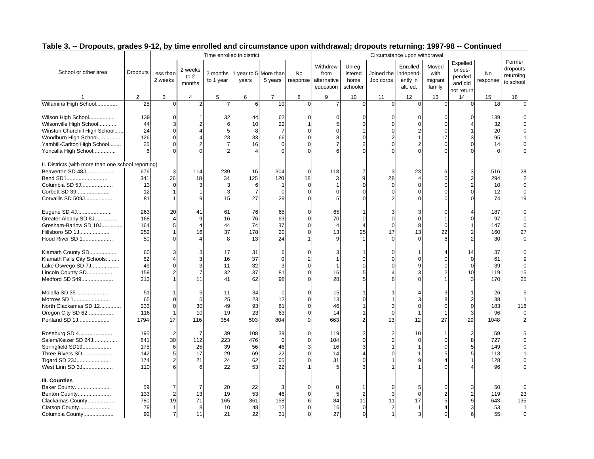|                                                     |           |                               |                             | Time enrolled in district |                |                                  |                |                                              |                                       |                         | Circumstance upon withdrawal                  |                                    |                                                        |                |                                              |
|-----------------------------------------------------|-----------|-------------------------------|-----------------------------|---------------------------|----------------|----------------------------------|----------------|----------------------------------------------|---------------------------------------|-------------------------|-----------------------------------------------|------------------------------------|--------------------------------------------------------|----------------|----------------------------------------------|
| School or other area                                |           | Dropouts Less than<br>2 weeks | 2 weeks<br>to $2$<br>months | 2 months<br>to 1 year     | years          | 1 year to 5 More than<br>5 years | No<br>response | Withdrew<br>from<br>alternative<br>education | Unreg-<br>istered<br>home<br>schooler | Joined the<br>Job corps | Enrolled<br>independ-<br>ently in<br>alt. ed. | Moved<br>with<br>migrant<br>family | Expelled<br>or sus-<br>pended<br>and did<br>not return | No<br>response | Former<br>dropouts<br>returning<br>to school |
|                                                     | 2         | 3                             | 4                           | $\overline{5}$            | 6              | $\overline{7}$                   | $\overline{8}$ | 9                                            | 10                                    | 11                      | 12                                            | 13                                 | 14                                                     | 15             | 16                                           |
| Willamina High School                               | 25        | 0                             | $\overline{2}$              |                           | 6              | 10                               | $\overline{0}$ |                                              | $\mathbf 0$                           | $\mathbf 0$             | $\overline{0}$                                | $\Omega$                           | $\Omega$                                               | 18             | $\Omega$                                     |
| Wilson High School<br>Wilsonville High School       | 139<br>44 | $\Omega$<br>3                 |                             | 32<br>6                   | 44<br>10       | 62<br>22                         | $\Omega$       | 5                                            | $\Omega$<br>3                         | $\Omega$<br>$\Omega$    | $\Omega$<br>$\Omega$                          | $\Omega$<br>$\Omega$               | $\Omega$                                               | 139<br>32      |                                              |
| Winston Churchill High School                       | 24        | $\Omega$                      | $\overline{4}$              | 5                         | 8              | $\overline{7}$                   | $\Omega$       | $\Omega$                                     |                                       | $\Omega$                | $\mathcal{P}$                                 | $\Omega$                           |                                                        | 20             |                                              |
| Woodburn High School                                | 126       | $\Omega$                      |                             | 23                        | 33             | 66                               | $\Omega$       | 8                                            | $\Omega$                              | 2                       |                                               | 17                                 |                                                        | 95             |                                              |
| Yamhill-Carlton High School                         | 25        | $\Omega$                      | $\overline{2}$              |                           | 16             | $\Omega$                         | $\Omega$       | $\overline{7}$                               | $\overline{2}$                        | $\Omega$                |                                               | $\Omega$                           |                                                        | 14             |                                              |
| Yoncalla High School                                | 6         | $\Omega$                      |                             |                           |                |                                  |                |                                              |                                       |                         |                                               | $\sqrt{ }$                         |                                                        |                |                                              |
|                                                     |           |                               |                             |                           |                |                                  |                |                                              |                                       |                         |                                               |                                    |                                                        |                |                                              |
| II. Districts (with more than one school reporting) |           |                               |                             |                           |                |                                  |                |                                              |                                       |                         |                                               |                                    |                                                        |                |                                              |
| Beaverton SD 48J                                    | 676       | 3                             | 114                         | 239                       | 16             | 304                              | $\Omega$       | 118                                          | 7                                     | 3                       | 23                                            | 6                                  | 3                                                      | 516            | 28                                           |
| Bend SD1                                            | 341       | 26                            | 18                          | 34                        | 125            | 120                              | 18             | 3                                            | 9                                     | 28                      | $\overline{4}$                                | $\sqrt{ }$                         |                                                        | 294            |                                              |
| Columbia SD 5J                                      | 13        | $\Omega$                      | 3                           | 3                         | 6              |                                  | $\Omega$       |                                              | $\Omega$                              | $\Omega$                | $\Omega$                                      | $\Omega$                           |                                                        | 10             |                                              |
| Corbett SD 39                                       | 12        | 1                             | $\mathbf 1$                 |                           | $\overline{7}$ | $\Omega$                         |                |                                              |                                       | $\Omega$                | $\Omega$                                      | $\Omega$                           |                                                        | 12             |                                              |
| Corvallis SD 509J                                   | 81        | 1                             | 9                           | 15                        | 27             | 29                               | $\Omega$       |                                              | $\Omega$                              | $\overline{2}$          | $\Omega$                                      | $\Omega$                           | $\Omega$                                               | 74             | 19                                           |
|                                                     |           |                               |                             |                           |                |                                  |                |                                              |                                       |                         |                                               |                                    |                                                        |                |                                              |
| Eugene SD 4J                                        | 263       | 20                            | 41                          | 61                        | 76             | 65                               | $\Omega$       | 65                                           |                                       |                         |                                               | $\sqrt{ }$                         |                                                        | 187            |                                              |
| Greater Albany SD 8J                                | 168       | 4                             | 9                           | 16                        | 76             | 63                               | $\Omega$       | 70                                           | $\mathbf 0$                           | $\mathbf 0$             | $\mathbf 0$                                   |                                    | $\Omega$                                               | 97             |                                              |
| Gresham-Barlow SD 10J                               | 164       | 5                             | $\overline{4}$              | 44                        | 74             | 37                               | $\Omega$       | $\overline{4}$                               |                                       | $\mathbf 0$             | 8                                             | $\Omega$                           |                                                        | 147            |                                              |
| Hillsboro SD 1J                                     | 252       | 1                             | 16                          | 37                        | 178            | 20                               |                | 13                                           | 25                                    | 17                      | 13                                            | 22                                 |                                                        | 160            | 27                                           |
| Hood River SD 1                                     | 50        | $\Omega$                      |                             |                           | 13             | 24                               |                |                                              |                                       | $\Omega$                | $\Omega$                                      | 8                                  |                                                        | 30             |                                              |
|                                                     |           |                               |                             |                           |                |                                  |                |                                              |                                       |                         |                                               |                                    |                                                        |                |                                              |
| Klamath County SD                                   | 60        | 3                             | 3                           | 17                        | 31             | 6                                | $\Omega$       |                                              |                                       | $\Omega$                |                                               | 4                                  | 14                                                     | 37             |                                              |
| Klamath Falls City Schools                          | 62        | 4                             | 3                           | 16                        | 37             | $\mathbf 0$                      |                |                                              | $\Omega$                              | $\Omega$                | $\mathsf{C}$                                  | $\Omega$                           | $\Omega$                                               | 61             |                                              |
| Lake Oswego SD 7J                                   | 49        | $\Omega$                      | 3                           | 11                        | 32             | 3                                |                |                                              | $\Omega$                              | $\Omega$                |                                               | $\Omega$                           | $\mathbf 0$                                            | 39             |                                              |
| Lincoln County SD                                   | 159       | $\overline{2}$                | $\overline{7}$              | 32                        | 37             | 81                               |                | 16                                           | 5                                     |                         | 3                                             |                                    | 10                                                     | 119            | 15                                           |
| Medford SD 549                                      | 213       | $\mathbf{1}$                  | 11                          | 41                        | 62             | 98                               |                | 28                                           |                                       |                         | $\sqrt{ }$                                    |                                    |                                                        | 170            | 25                                           |
| Molalla SD 35                                       | 51        |                               | 5                           | 11                        | 34             | $\mathbf 0$                      | U              | 15                                           |                                       |                         |                                               | З                                  |                                                        | 26             |                                              |
| Morrow SD 1                                         | 65        | $\Omega$                      | 5                           | 25                        | 23             | 12                               |                | 13                                           | $\Omega$                              |                         | p                                             | 8                                  |                                                        | 38             |                                              |
|                                                     | 233       | $\mathsf 0$                   | 30                          | 49                        | 93             | 61                               | $\Omega$       | 46                                           |                                       | 3                       | $\Omega$                                      | $\Omega$                           | $\Omega$                                               | 183            | 118                                          |
| North Clackamas SD 12                               |           | $\mathbf{1}$                  | 10                          |                           | 23             |                                  |                | 14                                           |                                       | $\Omega$                |                                               |                                    | 3                                                      | 96             |                                              |
| Oregon City SD 62                                   | 116       |                               |                             | 19                        |                | 63                               | $\Omega$       |                                              |                                       |                         |                                               |                                    |                                                        |                |                                              |
| Portland SD 1J                                      | 1794      | 17                            | 116                         | 354                       | 503            | 804                              |                | 663                                          | $\overline{2}$                        | 13                      | 12                                            | 27                                 | 29                                                     | 1048           |                                              |
| Roseburg SD 4                                       | 195       | $\overline{2}$                | $\overline{7}$              | 39                        | 108            | 39                               | $\Omega$       | 119                                          | $\overline{2}$                        | $\overline{2}$          | 10                                            | $\overline{1}$                     | $\overline{2}$                                         | 59             |                                              |
| Salem/Keizer SD 24J                                 | 841       | 30                            | 112                         | 223                       | 476            | $\Omega$                         | $\Omega$       | 104                                          | $\Omega$                              | $\overline{2}$          | $\Omega$                                      | $\sqrt{ }$                         | 8                                                      | 727            |                                              |
| Springfield SD19                                    | 175       | 6                             | 25                          | 39                        | 56             | 46                               |                | 16                                           | 3                                     |                         |                                               | $\Omega$                           |                                                        | 149            |                                              |
| Three Rivers SD                                     | 142       | 5                             | 17                          | 29                        | 69             | 22                               |                | 14                                           |                                       |                         |                                               | 5                                  |                                                        | 113            |                                              |
| Tigard SD 23J                                       | 174       | $\overline{\mathbf{c}}$       | 21                          | 24                        | 62             | 65                               | $\Omega$       | 31                                           | $\Omega$                              |                         |                                               |                                    |                                                        | 128            |                                              |
| West Linn SD 3J                                     | 110       | 6                             | 6                           | 22                        | 53             | 22                               |                |                                              |                                       |                         |                                               |                                    |                                                        | 96             |                                              |
|                                                     |           |                               |                             |                           |                |                                  |                |                                              |                                       |                         |                                               |                                    |                                                        |                |                                              |
| III. Counties                                       |           |                               |                             |                           |                |                                  |                |                                              |                                       |                         |                                               |                                    |                                                        |                |                                              |
| Baker County                                        | 59        | 7                             | 7                           | 20                        | 22             | 3                                | $\Omega$       |                                              |                                       | $\Omega$                | 5                                             | $\Omega$                           | 3                                                      | 50             |                                              |
| Benton County                                       | 133       | $\overline{2}$                | 13                          | 19                        | 53             | 46                               | $\Omega$       | 5                                            | $\overline{2}$                        | 3                       | $\mathbf 0$                                   | $\overline{2}$                     |                                                        | 119            | 23                                           |
| Clackamas County                                    | 780       | 19                            | 71                          | 165                       | 361            | 158                              | 6              | 84                                           | 11                                    | 11                      | 17                                            | 5                                  |                                                        | 643            | 135                                          |
| Clatsop County                                      | 79        | 1                             | 8                           | 10                        | 48             | 12                               |                | 16                                           | $\Omega$                              | $\overline{2}$          | $\mathbf{1}$                                  |                                    |                                                        | 53             | $\mathbf 1$                                  |
| Columbia County                                     | 92        | $\overline{7}$                | 11                          | 21                        | 22             | 31                               | $\Omega$       | 27                                           | $\Omega$                              | $\mathbf{1}$            | 3                                             | $\Omega$                           | 6                                                      | 55             | $\Omega$                                     |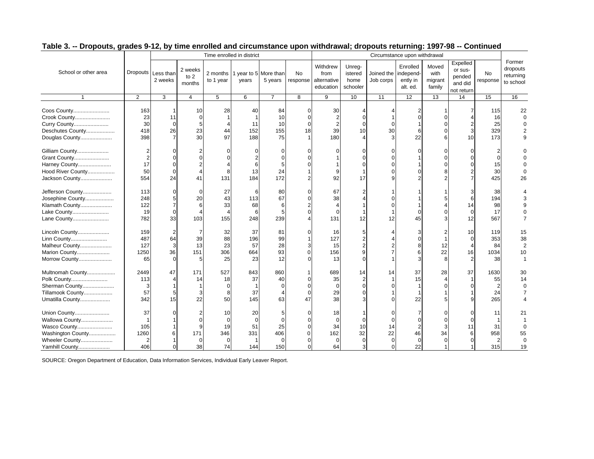|                                                                                                         |                                            |                                                      |                                        | Time enrolled in district                     |                                        |                                               |                                        |                                               |                                              |                                   | Circumstance upon withdrawal                       |                                       |                                                          |                                               |                                              |
|---------------------------------------------------------------------------------------------------------|--------------------------------------------|------------------------------------------------------|----------------------------------------|-----------------------------------------------|----------------------------------------|-----------------------------------------------|----------------------------------------|-----------------------------------------------|----------------------------------------------|-----------------------------------|----------------------------------------------------|---------------------------------------|----------------------------------------------------------|-----------------------------------------------|----------------------------------------------|
| School or other area                                                                                    |                                            | Dropouts Less than<br>2 weeks                        | 2 weeks<br>to 2<br>months              | 2 months<br>to 1 year                         | 1 year to 5 More than<br>years         | 5 years                                       | <b>No</b><br>response                  | Withdrew<br>from<br>alternative<br>education  | Unreg-<br>istered<br>home<br>schooler        | Joined the independ-<br>Job corps | Enrolled<br>ently in<br>alt. ed.                   | Moved<br>with<br>migrant<br>family    | Expelled<br>or sus-<br>pended<br>and did<br>not return   | No<br>response                                | Former<br>dropouts<br>returning<br>to school |
| $\overline{1}$                                                                                          | $\overline{2}$                             | 3                                                    | $\overline{4}$                         | 5                                             | 6                                      | $\overline{7}$                                | 8                                      | 9                                             | 10                                           | 11                                | $\overline{12}$                                    | 13                                    | 14                                                       | 15                                            | 16                                           |
| Coos County<br>Crook County<br>Curry County<br>Deschutes County<br>Douglas County                       | 163<br>23<br>30<br>418<br>398              | 1<br>11<br>$\mathbf 0$<br>26<br>$\overline{7}$       | 10<br>$\Omega$<br>5<br>23<br>30        | 28<br>44<br>97                                | 40<br>-1<br>11<br>152<br>188           | 84<br>10<br>10<br>155<br>75                   | $\Omega$<br>$\Omega$<br>$\Omega$<br>18 | 30<br>39<br>180                               | $\Omega$<br>$\Omega$<br>10                   | 30<br>3                           | $\Omega$<br>6<br>22                                | $\Omega$<br>$\Omega$<br>$\Omega$<br>6 | $\overline{c}$<br>3<br>10                                | 115<br>16<br>25<br>329<br>173                 | 22<br>$\Omega$<br>$\Omega$<br>q              |
| Gilliam County<br>Grant County<br>Harney County<br>Hood River County<br>Jackson County                  | 17<br>50<br>554                            | $\Omega$<br>$\Omega$<br>0<br>24                      | $\overline{4}$<br>41                   | 8<br>131                                      | $\overline{2}$<br>6<br>13<br>184       | $\Omega$<br>$\Omega$<br>5<br>24<br>172        |                                        | 9<br>92                                       | $\Omega$<br>17                               |                                   |                                                    | $\Omega$<br>$\Omega$                  | $\Omega$                                                 | $\overline{2}$<br>$\Omega$<br>15<br>30<br>425 | 26                                           |
| Jefferson County<br>Josephine County<br>Klamath County<br>Lake County<br>Lane County                    | 113<br>248<br>122<br>19<br>782             | $\Omega$<br>5<br>$\overline{7}$<br>$\mathbf 0$<br>33 | $\Omega$<br>20<br>6<br>103             | 27<br>43<br>33<br>155                         | 6<br>113<br>68<br>6<br>248             | 80<br>67<br>6<br>5<br>239                     | $\Omega$<br>$\Omega$                   | 67<br>38<br>$\Omega$<br>131                   | 12                                           | 12                                | $\Omega$<br>45                                     | 5<br>$\Omega$<br>3                    | 3<br>6<br>14<br>$\Omega$<br>12                           | 38<br>194<br>98<br>17<br>567                  | $\Omega$<br>$\overline{7}$                   |
| Lincoln County<br>Linn County<br>Malheur County<br>Marion County<br>Morrow County                       | 159<br>487<br>127<br>1250<br>65            | 64<br>3<br>36<br>$\Omega$                            | 39<br>13<br>151<br>5                   | 32<br>88<br>23<br>306<br>25                   | 37<br>196<br>57<br>664<br>23           | 81<br>99<br>28<br>93<br>12                    | $\Omega$                               | 16<br>127<br>15<br>156<br>13                  | 5<br>$\overline{2}$<br>9<br>$\Omega$         |                                   | $\Omega$<br>8<br>6<br>3                            | 12<br>22<br>8                         | 10<br>$\Omega$<br>$\overline{4}$<br>16<br>$\overline{2}$ | 119<br>353<br>84<br>1034<br>38                | 15<br>38<br>$\overline{2}$<br>10             |
| Multnomah County<br>Polk County<br>Sherman County<br>Tillamook County<br>Umatilla County                | 2449<br>113<br>3<br>57<br>342              | 47<br>4<br>5<br>15                                   | 171<br>14<br>3<br>22                   | 527<br>18<br>$\Omega$<br>8<br>50              | 843<br>37<br>$\mathbf{1}$<br>37<br>145 | 860<br>40<br>$\Omega$<br>$\overline{4}$<br>63 | $\Omega$<br>$\Omega$<br>$\Omega$<br>47 | 689<br>35<br>$\Omega$<br>29<br>38             | 14<br>$\overline{2}$<br>$\Omega$<br>$\Omega$ | 14                                | 37<br>15<br>1<br>22                                | 28<br>$\overline{4}$                  | 37<br>$\mathbf 1$<br>$\Omega$                            | 1630<br>55<br>$\overline{2}$<br>24<br>265     | 30<br>14<br>$\Omega$                         |
| Union County<br>Wallowa County<br>Wasco County<br>Washington County<br>Wheeler County<br>Yamhill County | 37<br>105<br>1260<br>$\overline{2}$<br>406 | 6<br>$\Omega$                                        | $\Omega$<br>9<br>171<br>$\Omega$<br>38 | 10<br>$\Omega$<br>19<br>346<br>$\Omega$<br>74 | 20<br>$\Omega$<br>51<br>331<br>144     | 5<br>$\Omega$<br>25<br>406<br>$\Omega$<br>150 | $\Omega$<br>$\Omega$                   | 18<br>$\Omega$<br>34<br>162<br>$\Omega$<br>64 | $\Omega$<br>10<br>32<br>$\Omega$<br>3        | 14<br>22<br>0<br>0                | $\Omega$<br>$\overline{2}$<br>46<br>$\Omega$<br>22 | $\Omega$<br>34<br>$\Omega$            | $\Omega$<br>$\Omega$<br>11<br>6<br>$\Omega$              | 11<br>31<br>958<br>$\overline{2}$<br>315      | 21<br>C<br>55<br>$\Omega$<br>19              |

SOURCE: Oregon Department of Education, Data Information Services, Individual Early Leaver Report.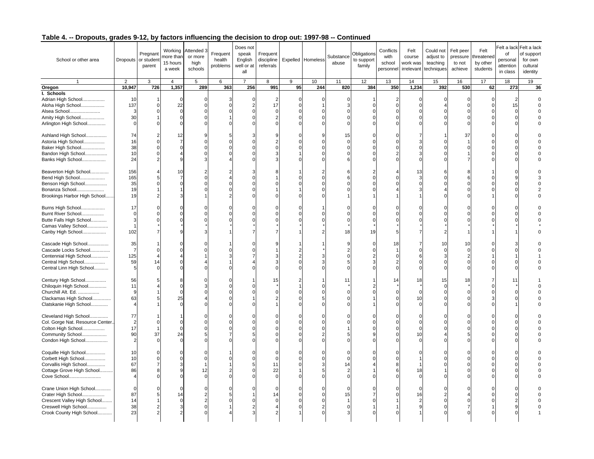| School or other area                                                                                                             | 2                                                  | Pregnant<br>Dropouts or student<br>parent<br>3 | Working<br>nore than<br>15 hours<br>a week<br>$\overline{4}$ | Attended 3<br>or more<br>high<br>schools<br>5     | Frequent<br>health<br>problems<br>6 | Does not<br>speak<br>English<br>well or at<br>all<br>$\overline{7}$ | Frequent<br>discipline<br>referrals<br>8 | 9  | Expelled Homeless<br>10 | Substance<br>abuse<br>11            | Obligations<br>to support<br>family<br>12 | Conflicts<br>with<br>school<br>personne<br>13 | Felt<br>course<br>work was<br>irrelevant<br>14              | Could not<br>adjust to<br>teaching<br>techniques<br>15 | Felt peer<br>pressure<br>to not<br>achieve<br>16 | Felt<br>threatene<br>by other<br>students<br>17 | of<br>personal<br>attention<br>in class<br>18 | Felt a lack Felt a lack<br>of support<br>for own<br>cultural<br>identity<br>19 |
|----------------------------------------------------------------------------------------------------------------------------------|----------------------------------------------------|------------------------------------------------|--------------------------------------------------------------|---------------------------------------------------|-------------------------------------|---------------------------------------------------------------------|------------------------------------------|----|-------------------------|-------------------------------------|-------------------------------------------|-----------------------------------------------|-------------------------------------------------------------|--------------------------------------------------------|--------------------------------------------------|-------------------------------------------------|-----------------------------------------------|--------------------------------------------------------------------------------|
| Oregon                                                                                                                           | 10,947                                             | 726                                            | 1,357                                                        | 289                                               | 363                                 | 256                                                                 | 991                                      | 95 | 244                     | 820                                 | 384                                       | 350                                           | 1,234                                                       | 392                                                    | 530                                              | 62                                              | 273                                           | 36                                                                             |
| I. Schools<br>Adrian High School<br>Aloha High School<br>Alsea School<br>Amity High School<br>Arlington High School              | 10<br>137<br>3<br>30<br>$\mathbf 0$<br>74          | $\Omega$<br>$\Omega$                           | 0<br>22<br>$\mathbf 0$<br>$\mathbf 0$<br>$\Omega$            | 0<br>$\Omega$<br>$\Omega$<br>$\Omega$<br>$\Omega$ |                                     |                                                                     | $\overline{2}$<br>17                     |    | C.<br>c                 | 0<br>3<br>$\Omega$<br>$\Omega$<br>U |                                           | 2<br>$\Omega$                                 | $\mathbf 0$<br>$\Omega$<br>$\Omega$<br>$\Omega$<br>$\Omega$ |                                                        | $\Omega$<br>$\Omega$                             |                                                 | 15                                            |                                                                                |
| Ashland High School<br>Astoria High School<br>Baker High School<br>Bandon High School<br>Banks High School                       | 16<br>38<br>10<br>24                               | $\Omega$<br>$\mathcal{P}$                      | 12<br>$\overline{7}$                                         | 9<br>$\Omega$<br>$\Omega$                         |                                     |                                                                     |                                          |    |                         | 15<br>0<br>$\Omega$<br>$\Omega$     |                                           |                                               | 3<br>$\Omega$<br>3<br>$\Omega$                              |                                                        | 37                                               |                                                 |                                               |                                                                                |
| Beaverton High School<br>Bend High School<br>Benson High School<br>Bonanza School<br>Brookings Harbor High School                | 156<br>165<br>35<br>19<br>19                       |                                                | 10                                                           | 2                                                 |                                     |                                                                     |                                          |    |                         |                                     |                                           |                                               | 13<br>3<br>$\Omega$                                         |                                                        |                                                  |                                                 |                                               |                                                                                |
| Burns High School<br>Burnt River School<br>Butte Falls High School<br>Camas Valley School<br>Canby High School                   | 17<br>$\overline{0}$<br>3<br>$\overline{1}$<br>102 |                                                |                                                              |                                                   |                                     |                                                                     |                                          |    |                         | 18                                  | 19                                        |                                               | $\Omega$                                                    |                                                        |                                                  |                                                 |                                               |                                                                                |
| Cascade High School<br>Cascade Locks School<br>Centennial High School<br>Central High School<br>Central Linn High School         | 35<br>$\overline{7}$<br>125<br>59<br>.5            | 14                                             |                                                              |                                                   |                                     |                                                                     |                                          |    |                         |                                     |                                           | 18                                            | 7<br>$\Omega$<br>6<br>$\Omega$                              | 10                                                     | 10                                               |                                                 |                                               |                                                                                |
| Century High School<br>Chiloquin High School<br>Churchill Alt. Ed.<br>Clackamas High School<br>Clatskanie High School            | 56<br>11<br>9<br>63                                |                                                | $\Omega$<br>25                                               |                                                   |                                     |                                                                     | 15                                       |    |                         | 11                                  |                                           | 14                                            | 18<br>$\Omega$<br>10<br>$\Omega$                            | 15                                                     | 18                                               |                                                 | 11                                            |                                                                                |
| Cleveland High School<br>Col. Gorge Nat. Resource Center.<br>Colton High School<br>Community School<br>Condon High School        | 77<br>$\overline{c}$<br>17<br>90<br>$\overline{2}$ | 37                                             | $\Omega$<br>24                                               |                                                   |                                     |                                                                     |                                          |    |                         |                                     |                                           |                                               | $\Omega$<br>$\Omega$<br>$\Omega$<br>10<br>$\Omega$          |                                                        |                                                  |                                                 |                                               |                                                                                |
| Coquille High School<br>Corbett High School<br>Corvallis High School<br>Cottage Grove High School<br>Cove School                 | 10<br>10<br>67<br>86                               |                                                | 9                                                            | $\Omega$<br>12                                    |                                     |                                                                     | 11<br>22                                 |    |                         | 14<br>2                             |                                           |                                               | 18<br>$\Omega$                                              |                                                        |                                                  |                                                 |                                               |                                                                                |
| Crane Union High School<br>Crater High School<br>Crescent Valley High School<br>Creswell High School<br>Crook County High School | $\Omega$<br>87<br>14<br>38<br>23                   | $\overline{2}$<br>$\overline{2}$               | 14<br>$\Omega$<br>3                                          | $\Omega$                                          |                                     |                                                                     | 14                                       |    |                         | U<br>15<br>O                        |                                           |                                               | $\Omega$<br>16<br>$\overline{2}$<br>9                       |                                                        |                                                  |                                                 |                                               |                                                                                |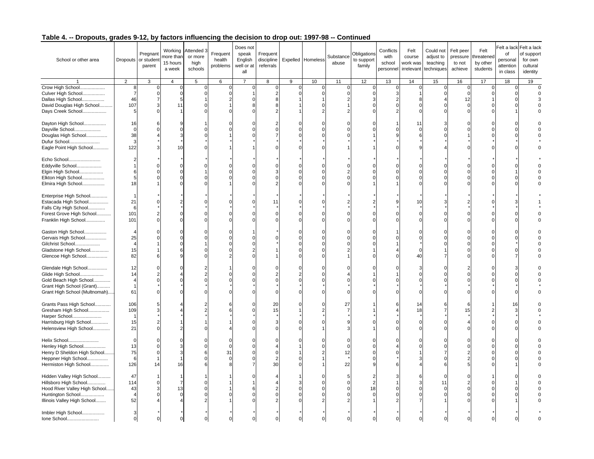| School or other area                                                                                                                    |                                              | Pregnant<br>Dropouts or student<br>parent           | Working<br>nore than<br>15 hours<br>a week | Attended 3<br>or more<br>high<br>schools | Frequent<br>health<br>problems | Does not<br>speak<br>English<br>well or at<br>all | Frequent<br>discipline<br>referrals |   | Expelled Homeless | Substance<br>abuse | Obligations<br>to support<br>family | Conflicts<br>with<br>school<br>personne | Felt<br>course<br>work was<br>irrelevant     | Could not<br>adjust to<br>teaching<br>techniques | Felt peer<br>pressure<br>to not<br>achieve | Felt<br>threatened<br>by other<br>students | of<br>personal<br>attention<br>in class | Felt a lack Felt a lack<br>of support<br>for own<br>cultural<br>identity |
|-----------------------------------------------------------------------------------------------------------------------------------------|----------------------------------------------|-----------------------------------------------------|--------------------------------------------|------------------------------------------|--------------------------------|---------------------------------------------------|-------------------------------------|---|-------------------|--------------------|-------------------------------------|-----------------------------------------|----------------------------------------------|--------------------------------------------------|--------------------------------------------|--------------------------------------------|-----------------------------------------|--------------------------------------------------------------------------|
|                                                                                                                                         | $\overline{2}$                               | 3                                                   | $\overline{4}$                             | 5                                        | 6                              | $\overline{7}$                                    | 8                                   | 9 | 10                | 11                 | 12                                  | 13                                      | 14                                           | 15                                               | 16                                         | 17                                         | 18                                      | 19                                                                       |
| Crow High School<br>Culver High School<br>Dallas High School<br>David Douglas High School<br>Days Creek School                          | 8<br>$\overline{7}$<br>46<br>107<br>5        | 0<br>$\mathbf 0$<br>$\overline{7}$<br>3<br>$\Omega$ | 0<br>$\mathbf 0$<br>5<br>11                | $\mathbf 0$<br>$\Omega$                  | 0                              |                                                   | $\mathbf 0$<br>2                    |   | C                 | 0<br>$\Omega$<br>2 | C                                   | C<br>Э                                  | 0<br>8<br>$\Omega$<br>$\Omega$               | 0                                                | 0<br>$\Omega$<br>12<br>$\Omega$            | $\mathbf 0$<br>$\Omega$                    | 0                                       | $\mathbf 0$                                                              |
| Dayton High School<br>Dayville School<br>Douglas High School<br>Dufur School<br>Eagle Point High School                                 | 16<br>$\mathbf 0$<br>38<br>3<br>122          |                                                     | 10                                         |                                          |                                |                                                   |                                     |   |                   |                    |                                     |                                         | 11<br>$\Omega$                               |                                                  |                                            |                                            |                                         |                                                                          |
| Echo School<br>Eddyville School<br>Elgin High School<br>Elkton High School<br>Elmira High School                                        | $\overline{2}$<br>6<br>5<br>18               |                                                     | $\Omega$                                   |                                          |                                |                                                   |                                     |   |                   | O                  |                                     |                                         | $\Omega$<br>$\Omega$<br>$\Omega$<br>$\Omega$ |                                                  |                                            |                                            |                                         |                                                                          |
| Enterprise High School<br>Estacada High School<br>Falls City High School<br>Forest Grove High School<br>Franklin High School            | 21<br>6<br>101<br>101                        |                                                     |                                            |                                          |                                |                                                   | 11                                  |   |                   |                    |                                     |                                         | 10<br>$\Omega$<br>$\Omega$                   |                                                  |                                            |                                            |                                         |                                                                          |
| Gaston High School<br>Gervais High School<br>Gilchrist School<br>Gladstone High School<br>Glencoe High School                           | 25<br>15<br>82                               |                                                     |                                            |                                          |                                |                                                   |                                     |   |                   |                    |                                     |                                         | n<br>$\Omega$<br>40                          |                                                  |                                            |                                            |                                         |                                                                          |
| Glendale High School<br>Glide High School<br>Gold Beach High School<br>Grant High School (Grant)<br>Grant High School (Multnomah)       | 12<br>14<br>$\Delta$<br>$\overline{1}$<br>61 |                                                     |                                            |                                          |                                |                                                   |                                     |   |                   |                    |                                     |                                         | 3<br>$\Omega$                                |                                                  |                                            |                                            |                                         |                                                                          |
| Grants Pass High School<br>Gresham High School<br>Harper School<br>Harrisburg High School<br>Helensview High School                     | 106<br>109<br>$\overline{1}$<br>15<br>21     |                                                     |                                            |                                          |                                |                                                   | 20<br>15                            |   |                   | 27                 |                                     |                                         | 14<br>18<br>$\Omega$<br>$\Omega$             |                                                  | 15                                         |                                            | 16                                      |                                                                          |
| Helix School<br>Henley High School<br>Henry D Sheldon High School<br>Heppner High School<br>Hermiston High School                       | $\Omega$<br>13<br>75<br>6<br>126             | $\Omega$<br>14                                      | 16                                         | U<br>6                                   | 31                             |                                                   | 30                                  |   |                   | O<br>12<br>22      |                                     |                                         | $\Omega$                                     |                                                  |                                            |                                            |                                         |                                                                          |
| Hidden Valley High School<br>Hillsboro High School<br>Hood River Valley High School<br>Huntington School<br>Illinois Valley High School | 47<br>114<br>43<br>52                        | $\Omega$                                            | 7<br>13                                    |                                          |                                |                                                   |                                     |   |                   | $\Omega$           | 18                                  |                                         | 6<br>3                                       | 11                                               |                                            |                                            |                                         |                                                                          |
| Imbler High School<br>Ione School                                                                                                       | 3<br>$\mathbf 0$                             | $\Omega$                                            |                                            |                                          |                                |                                                   |                                     |   |                   |                    |                                     |                                         |                                              |                                                  |                                            |                                            |                                         |                                                                          |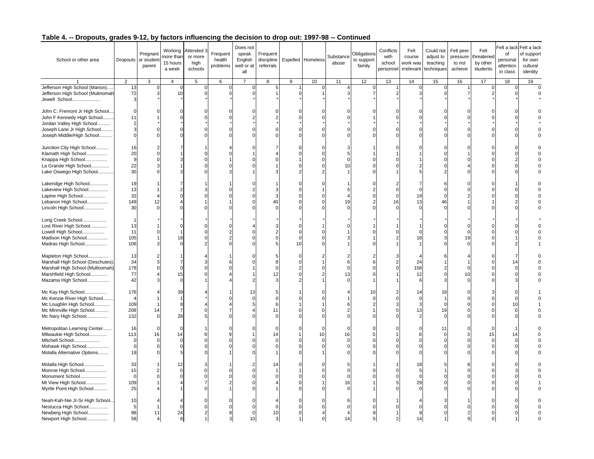| School or other area                                                                                                                         |                                               | Pregnant<br>Dropouts or student<br>parent | Working<br>nore than<br>15 hours<br>a week | Attended 3<br>or more<br>high<br>schools | Frequent<br>health<br>problems | Does not<br>speak<br>English<br>well or at<br>all | Frequent<br>discipline<br>referrals |         | Expelled Homeless                  | Substance<br>abuse  | Obligations<br>to support<br>family | Conflicts<br>with<br>school<br>personne | Felt<br>course<br>work was<br>irrelevant          | Could not<br>adjust to<br>teaching<br>techniques | Felt peer<br>pressure<br>to not<br>achieve | Felt<br>threatene<br>by other<br>students | of<br>personal<br>attention<br>in class | Felt a lack Felt a lack<br>of support<br>for own<br>cultural<br>identity |
|----------------------------------------------------------------------------------------------------------------------------------------------|-----------------------------------------------|-------------------------------------------|--------------------------------------------|------------------------------------------|--------------------------------|---------------------------------------------------|-------------------------------------|---------|------------------------------------|---------------------|-------------------------------------|-----------------------------------------|---------------------------------------------------|--------------------------------------------------|--------------------------------------------|-------------------------------------------|-----------------------------------------|--------------------------------------------------------------------------|
|                                                                                                                                              | 2                                             | 3                                         | $\overline{4}$                             | 5                                        | 6                              | $\overline{7}$                                    | 8                                   | 9       | 10                                 | 11                  | 12                                  | 13                                      | 14                                                | 15                                               | 16                                         | 17                                        | 18                                      | 19                                                                       |
| Jefferson High School (Marion)<br>Jefferson High School (Multnomah<br>Jewell School                                                          | 13<br>72<br>3                                 | 0<br>3                                    | 0<br>10                                    | 0<br>$\Omega$                            | 0                              |                                                   | 5                                   |         |                                    | 4                   | O                                   |                                         | 0<br>3                                            | 0                                                |                                            | $\mathbf 0$<br>2                          | 0                                       | $\mathbf 0$                                                              |
| John C. Fremont Jr High School<br>John F Kennedy High School<br>Jordan Valley High School                                                    | $\Omega$<br>11<br>$\overline{2}$              |                                           |                                            |                                          |                                |                                                   |                                     |         |                                    |                     |                                     |                                         |                                                   |                                                  |                                            |                                           |                                         |                                                                          |
| Joseph Lane Jr High School<br>Joseph Middle/High School                                                                                      | $\mathbf{3}$<br>$\Omega$                      |                                           |                                            |                                          |                                |                                                   |                                     |         |                                    |                     |                                     |                                         |                                                   |                                                  |                                            |                                           |                                         |                                                                          |
| Junction City High School<br>Klamath High School<br>Knappa High School<br>La Grande High School                                              | 16<br>20<br>$\boldsymbol{9}$<br>22            |                                           |                                            |                                          |                                |                                                   |                                     |         |                                    | 5<br>$\Omega$<br>10 |                                     |                                         |                                                   |                                                  |                                            |                                           |                                         |                                                                          |
| Lake Oswego High School<br>Lakeridge High School                                                                                             | 30<br>19                                      |                                           |                                            |                                          |                                |                                                   |                                     |         |                                    |                     |                                     |                                         |                                                   |                                                  |                                            |                                           |                                         |                                                                          |
| Lakeview High School<br>Lapine High School<br>Lebanon High School<br>Lincoln High School                                                     | 13<br>32<br>149<br>30                         | 12                                        |                                            |                                          |                                |                                                   | Λſ                                  |         |                                    | 5<br>19<br>$\Omega$ |                                     | 16                                      | $\Omega$<br>19<br>13<br>$\Omega$                  | 46                                               |                                            |                                           |                                         |                                                                          |
| Long Creek School<br>Lost River High School<br>Lowell High School<br>Madison High School<br>Madras High School                               | 13<br>11<br>105<br>106                        |                                           | 18                                         |                                          |                                |                                                   |                                     | ſ<br>10 |                                    |                     |                                     |                                         | $\Omega$<br>18                                    |                                                  | 19                                         |                                           |                                         |                                                                          |
| Mapleton High School<br>Marshall High School (Deschutes)<br>Marshall High School (Multnomah)<br>Marshfield High School<br>Mazama High School | 13<br>34<br>178<br>77<br>42                   | 3                                         | 15<br>$\Omega$                             |                                          |                                |                                                   | 12                                  | C       |                                    | 2<br>6<br>13<br>U   |                                     |                                         | 24<br>158<br>12<br>6                              |                                                  | 10<br>$\Omega$                             |                                           |                                         |                                                                          |
| Mc Kay High School<br>Mc Kenzie River High School<br>Mc Loughlin High School<br>Mc Minnville High School<br>Mc Nary High School              | 176<br>109<br>208<br>132                      | 14                                        | 39<br>$\overline{7}$<br>28                 |                                          |                                | 13                                                | 11                                  |         |                                    |                     | 10                                  |                                         | 14<br>$\mathbf 0$<br>3<br>13<br>$\overline{2}$    | 16<br>19                                         |                                            |                                           | 10                                      |                                                                          |
| Metropolitan Learning Center<br>Milwaukie High School<br>Mitchell School<br>Mohawk High School<br>Molalla Alternative Options                | 16<br>113<br>$\Omega$<br>$\overline{0}$<br>18 | 16                                        | $\Omega$<br>14                             | 9                                        |                                |                                                   | C<br>14                             |         | $\mathsf{C}$<br>10<br>$\mathsf{C}$ | $\Omega$<br>16<br>O |                                     |                                         | $\Omega$<br>8<br>$\Omega$<br>$\Omega$<br>$\Omega$ | 11                                               |                                            | 15                                        | 14                                      |                                                                          |
| Molalla High School<br>Monroe High School<br>Monument School<br>Mt View High School<br>Myrtle Point High School                              | 33<br>15<br>$\mathbf 0$<br>109<br>25          |                                           | 12<br>$\Omega$                             | $\Omega$<br>$\Omega$                     |                                |                                                   | 14                                  |         |                                    | U<br>16             |                                     |                                         | 18<br>5<br>$\Omega$<br>29                         |                                                  |                                            |                                           |                                         |                                                                          |
| Neah-Kah-Nie Jr-Sr High School.<br>Nestucca High School<br>Newberg High School<br>Newport High School                                        | 10<br>5<br>98<br>58                           | 11                                        | 24                                         |                                          |                                | 10                                                | 10                                  |         |                                    | 14                  |                                     |                                         | 8<br>14                                           |                                                  |                                            |                                           |                                         |                                                                          |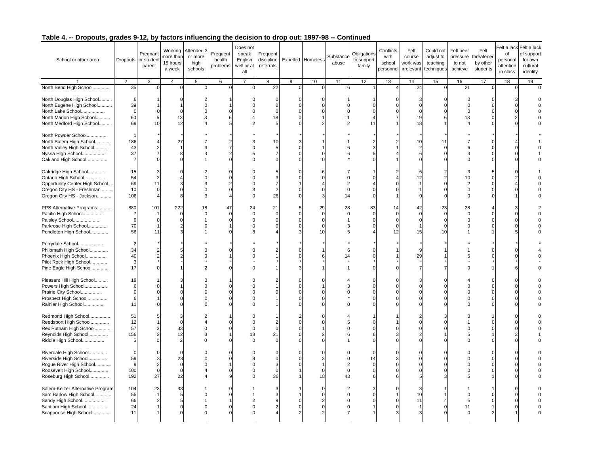| School or other area                                                                                                                   |                                                      | Pregnant<br>Dropouts or student<br>parent | Working<br>nore than<br>15 hours<br>a week | Attended 3<br>or more<br>high<br>schools | Frequent<br>health<br>problems | Does not<br>speak<br>English<br>well or at<br>all | Frequent<br>discipline<br>referrals |   | Expelled Homeless                                 | Substance<br>abuse                           | Obligations<br>to support<br>family | Conflicts<br>with<br>school<br>personne | Felt<br>course<br>work was<br>irrelevant | Could not<br>adjust to<br>teaching<br>techniques | Felt peer<br>pressure<br>to not<br>achieve | Felt<br>threatened<br>by other<br>students | of<br>personal<br>attention<br>in class | Felt a lack Felt a lack<br>of support<br>for own<br>cultural<br>identity |
|----------------------------------------------------------------------------------------------------------------------------------------|------------------------------------------------------|-------------------------------------------|--------------------------------------------|------------------------------------------|--------------------------------|---------------------------------------------------|-------------------------------------|---|---------------------------------------------------|----------------------------------------------|-------------------------------------|-----------------------------------------|------------------------------------------|--------------------------------------------------|--------------------------------------------|--------------------------------------------|-----------------------------------------|--------------------------------------------------------------------------|
|                                                                                                                                        | 2                                                    | 3                                         | $\overline{4}$                             | 5                                        | 6                              | $\overline{7}$                                    | 8                                   | 9 | 10                                                | 11                                           | 12                                  | 13                                      | 14                                       | 15                                               | 16                                         | 17                                         | 18                                      | 19                                                                       |
| North Bend High School                                                                                                                 | 35                                                   | $\mathbf 0$                               |                                            | $\Omega$                                 | $\Omega$                       |                                                   | 22                                  | C |                                                   | 6                                            |                                     |                                         | 24                                       | $\Omega$                                         | 21                                         | $\mathbf 0$                                |                                         | 0                                                                        |
| North Douglas High School<br>North Eugene High School<br>North Lake School<br>North Marion High School<br>North Medford High School    | 6<br>39<br>$\mathbf 0$<br>60<br>69                   | 5<br>10                                   | 13<br>12                                   | $\Omega$<br>3                            |                                |                                                   | $\Omega$<br>18                      |   |                                                   | $\Omega$<br>$\Omega$<br>11<br>2              | 11                                  |                                         | 3<br>$\Omega$<br>$\Omega$<br>19<br>18    |                                                  | $\Omega$<br>$\Omega$<br>18                 |                                            |                                         |                                                                          |
| North Powder School<br>North Salem High School<br>North Valley High School<br>Nyssa High School<br>Oakland High School                 | $\overline{1}$<br>186<br>43<br>37<br>$\overline{7}$  | $\overline{7}$<br>$\Omega$                | 27<br>8                                    |                                          |                                |                                                   | 10                                  |   |                                                   |                                              |                                     |                                         | 10<br>$\overline{2}$<br>6<br>$\Omega$    | 11                                               |                                            |                                            |                                         |                                                                          |
| Oakridge High School<br>Ontario High School<br>Opportunity Center High School<br>Oregon City HS - Freshman<br>Oregon City HS - Jackson | 15<br>54<br>69<br>10<br>106                          | 11<br>$\Omega$                            | $\Omega$                                   | $\Omega$                                 |                                |                                                   | 26                                  |   | $\sqrt{ }$<br>p                                   | $\Omega$<br>14                               |                                     |                                         | 6<br>12                                  |                                                  | 10<br>$\Omega$                             |                                            |                                         |                                                                          |
| PPS Alternative Programs<br>Pacific High School<br>Paisley School<br>Parkrose High School<br>Pendleton High School                     | 880<br>$\overline{7}$<br>$6\phantom{1}6$<br>70<br>56 | 101<br>$\Omega$<br>11                     | 222                                        | 18<br>$\Omega$                           | 47                             | 24                                                | 21                                  | 5 | 29<br>$\mathfrak{c}$<br>$\mathcal{C}$<br>C.<br>10 | 28<br>$\Omega$                               | 83                                  | 14<br>12                                | 42<br>$\Omega$<br>$\Omega$<br>15         | 23<br>10                                         | 28<br>$\Omega$                             |                                            |                                         |                                                                          |
| Perrydale School<br>Philomath High School<br>Phoenix High School<br>Pilot Rock High School<br>Pine Eagle High School                   | $\overline{2}$<br>34<br>40<br>3<br>17                |                                           |                                            |                                          |                                |                                                   |                                     |   |                                                   | 14                                           |                                     |                                         | 29<br>$\overline{7}$                     |                                                  |                                            |                                            |                                         |                                                                          |
| Pleasant Hill High School<br>Powers High School<br>Prairie City School<br>Prospect High School<br>Rainier High School                  | 19<br>6<br>$\mathbf 0$<br>6<br>11                    |                                           |                                            |                                          |                                |                                                   |                                     |   |                                                   |                                              |                                     |                                         | 3<br>$\Omega$<br>$\Omega$<br>$\Omega$    |                                                  |                                            |                                            |                                         |                                                                          |
| Redmond High School<br>Reedsport High School<br>Rex Putnam High School<br>Reynolds High School<br>Riddle High School                   | 51<br>12<br>57<br>156<br>$\sqrt{5}$                  | 3<br>$\Omega$                             | $\Omega$<br>33<br>12<br>2                  | $\Omega$<br>$\Omega$                     |                                | 18                                                | 21                                  |   |                                                   | ŋ                                            |                                     |                                         | $\Omega$<br>$\Omega$<br>$\Omega$         |                                                  |                                            |                                            |                                         |                                                                          |
| Riverdale High School<br>Riverside High School<br>Rogue River High School<br>Roosevelt High School<br>Roseburg High School             | $\Omega$<br>59<br>9<br>100<br>192                    | $\overline{2}$<br>$\Omega$<br>27          | 23<br>$\Omega$<br>$\Omega$<br>22           |                                          |                                |                                                   | 36                                  |   | $\mathcal{C}$<br>18                               | $\Omega$<br>$\overline{2}$<br>$\Omega$<br>43 | 14                                  |                                         | $\Omega$<br>$\Omega$<br>$\Omega$         |                                                  |                                            |                                            |                                         |                                                                          |
| Salem-Keizer Alternative Program<br>Sam Barlow High School<br>Sandy High School<br>Santiam High School<br>Scappoose High School        | 104<br>55<br>66<br>24<br>11                          | 23<br>$\overline{2}$                      | 33<br>5<br>5<br>$\Omega$                   |                                          |                                |                                                   |                                     |   | $\sqrt{ }$<br>C                                   | 2<br>$\Omega$<br>O<br>n                      |                                     |                                         | 3<br>10<br>11                            |                                                  | 11<br>$\Omega$                             |                                            |                                         |                                                                          |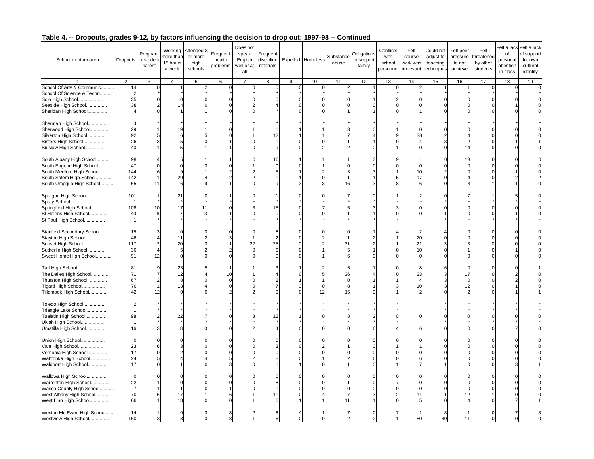| School or other area                                | Dropouts or student  | Pregnant<br>parent         | Working<br>nore than<br>15 hours<br>a week | Attended 3<br>or more<br>high<br>schools | Frequent<br>health<br>problems | Does not<br>speak<br>English<br>well or at<br>all | Frequent<br>discipline<br>referrals |   | Expelled Homeless  | Substance<br>abuse | Obligations<br>to support<br>family | Conflicts<br>with<br>school<br>personne | Felt<br>course<br>work was<br>irrelevant | Could not<br>adjust to<br>teaching<br>techniques | Felt peer<br>pressure<br>to not<br>achieve | Felt<br>threatened<br>by other<br>students | of<br>personal<br>attention<br>in class | Felt a lack Felt a lack<br>of support<br>for own<br>cultural<br>identity |
|-----------------------------------------------------|----------------------|----------------------------|--------------------------------------------|------------------------------------------|--------------------------------|---------------------------------------------------|-------------------------------------|---|--------------------|--------------------|-------------------------------------|-----------------------------------------|------------------------------------------|--------------------------------------------------|--------------------------------------------|--------------------------------------------|-----------------------------------------|--------------------------------------------------------------------------|
|                                                     | 2                    | 3                          | $\overline{4}$                             | 5                                        | 6                              | $\overline{7}$                                    | 8                                   | 9 | 10                 | 11                 | 12                                  | 13                                      | 14                                       | 15                                               | 16                                         | 17                                         | 18                                      | 19                                                                       |
| School Of Arts & Communic                           | 14                   | 0                          |                                            | 2                                        | $\Omega$                       |                                                   | $\Omega$                            | O |                    | 2                  |                                     |                                         | $\overline{2}$                           |                                                  |                                            | $\overline{0}$                             |                                         | 0                                                                        |
| School Of Science & Techn                           | $\overline{2}$       |                            |                                            |                                          |                                |                                                   |                                     |   |                    |                    |                                     |                                         |                                          |                                                  |                                            |                                            |                                         |                                                                          |
| Scio High School<br>Seaside High School             | 35<br>38             | $\Omega$<br>$\overline{2}$ | $\Omega$<br>14                             |                                          |                                |                                                   |                                     |   |                    | U                  |                                     |                                         | $\Omega$<br>$\Omega$                     |                                                  |                                            |                                            |                                         |                                                                          |
| Sheridan High School                                | $\overline{4}$       | $\Omega$                   |                                            |                                          |                                |                                                   |                                     |   |                    |                    |                                     |                                         |                                          |                                                  |                                            |                                            |                                         |                                                                          |
|                                                     |                      |                            |                                            |                                          |                                |                                                   |                                     |   |                    |                    |                                     |                                         |                                          |                                                  |                                            |                                            |                                         |                                                                          |
| Sherman High School                                 | 3                    |                            |                                            |                                          |                                |                                                   |                                     |   |                    |                    |                                     |                                         |                                          |                                                  |                                            |                                            |                                         |                                                                          |
| Sherwood High School                                | 29                   |                            | 19                                         |                                          |                                |                                                   |                                     |   |                    |                    |                                     |                                         | $\Omega$                                 |                                                  |                                            |                                            |                                         |                                                                          |
| Silverton High School                               | 92<br>26             |                            |                                            |                                          |                                |                                                   | 1:                                  |   |                    |                    |                                     |                                         | 38                                       |                                                  |                                            |                                            |                                         |                                                                          |
| Sisters High School<br>Siuslaw High School          | 40                   |                            |                                            |                                          |                                |                                                   |                                     |   |                    |                    |                                     |                                         |                                          |                                                  | 14                                         |                                            |                                         |                                                                          |
|                                                     |                      |                            |                                            |                                          |                                |                                                   |                                     |   |                    |                    |                                     |                                         |                                          |                                                  |                                            |                                            |                                         |                                                                          |
| South Albany High School                            | 98                   |                            |                                            |                                          |                                |                                                   | 16                                  |   |                    |                    |                                     |                                         |                                          |                                                  | 13                                         |                                            |                                         |                                                                          |
| South Eugene High School                            | 47                   |                            | $\Omega$                                   |                                          |                                |                                                   |                                     |   |                    | U                  |                                     |                                         | $\Omega$                                 |                                                  |                                            |                                            |                                         |                                                                          |
| South Medford High School                           | 144<br>142           |                            | 9<br>29                                    |                                          |                                |                                                   |                                     |   |                    |                    |                                     |                                         | 10<br>17                                 |                                                  |                                            |                                            |                                         |                                                                          |
| South Salem High School<br>South Umpqua High School | 55                   | 11                         | 6                                          | q                                        |                                |                                                   |                                     |   |                    | 16                 |                                     |                                         | 6                                        |                                                  |                                            |                                            |                                         |                                                                          |
|                                                     |                      |                            |                                            |                                          |                                |                                                   |                                     |   |                    |                    |                                     |                                         |                                          |                                                  |                                            |                                            |                                         |                                                                          |
| Sprague High School                                 | 101                  |                            | 21                                         |                                          |                                |                                                   |                                     |   |                    |                    |                                     |                                         |                                          |                                                  |                                            |                                            |                                         |                                                                          |
| Spray School                                        | -1                   |                            |                                            |                                          |                                |                                                   |                                     |   |                    |                    |                                     |                                         |                                          |                                                  |                                            |                                            |                                         |                                                                          |
| Springfield High School                             | 108                  | 10                         | 17                                         | 11                                       |                                |                                                   |                                     |   |                    |                    |                                     |                                         |                                          |                                                  |                                            |                                            |                                         |                                                                          |
| St Helens High School<br>St Paul High School        | 40<br>$\overline{1}$ |                            |                                            |                                          |                                |                                                   |                                     |   |                    |                    |                                     |                                         |                                          |                                                  |                                            |                                            |                                         |                                                                          |
|                                                     |                      |                            |                                            |                                          |                                |                                                   |                                     |   |                    |                    |                                     |                                         |                                          |                                                  |                                            |                                            |                                         |                                                                          |
| Stanfield Secondary School                          | 15                   |                            | $\Omega$                                   |                                          |                                |                                                   |                                     |   |                    | U                  |                                     |                                         | $\overline{2}$                           |                                                  |                                            |                                            |                                         |                                                                          |
| Stayton High School                                 | 46                   |                            | 11                                         |                                          |                                |                                                   |                                     |   |                    |                    |                                     |                                         | 20                                       |                                                  |                                            |                                            |                                         |                                                                          |
| Sunset High School                                  | 117                  | $\overline{2}$             | 20                                         | $\Omega$                                 |                                | 22                                                | 25                                  |   |                    | 31                 |                                     |                                         | 21                                       |                                                  |                                            |                                            |                                         |                                                                          |
| Sutherlin High School<br>Sweet Home High School     | 36<br>91             | $\overline{4}$<br>12       | 5<br>$\Omega$                              |                                          |                                |                                                   |                                     |   |                    | 5                  |                                     |                                         | 10                                       |                                                  |                                            |                                            |                                         |                                                                          |
|                                                     |                      |                            |                                            |                                          |                                |                                                   |                                     |   |                    |                    |                                     |                                         |                                          |                                                  |                                            |                                            |                                         |                                                                          |
| Taft High School                                    | 81                   |                            | 23                                         |                                          |                                |                                                   |                                     |   |                    | 5                  |                                     |                                         | 8                                        |                                                  |                                            |                                            |                                         |                                                                          |
| The Dalles High School                              | 71                   |                            | 12                                         |                                          | 10                             |                                                   |                                     |   |                    | 36                 |                                     |                                         | 23                                       |                                                  | 17                                         |                                            |                                         |                                                                          |
| Thurston High School                                | 67                   | $\overline{2}$             | 8                                          |                                          |                                |                                                   |                                     |   |                    | $\Omega$           |                                     |                                         |                                          |                                                  | $\Omega$                                   |                                            |                                         |                                                                          |
| Tigard High School                                  | 76<br>42             | 12                         | 13                                         |                                          |                                |                                                   |                                     |   | $\mathsf{C}$<br>12 | 8<br>15            |                                     |                                         | 10                                       |                                                  | 12                                         |                                            |                                         |                                                                          |
| Tillamook High School                               |                      |                            |                                            |                                          |                                |                                                   |                                     |   |                    |                    |                                     |                                         |                                          |                                                  |                                            |                                            |                                         |                                                                          |
| Toledo High School                                  | $\overline{2}$       |                            |                                            |                                          |                                |                                                   |                                     |   |                    |                    |                                     |                                         |                                          |                                                  |                                            |                                            |                                         |                                                                          |
| Triangle Lake School                                | $\overline{1}$       |                            |                                            |                                          |                                |                                                   |                                     |   |                    |                    |                                     |                                         |                                          |                                                  |                                            |                                            |                                         |                                                                          |
| Tualatin High School                                | 98                   |                            | 22                                         |                                          |                                |                                                   | 12                                  |   |                    |                    |                                     |                                         |                                          |                                                  |                                            |                                            |                                         |                                                                          |
| Ukiah High School                                   | $\overline{1}$<br>16 |                            |                                            |                                          |                                |                                                   |                                     |   |                    |                    |                                     |                                         |                                          |                                                  |                                            |                                            |                                         |                                                                          |
| Umatilla High School                                |                      |                            |                                            |                                          |                                |                                                   |                                     |   |                    |                    |                                     |                                         |                                          |                                                  |                                            |                                            |                                         |                                                                          |
| Union High School                                   | $\Omega$             |                            |                                            |                                          |                                |                                                   |                                     |   |                    |                    |                                     |                                         |                                          |                                                  |                                            |                                            |                                         |                                                                          |
| Vale High School                                    | 23                   |                            |                                            |                                          |                                |                                                   |                                     |   |                    |                    |                                     |                                         |                                          |                                                  |                                            |                                            |                                         |                                                                          |
| Vernonia High School                                | 17                   |                            |                                            |                                          |                                |                                                   |                                     |   |                    | U                  |                                     |                                         | $\Omega$                                 |                                                  |                                            |                                            |                                         |                                                                          |
| Wahtonka High School                                | 24<br>17             |                            |                                            |                                          |                                |                                                   |                                     |   |                    |                    |                                     |                                         | 6<br>7                                   |                                                  |                                            |                                            |                                         |                                                                          |
| Waldport High School                                |                      |                            |                                            |                                          |                                |                                                   |                                     |   |                    |                    |                                     |                                         |                                          |                                                  |                                            |                                            |                                         |                                                                          |
| Wallowa High School                                 | $\mathbf 0$          |                            |                                            |                                          |                                |                                                   |                                     |   |                    |                    |                                     |                                         | $\Omega$                                 |                                                  |                                            |                                            |                                         |                                                                          |
| Warrenton High School                               | 22                   |                            |                                            |                                          |                                |                                                   |                                     |   |                    |                    |                                     |                                         | $\Omega$                                 |                                                  |                                            |                                            |                                         |                                                                          |
| Wasco County High School                            | $\overline{7}$       |                            |                                            |                                          |                                |                                                   |                                     |   |                    | O                  |                                     |                                         |                                          |                                                  |                                            |                                            |                                         |                                                                          |
| West Albany High School                             | 70<br>66             |                            | 17<br>18                                   |                                          |                                |                                                   | 11                                  |   |                    | 7<br>11            |                                     |                                         | 11                                       |                                                  | 12                                         |                                            |                                         |                                                                          |
| West Linn High School                               |                      |                            |                                            |                                          |                                |                                                   |                                     |   |                    |                    |                                     |                                         |                                          |                                                  |                                            |                                            |                                         |                                                                          |
| Weston Mc Ewen High School                          | 14                   |                            |                                            |                                          |                                |                                                   |                                     |   |                    |                    |                                     |                                         |                                          |                                                  |                                            |                                            |                                         |                                                                          |
| Westview High School                                | 160                  | 3                          |                                            |                                          |                                |                                                   |                                     |   |                    |                    |                                     |                                         | 50                                       | 40                                               | 11                                         |                                            |                                         |                                                                          |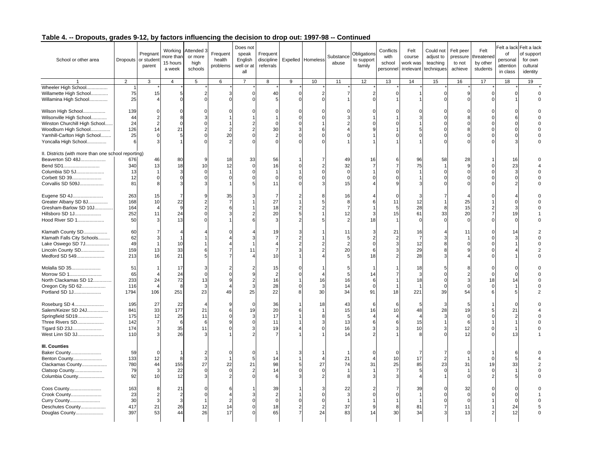| School or other area                                                                                                                                          | Dropouts or student                    | Pregnan<br>parent                     | nore than<br>15 hours<br>a week       | Working Attended 3<br>or more<br>high<br>schools | Frequent<br>health<br>problems | Does not<br>speak<br>English<br>well or at<br>all | Frequent<br>discipline<br>referrals |                | Expelled Homeless                                      | Substance<br>abuse                                | Obligations<br>to support<br>family | Conflicts<br>with<br>school<br>personnel | Felt<br>course<br>work was<br>irrelevant | Could not<br>adjust to<br>teaching<br>techniques | Felt peer<br>pressure<br>to not<br>achieve | Felt<br>threatene<br>by other<br>students | Felt a lack<br>of<br>personal<br>attention<br>in class | Felt a lack<br>of support<br>for own<br>cultural<br>identity |
|---------------------------------------------------------------------------------------------------------------------------------------------------------------|----------------------------------------|---------------------------------------|---------------------------------------|--------------------------------------------------|--------------------------------|---------------------------------------------------|-------------------------------------|----------------|--------------------------------------------------------|---------------------------------------------------|-------------------------------------|------------------------------------------|------------------------------------------|--------------------------------------------------|--------------------------------------------|-------------------------------------------|--------------------------------------------------------|--------------------------------------------------------------|
|                                                                                                                                                               | $\overline{2}$                         | $\overline{3}$                        | $\overline{4}$                        | 5                                                | 6                              | $\overline{7}$                                    | $\overline{8}$                      | $\overline{9}$ | 10                                                     | 11                                                | 12                                  | 13                                       | 14                                       | 15                                               | 16                                         | 17                                        | 18                                                     | 19                                                           |
| Wheeler High School<br>Willamette High School<br>Willamina High School                                                                                        | 75<br>25                               | 15                                    | 5<br>$\Omega$                         | 2<br>$\cap$                                      |                                | $\Omega$                                          | 40                                  | $\Omega$       | $\overline{2}$<br>$\sqrt{2}$                           | 7                                                 | 2                                   | $\Omega$                                 |                                          |                                                  |                                            |                                           |                                                        |                                                              |
| Wilson High School<br>Wilsonville High School<br>Winston Churchill High School<br>Woodburn High School<br>Yamhill-Carlton High School<br>Yoncalla High School | 139<br>44<br>24<br>126<br>25<br>6      | $\overline{2}$<br>14<br>3             | $\Omega$<br>21<br>5                   |                                                  | 20<br>$\overline{2}$           |                                                   | 30                                  |                |                                                        |                                                   |                                     |                                          |                                          |                                                  |                                            |                                           |                                                        |                                                              |
| II. Districts (with more than one school reporting)<br>Beaverton SD 48J<br>Bend SD1<br>Columbia SD 5J<br>Corbett SD 39<br>Corvallis SD 509J                   | 676<br>340<br>13<br>12<br>81           | 46<br>13                              | 80<br>18<br>3                         | 10<br>$\Omega$                                   | 18<br>12                       | 33                                                | 56<br>16<br>11                      |                |                                                        | 49<br>32<br>$\mathbf 0$<br>$\mathbf 0$<br>15      | 16                                  |                                          | 96<br>75                                 | 58                                               | 28<br>9<br>$\Omega$                        |                                           | 16<br>23                                               |                                                              |
| Eugene SD 4J<br>Greater Albany SD 8J<br>Gresham-Barlow SD 10J<br>Hillsboro SD 1J<br>Hood River SD 1                                                           | 263<br>168<br>164<br>252<br>50         | 15<br>10<br>11<br>$\mathcal{R}$       | 7<br>22<br>9<br>24<br>13              | 9<br>$\Omega$<br>$\Omega$                        | 35                             |                                                   | 27<br>18<br>20                      |                |                                                        | 16<br>8<br>$\overline{7}$<br>12<br>$\overline{2}$ | 18                                  | $\Omega$<br>11<br>5<br>15                | 3<br>12<br>28<br>61<br>$\Omega$          | 33                                               | 25<br>15<br>20<br>$\Omega$                 |                                           | 19                                                     |                                                              |
| Klamath County SD<br>Klamath Falls City Schools<br>Lake Oswego SD 7J<br>Lincoln County SD<br>Medford SD 549                                                   | 60<br>62<br>49<br>159<br>213           | 3<br>$\overline{1}$<br>13<br>16       | 10<br>33<br>21                        |                                                  |                                | 11                                                | 19<br>10                            |                |                                                        | 11<br>5<br>2<br>20<br>5                           | 18                                  | 21                                       | 16<br>$\overline{7}$<br>12<br>29<br>28   |                                                  | 11                                         |                                           |                                                        |                                                              |
| Molalla SD 35<br>Morrow SD 1<br>North Clackamas SD 12<br>Oregon City SD 62<br>Portland SD 1J                                                                  | 51<br>65<br>233<br>116<br>1794         | 24<br>106                             | 17<br>24<br>72<br>8<br>251            | 3<br>$\Omega$<br>13<br>3<br>23                   | 49                             | 25                                                | 15<br>16<br>28<br>22                |                | 4<br>16<br>3<br>30                                     | 5<br>16<br>14<br>34                               | 14<br>91                            | 18                                       | 18<br>3<br>18<br>221                     | 39                                               | 54                                         | 18                                        |                                                        |                                                              |
| Roseburg SD 4<br>Salem/Keizer SD 24J<br>Springfield SD19<br>Three Rivers SD<br>Tigard SD 23J<br>West Linn SD 3J                                               | 195<br>841<br>175<br>142<br>174<br>110 | 27<br>33<br>12<br>$\overline{7}$<br>3 | 22<br>177<br>25<br>6<br>35<br>26      | $\overline{4}$<br>21<br>11<br>6<br>11            | 9                              | $\Omega$<br>19                                    | 36<br>20<br>17<br>11<br>19          |                | 18                                                     | 43<br>15<br>5<br>13<br>16<br>14                   | 6<br>16                             | -6<br>10                                 | 5<br>48<br>15<br>10                      | 28                                               | 19<br>12<br>12                             |                                           | 21                                                     |                                                              |
| III. Counties<br>Baker County<br>Benton County<br>Clackamas County<br>Clatsop County<br>Columbia County                                                       | 59<br>133<br>780<br>79<br>92           | 12<br>44<br>10                        | 8<br>155<br>22<br>12                  | 3<br>27<br>$\Omega$<br>3                         | 22<br>$\Omega$                 | 21                                                | 14<br>98<br>14                      |                | $\overline{4}$<br>27<br>$\Omega$                       | 21<br>74<br>8                                     | 31                                  | 10<br>25                                 | 7<br>17<br>85<br>5                       | $\overline{2}$<br>23                             | 31                                         | 19                                        | 33                                                     |                                                              |
| Coos County<br>Crook County<br><b>Curry County</b><br>Deschutes County<br>Douglas County                                                                      | 163<br>23<br>30<br>417<br>397          | -8<br>$\overline{2}$<br>3<br>21<br>53 | 21<br>$\overline{2}$<br>3<br>26<br>44 | C<br>$\epsilon$<br>12<br>26                      | 14<br>17                       |                                                   | 39<br>$\Omega$<br>18<br>65          |                | $\mathcal{C}$<br>$\mathcal{C}$<br>$\overline{2}$<br>24 | 22<br>3<br>37<br>83                               | o<br>14                             | 8<br>30                                  | 39<br>$\overline{1}$<br>81<br>34         |                                                  | 32<br>$\Omega$<br>$\Omega$<br>11<br>13     |                                           | 24<br>12                                               |                                                              |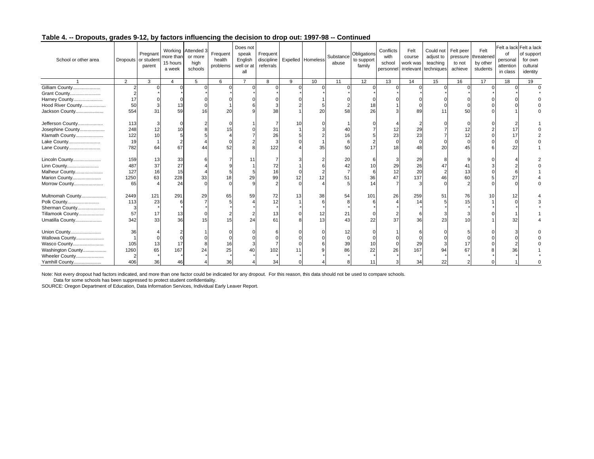| School or other area | Dropouts or student | Pregnant<br>parent | more than<br>15 hours<br>a week | Working Attended 3<br>or more<br>high<br>schools | Frequent<br>health<br>problems | Does not<br>speak<br>English<br>well or at<br>all | Frequent<br>discipline<br>referrals |   | Expelled Homeless | Substance<br>abuse | Obligations<br>to support<br>family | Conflicts<br>with<br>school<br>personnel | Felt<br>course<br>work was | Could not<br>adjust to<br>teaching<br>irrelevant techniques | Felt peer<br>pressure<br>to not<br>achieve | Felt<br>threatened<br>by other<br>students | of<br>personal<br>attention<br>in class | Felt a lack Felt a lack<br>of support<br>for own<br>cultural<br>identity |
|----------------------|---------------------|--------------------|---------------------------------|--------------------------------------------------|--------------------------------|---------------------------------------------------|-------------------------------------|---|-------------------|--------------------|-------------------------------------|------------------------------------------|----------------------------|-------------------------------------------------------------|--------------------------------------------|--------------------------------------------|-----------------------------------------|--------------------------------------------------------------------------|
|                      | $\overline{2}$      | 3                  | $\overline{4}$                  | 5                                                | 6                              | $\overline{7}$                                    | 8                                   | 9 | 10                | 11                 | 12                                  | 13                                       | 14                         | 15                                                          | 16                                         | 17                                         | 18                                      | 19                                                                       |
| Gilliam County       |                     |                    |                                 |                                                  | $\Omega$                       |                                                   |                                     |   |                   |                    |                                     |                                          |                            |                                                             |                                            | U                                          |                                         | $\Omega$                                                                 |
| Grant County         |                     |                    |                                 |                                                  |                                |                                                   |                                     |   |                   |                    |                                     |                                          |                            |                                                             |                                            |                                            |                                         |                                                                          |
| Harney County        | 17                  |                    |                                 |                                                  |                                |                                                   |                                     |   |                   |                    |                                     |                                          |                            |                                                             |                                            |                                            |                                         |                                                                          |
| Hood River County    | 50                  |                    |                                 |                                                  |                                |                                                   |                                     |   |                   |                    |                                     |                                          |                            |                                                             |                                            |                                            |                                         |                                                                          |
| Jackson County       | 554                 | 31                 | 59                              | 16                                               | 20                             |                                                   | 38                                  |   | 20                |                    |                                     |                                          | 89                         |                                                             | 50                                         |                                            |                                         |                                                                          |
| Jefferson County     | 113                 |                    |                                 |                                                  |                                |                                                   |                                     |   |                   |                    |                                     |                                          |                            |                                                             |                                            |                                            |                                         |                                                                          |
| Josephine County     | 248                 |                    |                                 |                                                  |                                |                                                   | 31                                  |   |                   |                    |                                     |                                          | 29                         |                                                             |                                            |                                            |                                         |                                                                          |
| Klamath County       | 122                 |                    |                                 |                                                  |                                |                                                   | 26                                  |   |                   |                    |                                     | 23                                       | 23                         |                                                             |                                            |                                            |                                         |                                                                          |
| Lake County          | 19                  |                    |                                 |                                                  |                                |                                                   |                                     |   |                   |                    |                                     |                                          |                            |                                                             |                                            |                                            |                                         |                                                                          |
| Lane County          | 782                 | 64                 | 67                              |                                                  | 52                             |                                                   | 122                                 |   | 35                | 50                 |                                     | 18                                       | 48                         | 20                                                          |                                            |                                            |                                         |                                                                          |
| Lincoln County       | 159                 | 13                 | 33                              |                                                  |                                |                                                   |                                     |   |                   |                    |                                     |                                          | 29                         |                                                             |                                            |                                            |                                         |                                                                          |
| Linn County          | 487                 | 37                 | 27                              |                                                  |                                |                                                   |                                     |   |                   |                    |                                     | 29                                       | 26                         |                                                             |                                            |                                            |                                         |                                                                          |
| Malheur County       | 127                 | 16                 | 15                              |                                                  |                                |                                                   | 16                                  |   |                   |                    |                                     | 12                                       | 20                         |                                                             |                                            |                                            |                                         |                                                                          |
| Marion County        | 1250                | 63                 | 228                             | 33                                               | 18                             | 29                                                | 99                                  |   |                   |                    | 36                                  |                                          | 137                        | 46                                                          | 60                                         |                                            |                                         |                                                                          |
| Morrow County        | 65                  |                    | 24                              |                                                  |                                |                                                   |                                     |   |                   |                    |                                     |                                          |                            |                                                             |                                            |                                            |                                         |                                                                          |
| Multnomah County     | 2449                | 121                | 291                             | 29                                               | 65                             | 59                                                | 72                                  |   | 38                | 54                 | 101                                 | 26                                       | 259                        | 51                                                          | 76                                         |                                            |                                         |                                                                          |
| Polk County          | 113                 | 23                 |                                 |                                                  |                                |                                                   |                                     |   |                   |                    |                                     |                                          | 14                         |                                                             |                                            |                                            |                                         |                                                                          |
| Sherman County       |                     |                    |                                 |                                                  |                                |                                                   |                                     |   |                   |                    |                                     |                                          |                            |                                                             |                                            |                                            |                                         |                                                                          |
| Tillamook County     | 57                  | 17                 | 13                              |                                                  |                                |                                                   |                                     |   | 12                | 21                 |                                     |                                          |                            |                                                             |                                            |                                            |                                         |                                                                          |
| Umatilla County      | 342                 | 33                 | 36                              | 15                                               | 15                             | 24                                                | 61                                  |   | 13                |                    | 22                                  | 37                                       | 36                         | 23                                                          |                                            |                                            |                                         |                                                                          |
| Union County         | 36                  |                    |                                 |                                                  |                                |                                                   |                                     |   |                   |                    |                                     |                                          |                            |                                                             |                                            |                                            |                                         |                                                                          |
| Wallowa County       |                     |                    |                                 |                                                  |                                |                                                   |                                     |   |                   |                    |                                     |                                          |                            |                                                             |                                            |                                            |                                         |                                                                          |
| Wasco County         | 105                 |                    | 17                              |                                                  | 16                             |                                                   |                                     |   |                   |                    |                                     |                                          | 29                         |                                                             |                                            |                                            |                                         |                                                                          |
| Washington County    | 1260                | 65                 | 167                             | 24                                               | 25                             |                                                   | 102                                 |   |                   |                    | 22                                  | 26                                       | 167                        | 94                                                          |                                            |                                            |                                         |                                                                          |
| Wheeler County       |                     |                    |                                 |                                                  |                                |                                                   |                                     |   |                   |                    |                                     |                                          |                            |                                                             |                                            |                                            |                                         |                                                                          |
| Yamhill County       | 406                 | 36                 |                                 |                                                  | 36                             |                                                   | 34                                  |   |                   |                    |                                     |                                          | 34                         | 22                                                          |                                            |                                            |                                         |                                                                          |

Note: Not every dropout had factors indicated, and more than one factor could be indicated for any dropout. For this reason, this data should not be used to compare schools.

Data for some schools has been suppressed to protect student confidentiality.

SOURCE: Oregon Department of Education, Data Information Services, Individual Early Leaver Report.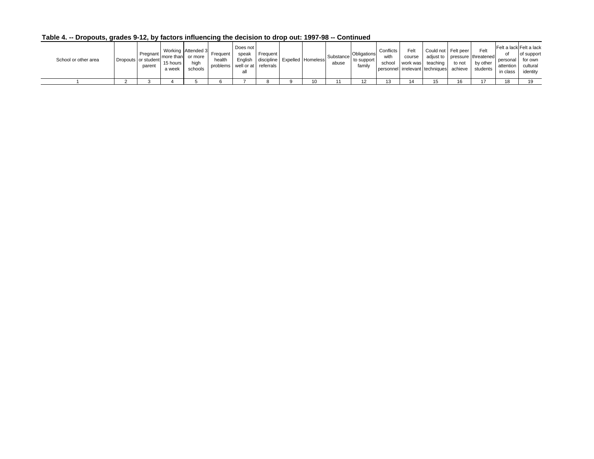| School or other area | Pregnant<br>Dropouts or student<br>parent | Imore than or more<br>15 hours l<br>a week | Working Attended 3 Frequent<br>high<br>schools | health<br>problems well or at referrals | Does not<br>speak<br>all | Frequent | English discipline Expelled Homeless | Substance<br>abuse | Obligations<br>to support<br>family | Conflicts<br>with<br>school | Felt<br>course | Could not Felt peer<br>work was teaching<br>personnel irrelevant techniques achieve | to not | Felt<br>adjust to pressure threatened<br>by other<br>students | Felt a lack Felt a lack<br>Ωt<br>personal for own<br>attention cultural<br>in class | of support<br>identity |
|----------------------|-------------------------------------------|--------------------------------------------|------------------------------------------------|-----------------------------------------|--------------------------|----------|--------------------------------------|--------------------|-------------------------------------|-----------------------------|----------------|-------------------------------------------------------------------------------------|--------|---------------------------------------------------------------|-------------------------------------------------------------------------------------|------------------------|
|                      |                                           |                                            |                                                |                                         |                          |          | 10                                   |                    | 12                                  | 1 2<br>پ                    |                | 15                                                                                  | 16     | $\overline{ }$                                                |                                                                                     |                        |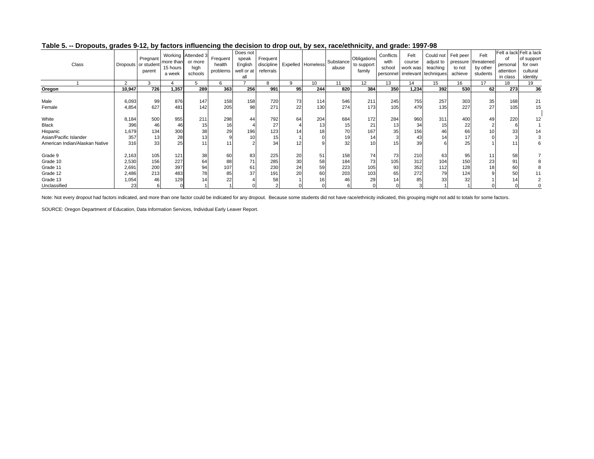| Class                          |                | Pregnant<br>Dropouts or student<br>parent | more than<br>15 hours<br>a week | Working Attended 3<br>or more<br>high<br>schools | Frequent<br>health<br>problems | Does not<br>speak<br>English<br>well or at<br>all | Frequent I<br>referrals |          | discipline Expelled Homeless | Substance<br>abuse | Obligations<br>to support<br>family | Conflicts<br>with<br>school | Felt<br>course<br>work was | Could not<br>adjust to<br>teaching<br>personnel irrelevant techniques | Felt peer<br>to not<br>achieve | Felt<br>pressure threatened<br>by other<br>students | οf<br>personal<br>attention<br>in class | Felt a lack Felt a lack<br>of support<br>for own<br>cultural<br>identity |
|--------------------------------|----------------|-------------------------------------------|---------------------------------|--------------------------------------------------|--------------------------------|---------------------------------------------------|-------------------------|----------|------------------------------|--------------------|-------------------------------------|-----------------------------|----------------------------|-----------------------------------------------------------------------|--------------------------------|-----------------------------------------------------|-----------------------------------------|--------------------------------------------------------------------------|
|                                | $\overline{2}$ | 3                                         |                                 | 5                                                | 6                              |                                                   |                         | 9        | 10                           | 11                 | 12                                  | 13                          | 14                         | 15                                                                    | 16                             | 17                                                  | 18                                      | 19                                                                       |
| Oregon                         | 10,947         | 726                                       | 1,357                           | 289                                              | 363                            | 256                                               | 991                     | 95       | 244                          | 820                | 384                                 | 350                         | 1,234                      | 392                                                                   | 530                            | 62                                                  | 273                                     | 36                                                                       |
| Male<br>Female                 | 6,093<br>4,854 | 99<br>627                                 | 876<br>481                      | 147<br>142                                       | 158<br>205                     | 158<br>98                                         | 720<br>271              | 73<br>22 | 114<br>130                   | 546<br>274         | 211<br>173                          | 245<br>105                  | 755<br>479                 | 257<br>135                                                            | 303<br>227                     | 35<br>27                                            | 168<br>105                              | 21<br>15                                                                 |
| White<br><b>Black</b>          | 8,184<br>396   | 500<br>46                                 | 955<br>46                       | 211<br>15                                        | 298<br>16                      | 44                                                | 792<br>27               | 64       | 204<br>13                    | 684<br>15          | 172<br>21                           | 284<br>13                   | 960<br>34                  | 311<br>15                                                             | 400<br>22                      | 49                                                  | 220                                     | 12                                                                       |
| Hispanic                       | 1,679          | 134                                       | 300                             | 38                                               | 29                             | 196                                               | 123                     |          | 18                           | 70                 | 167                                 | 35                          | 156                        | 46                                                                    | 66                             |                                                     | 33                                      |                                                                          |
| Asian/Pacific Islander         | 357            | 13                                        | 28                              | 13                                               |                                |                                                   | 15 <sub>1</sub>         |          |                              | 19                 | 14 <sub>1</sub>                     |                             | 43                         | 14                                                                    | 17                             |                                                     |                                         |                                                                          |
| American Indian/Alaskan Native | 316            | 33                                        | 25                              |                                                  | 11                             |                                                   | 34                      |          |                              | 32                 | 10 <sub>1</sub>                     |                             | 39                         |                                                                       | 25                             |                                                     |                                         |                                                                          |
| Grade 9                        | 2,163          | 105                                       | 121                             | 38                                               | 60                             | 83                                                | 225                     | 20       | 51                           | 158                | 74 <sub>1</sub>                     | 73                          | 210                        | 63                                                                    | 95                             |                                                     | 58                                      |                                                                          |
| Grade 10                       | 2,530          | 156                                       | 227                             | 64                                               | 88                             |                                                   | 285                     | 30       | 58                           | 184                | 73                                  | 105                         | 312                        | 104                                                                   | 150                            | 23                                                  |                                         |                                                                          |
| Grade 11                       | 2,691          | 200                                       | 397                             | 94                                               | 107                            | 61                                                | 230                     | 24       | 59                           | 223                | 105                                 | 93                          | 352                        | 112                                                                   | 128                            | 18                                                  | 60                                      |                                                                          |
| Grade 12                       | 2,486          | 213                                       | 483                             | 78                                               | 85                             | 37                                                | 191                     | 20       | 60                           | 203                | 103                                 | 65                          | 272                        | 79                                                                    | 124                            |                                                     | 50                                      |                                                                          |
| Grade 13                       | 1,054          | 46                                        | 129                             |                                                  | 22                             |                                                   | 58                      |          | 16                           | 46                 | 29                                  |                             | 85                         | 33                                                                    | 32                             |                                                     |                                         |                                                                          |
| Unclassified                   | 23             |                                           |                                 |                                                  |                                |                                                   |                         |          |                              |                    |                                     |                             |                            |                                                                       |                                |                                                     |                                         |                                                                          |

#### **Table 5. -- Dropouts, grades 9-12, by factors influencing the decision to drop out, by sex, race/ethnicity, and grade: 1997-98**

Note: Not every dropout had factors indicated, and more than one factor could be indicated for any dropout. Because some students did not have race/ethnicity indicated, this grouping might not add to totals for some factor

SOURCE: Oregon Department of Education, Data Information Services, Individual Early Leaver Report.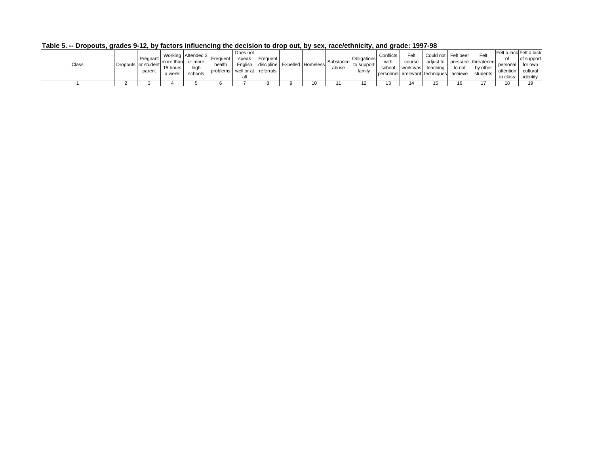| Class |  | Pregnant<br>Dropouts or student<br>parent | more than<br>15 hours<br>a week | Working Attended 3<br>or more<br>high<br>schools | Freauent<br>health<br>problems well or at | Does not<br>speak<br>Enalish | Frequent<br>discipline Expelled Homeless<br>referrals |  | Substance<br>abuse | Obligations<br>to support<br>family | Conflicts<br>with<br>school | Felt<br>course | Could not Felt peer<br>work was teaching<br>personnel irrelevant techniques achieve | to not | Felt<br>adjust to pressure threatened<br>by other<br>students | O1<br>personal l<br>in class | Felt a lack Felt a lack<br>of support<br>for own<br>attention cultural<br>identity |
|-------|--|-------------------------------------------|---------------------------------|--------------------------------------------------|-------------------------------------------|------------------------------|-------------------------------------------------------|--|--------------------|-------------------------------------|-----------------------------|----------------|-------------------------------------------------------------------------------------|--------|---------------------------------------------------------------|------------------------------|------------------------------------------------------------------------------------|
|       |  |                                           |                                 |                                                  |                                           |                              |                                                       |  |                    |                                     |                             |                |                                                                                     |        |                                                               |                              |                                                                                    |
|       |  |                                           |                                 |                                                  |                                           |                              |                                                       |  |                    | 12                                  | ຳ                           |                | 15                                                                                  | 16     |                                                               |                              |                                                                                    |

**Table 5. -- Dropouts, grades 9-12, by factors influencing the decision to drop out, by sex, race/ethnicity, and grade: 1997-98**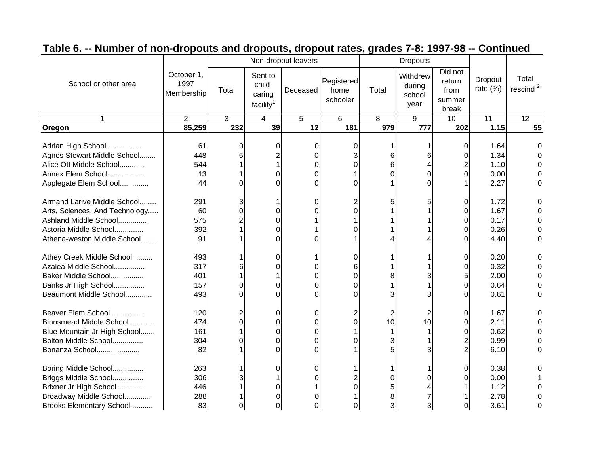|                                |                                  |       |                                                      | Non-dropout leavers |                                |       | <b>Dropouts</b>                      |                                              |                        |                               |
|--------------------------------|----------------------------------|-------|------------------------------------------------------|---------------------|--------------------------------|-------|--------------------------------------|----------------------------------------------|------------------------|-------------------------------|
| School or other area           | October 1,<br>1997<br>Membership | Total | Sent to<br>child-<br>caring<br>facility <sup>1</sup> | Deceased            | Registered<br>home<br>schooler | Total | Withdrew<br>during<br>school<br>year | Did not<br>return<br>from<br>summer<br>break | Dropout<br>rate $(\%)$ | Total<br>rescind <sup>2</sup> |
| 1                              | $\overline{2}$                   | 3     | $\overline{4}$                                       | 5                   | 6                              | 8     | 9                                    | 10                                           | 11                     | $\overline{12}$               |
| Oregon                         | 85,259                           | 232   | 39                                                   | 12                  | 181                            | 979   | 777                                  | 202                                          | 1.15                   | 55                            |
|                                |                                  |       |                                                      |                     |                                |       |                                      |                                              |                        |                               |
| Adrian High School             | 61                               | 0     | 0                                                    | 0                   | 0                              |       |                                      | 0                                            | 1.64                   | 0                             |
| Agnes Stewart Middle School    | 448                              |       |                                                      | 0                   |                                | 6     |                                      | 0                                            | 1.34                   |                               |
| Alice Ott Middle School        | 544                              |       |                                                      | 0                   |                                | 6     |                                      |                                              | 1.10                   |                               |
| Annex Elem School              | 13                               |       | O                                                    | 0                   |                                |       |                                      | $\Omega$                                     | 0.00                   |                               |
| Applegate Elem School          | 44                               | U     | U                                                    | 0                   |                                |       |                                      |                                              | 2.27                   |                               |
| Armand Larive Middle School    | 291                              | 3     |                                                      | 0                   |                                | 5     |                                      | 0                                            | 1.72                   |                               |
| Arts, Sciences, And Technology | 60                               | 0     | 0                                                    | 0                   | 0                              |       |                                      | 0                                            | 1.67                   |                               |
| Ashland Middle School          | 575                              |       | $\Omega$                                             |                     |                                |       |                                      |                                              | 0.17                   |                               |
| Astoria Middle School          | 392                              |       |                                                      |                     |                                |       |                                      |                                              | 0.26                   |                               |
| Athena-weston Middle School    | 91                               |       | 0                                                    | 0                   |                                |       |                                      |                                              | 4.40                   | 0                             |
| Athey Creek Middle School      | 493                              |       | 0                                                    |                     | 0                              |       |                                      | 0                                            | 0.20                   | U                             |
| Azalea Middle School           | 317                              |       |                                                      |                     |                                |       |                                      | O                                            | 0.32                   |                               |
| Baker Middle School            | 401                              |       |                                                      | 0                   | 0                              |       |                                      | 5                                            | 2.00                   | 0                             |
| Banks Jr High School           | 157                              | 0     | 0                                                    | 0                   |                                |       |                                      | $\Omega$                                     | 0.64                   | 0                             |
| Beaumont Middle School         | 493                              | 0     | O                                                    | 0                   | O                              |       |                                      |                                              | 0.61                   | $\Omega$                      |
| Beaver Elem School             | 120                              | 2     | 0                                                    | 0                   |                                | 2     |                                      | 0                                            | 1.67                   |                               |
| Binnsmead Middle School        | 474                              | O     | 0                                                    | 0                   | 0                              | 10    | 10                                   | 0                                            | 2.11                   |                               |
| Blue Mountain Jr High School   | 161                              |       | 0                                                    | 0                   |                                |       |                                      | 0                                            | 0.62                   |                               |
| Bolton Middle School           | 304                              | 0     | $\Omega$                                             | 0                   | 0                              |       |                                      |                                              | 0.99                   |                               |
| Bonanza School                 | 82                               |       | 0                                                    | 0                   |                                |       |                                      |                                              | 6.10                   |                               |
| Boring Middle School           | 263                              |       | 0                                                    | 0                   |                                |       |                                      | 0                                            | 0.38                   |                               |
| Briggs Middle School           | 306                              |       |                                                      |                     |                                |       |                                      |                                              | 0.00                   |                               |
| Brixner Jr High School         | 446                              |       |                                                      |                     | 0                              |       |                                      |                                              | 1.12                   |                               |
| Broadway Middle School         | 288                              |       |                                                      |                     |                                |       |                                      |                                              | 2.78                   |                               |
| Brooks Elementary School       | 83                               | 0     |                                                      | 0                   | 0                              |       |                                      |                                              | 3.61                   | 0                             |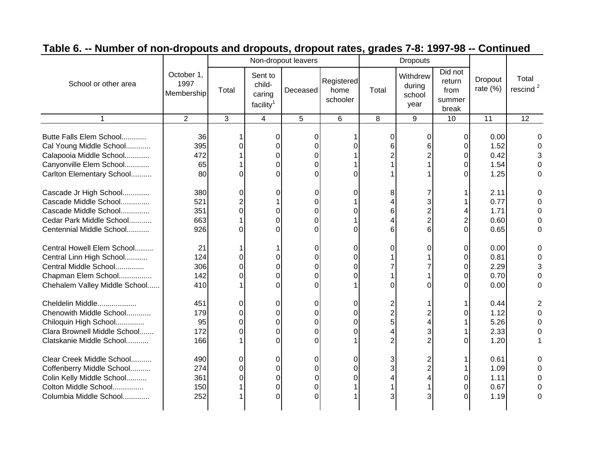|                                                                                                                                         |                                  |                         |                                                      | Non-dropout leavers                       |                                |                       | <b>Dropouts</b>                      |                                              |                                      |                               |
|-----------------------------------------------------------------------------------------------------------------------------------------|----------------------------------|-------------------------|------------------------------------------------------|-------------------------------------------|--------------------------------|-----------------------|--------------------------------------|----------------------------------------------|--------------------------------------|-------------------------------|
| School or other area                                                                                                                    | October 1,<br>1997<br>Membership | Total                   | Sent to<br>child-<br>caring<br>facility <sup>1</sup> | Deceased                                  | Registered<br>home<br>schooler | Total                 | Withdrew<br>during<br>school<br>year | Did not<br>return<br>from<br>summer<br>break | Dropout<br>rate $(\%)$               | Total<br>rescind <sup>2</sup> |
| 1                                                                                                                                       | $\overline{2}$                   | 3                       | 4                                                    | 5                                         | 6                              | 8                     | 9                                    | 10                                           | 11                                   | $\overline{12}$               |
| Butte Falls Elem School<br>Cal Young Middle School<br>Calapooia Middle School<br>Canyonville Elem School<br>Carlton Elementary School   | 36<br>395<br>472<br>65<br>80     | O<br>0                  | 0<br>$\Omega$<br>0<br>0<br>O                         | 0<br>$\Omega$<br>$\Omega$<br>0<br>0       | U<br>O.                        | $\Omega$<br>6         |                                      | 0<br>$\Omega$<br>0<br>0<br>∩                 | 0.00<br>1.52<br>0.42<br>1.54<br>1.25 |                               |
| Cascade Jr High School<br>Cascade Middle School<br>Cascade Middle School<br>Cedar Park Middle School<br>Centennial Middle School        | 380<br>521<br>351<br>663<br>926  | 0<br>0<br>0             | 0<br>0<br>$\Omega$<br>$\Omega$                       | 0<br>0<br>0<br>$\overline{0}$<br>$\Omega$ | 0<br>0<br>0                    | 8<br>4<br>6<br>4<br>6 |                                      | $\overline{2}$<br>$\Omega$                   | 2.11<br>0.77<br>1.71<br>0.60<br>0.65 | ⋂<br>$\Omega$                 |
| Central Howell Elem School<br>Central Linn High School<br>Central Middle School<br>Chapman Elem School<br>Chehalem Valley Middle School | 21<br>124<br>306<br>142<br>410   | 0<br>0<br>0             | 0<br>0<br>0<br>O                                     | 0<br>0<br>0<br>$\Omega$<br>0              | 0<br>0<br>0<br>n               | 0                     |                                      | 0<br>$\Omega$<br>$\Omega$<br>$\Omega$<br>∩   | 0.00<br>0.81<br>2.29<br>0.70<br>0.00 | Ω<br>0<br>$\Omega$            |
| Cheldelin Middle<br>Chenowith Middle School<br>Chiloquin High School<br>Clara Brownell Middle School<br>Clatskanie Middle School        | 451<br>179<br>95<br>172<br>166   | 0<br>$\Omega$<br>0<br>0 | 0<br>$\Omega$<br>0<br>0<br>0                         | 0<br>0<br>$\Omega$<br>0<br>$\Omega$       | 0<br>0<br>0<br>0               | 2<br>5                |                                      |                                              | 0.44<br>1.12<br>5.26<br>2.33<br>1.20 |                               |
| Clear Creek Middle School<br>Coffenberry Middle School<br>Colin Kelly Middle School<br>Colton Middle School<br>Columbia Middle School   | 490<br>274<br>361<br>150<br>252  | 0<br>0<br>0             | $\Omega$<br>0<br>0<br>0<br>O                         | 0<br>0<br>0<br>$\mathbf 0$<br>ი           | 0<br>0<br>0                    | 3<br>3                |                                      | 0                                            | 0.61<br>1.09<br>1.11<br>0.67<br>1.19 | ∩                             |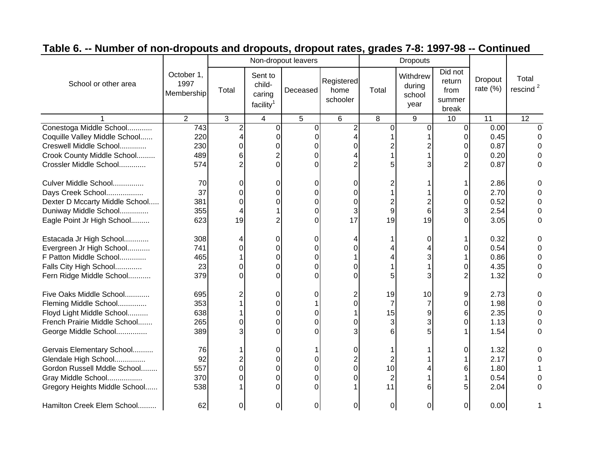|                                |                                  |       |                                                      | Non-dropout leavers |                                |                | <b>Dropouts</b>                      |                                              |                        |                               |
|--------------------------------|----------------------------------|-------|------------------------------------------------------|---------------------|--------------------------------|----------------|--------------------------------------|----------------------------------------------|------------------------|-------------------------------|
| School or other area           | October 1,<br>1997<br>Membership | Total | Sent to<br>child-<br>caring<br>facility <sup>1</sup> | Deceased            | Registered<br>home<br>schooler | Total          | Withdrew<br>during<br>school<br>year | Did not<br>return<br>from<br>summer<br>break | Dropout<br>rate $(\%)$ | Total<br>rescind <sup>2</sup> |
|                                | $\overline{2}$                   | 3     | $\overline{4}$                                       | 5                   | 6                              | 8              | 9                                    | 10                                           | 11                     | $\overline{12}$               |
| Conestoga Middle School        | 743                              |       | $\Omega$                                             | $\Omega$            |                                | $\Omega$       | ∩                                    | $\Omega$                                     | 0.00                   | $\Omega$                      |
| Coquille Valley Middle School  | 220                              |       |                                                      | $\Omega$            |                                |                |                                      |                                              | 0.45                   | 0                             |
| Creswell Middle School         | 230                              | 0     |                                                      | 0                   |                                |                |                                      |                                              | 0.87                   |                               |
| Crook County Middle School     | 489                              | 6     |                                                      | 0                   |                                |                |                                      |                                              | 0.20                   |                               |
| Crossler Middle School         | 574                              |       |                                                      | 0                   |                                |                |                                      |                                              | 0.87                   |                               |
| Culver Middle School           | 70                               | Ω     | 0                                                    | 0                   |                                |                |                                      |                                              | 2.86                   |                               |
| Days Creek School              | 37                               | 0     | 0                                                    | 0                   | U                              |                |                                      |                                              | 2.70                   |                               |
| Dexter D Mccarty Middle School | 381                              |       |                                                      | 0                   | 0                              |                |                                      |                                              | 0.52                   |                               |
| Duniway Middle School          | 355                              |       |                                                      | 0                   | 3                              | 9              | 6                                    |                                              | 2.54                   |                               |
| Eagle Point Jr High School     | 623                              | 19    |                                                      | 0                   | 17                             | 19             | 19                                   |                                              | 3.05                   |                               |
| Estacada Jr High School        | 308                              |       | O                                                    | 0                   |                                |                | ი                                    |                                              | 0.32                   |                               |
| Evergreen Jr High School       | 741                              |       |                                                      | 0                   |                                |                |                                      |                                              | 0.54                   |                               |
| F Patton Middle School         | 465                              |       |                                                      | 0                   |                                |                |                                      |                                              | 0.86                   | 0                             |
| Falls City High School         | 23                               | O     | 0                                                    | 0                   |                                |                |                                      |                                              | 4.35                   | 0                             |
| Fern Ridge Middle School       | 379                              | U     |                                                      | 0                   |                                |                |                                      |                                              | 1.32                   | 0                             |
| Five Oaks Middle School        | 695                              |       | 0                                                    | 0                   |                                | 19             | 10                                   | 9                                            | 2.73                   |                               |
| Fleming Middle School          | 353                              |       |                                                      |                     |                                | 7              |                                      |                                              | 1.98                   |                               |
| Floyd Light Middle School      | 638                              |       | <sup>0</sup>                                         | 0                   |                                | 15             |                                      |                                              | 2.35                   |                               |
| French Prairie Middle School   | 265                              | 0     | 0                                                    | 0                   |                                | 3              |                                      |                                              | 1.13                   |                               |
| George Middle School           | 389                              |       | <sup>0</sup>                                         | $\Omega$            |                                |                |                                      |                                              | 1.54                   |                               |
| Gervais Elementary School      | 76                               |       | 0                                                    |                     | 0                              |                |                                      | 0                                            | 1.32                   |                               |
| Glendale High School           | 92                               |       |                                                      | 0                   |                                |                |                                      |                                              | 2.17                   |                               |
| Gordon Russell Mddle School    | 557                              | 0     | 0                                                    | 0                   | 0                              | 10             |                                      |                                              | 1.80                   |                               |
| Gray Middle School             | 370                              | 0     | 0                                                    | 0                   |                                | $\overline{2}$ |                                      |                                              | 0.54                   |                               |
| Gregory Heights Middle School  | 538                              |       |                                                      | 0                   |                                | 11             |                                      |                                              | 2.04                   | O                             |
| Hamilton Creek Elem School     | 62                               | 0     | 0                                                    | 0                   | 0                              | 0              | 01                                   | 0                                            | 0.00                   |                               |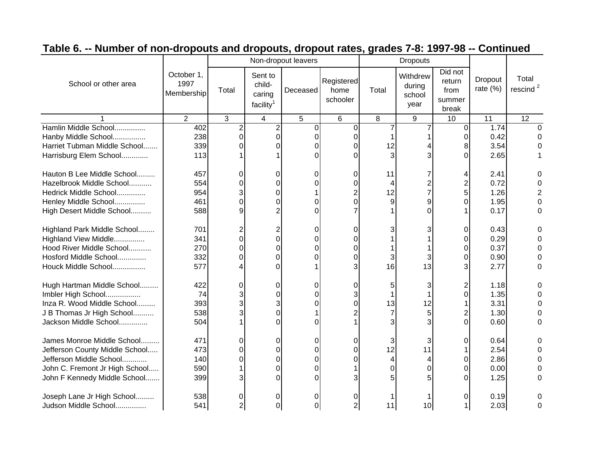|                                |                                  |       |                                                      | Non-dropout leavers |                                |       | <b>Dropouts</b>                      |                                              |                        |                               |
|--------------------------------|----------------------------------|-------|------------------------------------------------------|---------------------|--------------------------------|-------|--------------------------------------|----------------------------------------------|------------------------|-------------------------------|
| School or other area           | October 1,<br>1997<br>Membership | Total | Sent to<br>child-<br>caring<br>facility <sup>1</sup> | Deceased            | Registered<br>home<br>schooler | Total | Withdrew<br>during<br>school<br>year | Did not<br>return<br>from<br>summer<br>break | Dropout<br>rate $(\%)$ | Total<br>rescind <sup>2</sup> |
|                                | 2                                | 3     | $\overline{4}$                                       | 5                   | 6                              | 8     | 9                                    | 10                                           | 11                     | $\overline{12}$               |
| Hamlin Middle School           | 402                              |       | $\overline{2}$                                       | $\Omega$            | $\Omega$                       |       |                                      | $\Omega$                                     | 1.74                   | $\Omega$                      |
| Hanby Middle School            | 238                              | 0     | 0                                                    | $\Omega$            |                                |       |                                      |                                              | 0.42                   | 0                             |
| Harriet Tubman Middle School   | 339                              |       |                                                      | 0                   |                                | 12    |                                      |                                              | 3.54                   |                               |
| Harrisburg Elem School         | 113                              |       |                                                      | $\Omega$            |                                |       |                                      |                                              | 2.65                   |                               |
| Hauton B Lee Middle School     | 457                              | Ω     | 0                                                    | 0                   | 0                              | 11    |                                      |                                              | 2.41                   |                               |
| Hazelbrook Middle School       | 554                              |       |                                                      | 0                   | O                              | 4     |                                      |                                              | 0.72                   |                               |
| Hedrick Middle School          | 954                              | 3     | 0                                                    |                     |                                | 12    |                                      |                                              | 1.26                   |                               |
| Henley Middle School           | 461                              | 0     | 0                                                    | 0                   | O                              | 9     |                                      |                                              | 1.95                   |                               |
| High Desert Middle School      | 588                              | 9     |                                                      | 0                   |                                |       |                                      |                                              | 0.17                   |                               |
| Highland Park Middle School    | 701                              |       |                                                      | 0                   |                                |       |                                      |                                              | 0.43                   |                               |
| Highland View Middle           | 341                              |       |                                                      | 0                   |                                |       |                                      |                                              | 0.29                   |                               |
| Hood River Middle School       | 270                              |       |                                                      | 0                   |                                |       |                                      |                                              | 0.37                   | 0                             |
| Hosford Middle School          | 332                              |       |                                                      | 0                   |                                |       |                                      |                                              | 0.90                   | 0                             |
| Houck Middle School            | 577                              |       |                                                      |                     |                                | 16    | 13                                   |                                              | 2.77                   | 0                             |
| Hugh Hartman Middle School     | 422                              | 0     | 0                                                    | 0                   | 0                              | 5     |                                      |                                              | 1.18                   | 0                             |
| Imbler High School             | 74                               |       |                                                      | 0                   |                                |       |                                      |                                              | 1.35                   |                               |
| Inza R. Wood Middle School     | 393                              |       |                                                      | 0                   |                                | 13    | 12                                   |                                              | 3.31                   |                               |
| J B Thomas Jr High School      | 538                              |       | U                                                    |                     |                                |       |                                      |                                              | 1.30                   |                               |
| Jackson Middle School          | 504                              |       |                                                      | 0                   |                                |       |                                      |                                              | 0.60                   | 0                             |
| James Monroe Middle School     | 471                              | 0     | 0                                                    | 0                   | 0                              | 3     |                                      | 0                                            | 0.64                   |                               |
| Jefferson County Middle School | 473                              | 0     | 0                                                    | $\Omega$            | 0                              | 12    | 11                                   |                                              | 2.54                   |                               |
| Jefferson Middle School        | 140                              | 0     | 0                                                    | 0                   |                                | 4     |                                      |                                              | 2.86                   |                               |
| John C. Fremont Jr High School | 590                              |       | 0                                                    | 0                   |                                | 0     |                                      |                                              | 0.00                   |                               |
| John F Kennedy Middle School   | 399                              |       |                                                      | 0                   |                                |       |                                      |                                              | 1.25                   |                               |
| Joseph Lane Jr High School     | 538                              | 0     |                                                      | 0                   |                                |       |                                      |                                              | 0.19                   |                               |
| Judson Middle School           | 541                              |       | 0                                                    | 0                   |                                | 11    | 10                                   |                                              | 2.03                   | 0                             |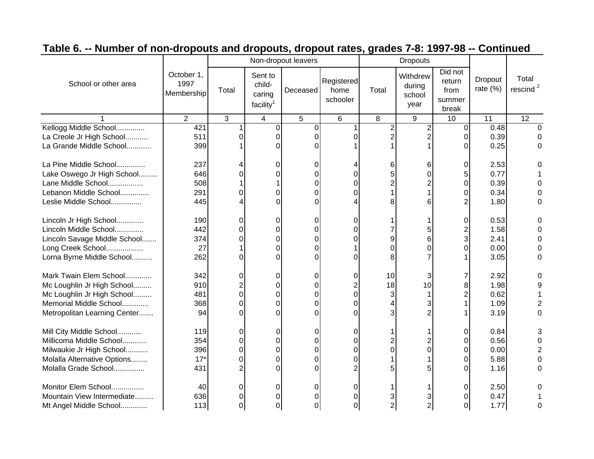|                              |                                  |       |                                                      | Non-dropout leavers |                                |       | <b>Dropouts</b>                      |                                              |                        |                               |
|------------------------------|----------------------------------|-------|------------------------------------------------------|---------------------|--------------------------------|-------|--------------------------------------|----------------------------------------------|------------------------|-------------------------------|
| School or other area         | October 1,<br>1997<br>Membership | Total | Sent to<br>child-<br>caring<br>facility <sup>1</sup> | Deceased            | Registered<br>home<br>schooler | Total | Withdrew<br>during<br>school<br>year | Did not<br>return<br>from<br>summer<br>break | Dropout<br>rate $(\%)$ | Total<br>rescind <sup>2</sup> |
|                              | $\overline{2}$                   | 3     | 4                                                    | 5                   | 6                              | 8     | 9                                    | 10                                           | 11                     | $\overline{12}$               |
| Kellogg Middle School        | 421                              |       | $\Omega$                                             | 0                   |                                |       |                                      | $\Omega$                                     | 0.48                   | O                             |
| La Creole Jr High School     | 511                              |       | 0                                                    | 0                   |                                |       |                                      |                                              | 0.39                   |                               |
| La Grande Middle School      | 399                              |       |                                                      | U                   |                                |       |                                      |                                              | 0.25                   | O                             |
| La Pine Middle School        | 237                              |       |                                                      | 0                   |                                |       |                                      |                                              | 2.53                   |                               |
| Lake Oswego Jr High School   | 646                              |       |                                                      | 0                   |                                |       |                                      |                                              | 0.77                   |                               |
| Lane Middle School           | 508                              |       |                                                      | 0                   |                                |       |                                      |                                              | 0.39                   |                               |
| Lebanon Middle School        | 291                              | 0     | 0                                                    | 0                   |                                |       |                                      |                                              | 0.34                   |                               |
| Leslie Middle School         | 445                              |       |                                                      | 0                   |                                |       |                                      |                                              | 1.80                   |                               |
| Lincoln Jr High School       | 190                              | 0     | 0                                                    | 0                   |                                |       |                                      |                                              | 0.53                   |                               |
| Lincoln Middle School        | 442                              |       |                                                      | 0                   |                                |       |                                      |                                              | 1.58                   |                               |
| Lincoln Savage Middle School | 374                              |       |                                                      | 0                   |                                |       |                                      |                                              | 2.41                   | 0                             |
| Long Creek School            | 27                               |       |                                                      | 0                   |                                |       |                                      |                                              | 0.00                   | 0                             |
| Lorna Byrne Middle School    | 262                              | ი     |                                                      | 0                   |                                |       |                                      |                                              | 3.05                   | 0                             |
| Mark Twain Elem School       | 342                              | 0     | 0                                                    | 0                   | 0                              | 10    | З                                    |                                              | 2.92                   | 0                             |
| Mc Loughlin Jr High School   | 910                              |       | 0                                                    | 0                   |                                | 18    | 10                                   |                                              | 1.98                   | 9                             |
| Mc Loughlin Jr High School   | 481                              | 0     | 0                                                    | 0                   | O                              | 3     |                                      |                                              | 0.62                   |                               |
| Memorial Middle School       | 368                              | ŋ     | 0                                                    | 0                   |                                |       |                                      |                                              | 1.09                   | 2                             |
| Metropolitan Learning Center | 94                               |       |                                                      | $\Omega$            |                                |       |                                      |                                              | 3.19                   | $\Omega$                      |
| Mill City Middle School      | 119                              | 0     | 0                                                    | 0                   | 0                              |       |                                      | 0                                            | 0.84                   |                               |
| Millicoma Middle School      | 354                              | 0     | 0                                                    | 0                   | 0                              |       |                                      |                                              | 0.56                   |                               |
| Milwaukie Jr High School     | 396                              | 0     | 0                                                    | 0                   | 0                              |       |                                      |                                              | 0.00                   |                               |
| Molalla Alternative Options  | $17*$                            | 0     | 0                                                    | 0                   | 0                              |       |                                      |                                              | 5.88                   |                               |
| Molalla Grade School         | 431                              |       |                                                      | 0                   |                                |       |                                      |                                              | 1.16                   | 0                             |
| Monitor Elem School          | 40                               | 0     |                                                      | 0                   | 0                              |       |                                      | 0                                            | 2.50                   |                               |
| Mountain View Intermediate   | 636                              | O     |                                                      | 0                   |                                |       |                                      |                                              | 0.47                   |                               |
| Mt Angel Middle School       | 113                              | 0     | 0                                                    | 0                   | 0                              |       |                                      |                                              | 1.77                   | 0                             |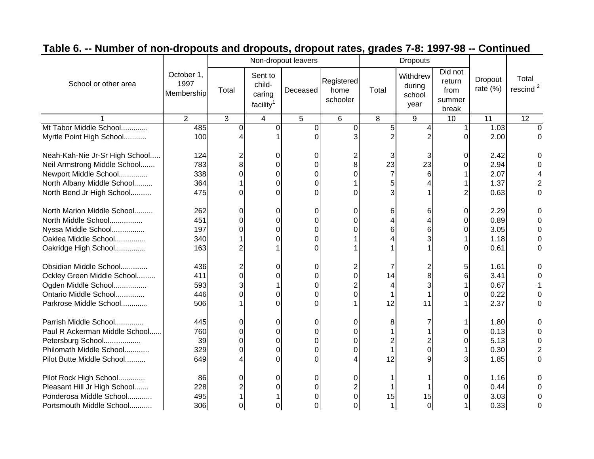|                                |                                  |       |                                                      | Non-dropout leavers |                                |                | <b>Dropouts</b>                      |                                              |                        |                               |
|--------------------------------|----------------------------------|-------|------------------------------------------------------|---------------------|--------------------------------|----------------|--------------------------------------|----------------------------------------------|------------------------|-------------------------------|
| School or other area           | October 1,<br>1997<br>Membership | Total | Sent to<br>child-<br>caring<br>facility <sup>1</sup> | Deceased            | Registered<br>home<br>schooler | Total          | Withdrew<br>during<br>school<br>year | Did not<br>return<br>from<br>summer<br>break | Dropout<br>rate $(\%)$ | Total<br>rescind <sup>2</sup> |
|                                | $\overline{2}$                   | 3     | 4                                                    | 5                   | 6                              | 8              | 9                                    | 10                                           | 11                     | 12                            |
| Mt Tabor Middle School         | 485                              | 0     | $\overline{0}$                                       | 0                   | $\Omega$                       | 5              |                                      |                                              | 1.03                   | $\Omega$                      |
| Myrtle Point High School       | 100                              |       |                                                      | $\Omega$            |                                |                |                                      | 0                                            | 2.00                   | 0                             |
| Neah-Kah-Nie Jr-Sr High School | 124                              |       |                                                      | 0                   |                                | 3              |                                      |                                              | 2.42                   |                               |
| Neil Armstrong Middle School   | 783                              | 8     |                                                      | 0                   | 8                              | 23             | 23                                   |                                              | 2.94                   |                               |
| Newport Middle School          | 338                              | ∩     |                                                      | 0                   |                                | $\overline{7}$ |                                      |                                              | 2.07                   |                               |
| North Albany Middle School     | 364                              |       | 0                                                    | 0                   |                                |                |                                      |                                              | 1.37                   | 2                             |
| North Bend Jr High School      | 475                              | U     | U                                                    | 0                   |                                |                |                                      |                                              | 0.63                   | 0                             |
| North Marion Middle School     | 262                              | 0     | 0                                                    | 0                   | 0                              | 6              | 6                                    | 0                                            | 2.29                   |                               |
| North Middle School            | 451                              | 0     | 0                                                    | 0                   |                                |                |                                      |                                              | 0.89                   |                               |
| Nyssa Middle School            | 197                              | 0     | 0                                                    | 0                   |                                | 6              | 6                                    |                                              | 3.05                   |                               |
| Oaklea Middle School           | 340                              |       |                                                      | 0                   |                                |                |                                      |                                              | 1.18                   |                               |
| Oakridge High School           | 163                              | 2     |                                                      | 0                   |                                |                |                                      |                                              | 0.61                   | 0                             |
| Obsidian Middle School         | 436                              |       | 0                                                    | 0                   |                                |                |                                      | 5                                            | 1.61                   | O                             |
| Ockley Green Middle School     | 411                              | 0     |                                                      | 0                   |                                | 14             |                                      |                                              | 3.41                   |                               |
| Ogden Middle School            | 593                              |       |                                                      | 0                   |                                |                |                                      |                                              | 0.67                   |                               |
| Ontario Middle School          | 446                              |       |                                                      | 0                   |                                |                |                                      |                                              | 0.22                   |                               |
| Parkrose Middle School         | 506                              |       |                                                      | 0                   |                                | 12             | 11                                   |                                              | 2.37                   | $\Omega$                      |
| Parrish Middle School          | 445                              | 0     | 0                                                    | 0                   | O                              |                |                                      |                                              | 1.80                   |                               |
| Paul R Ackerman Middle School  | 760                              | 0     | <sup>0</sup>                                         | 0                   |                                |                |                                      |                                              | 0.13                   |                               |
| Petersburg School              | 39                               | 0     | 0                                                    | 0                   | U                              |                |                                      |                                              | 5.13                   |                               |
| Philomath Middle School        | 329                              | 0     | 0                                                    | 0                   | 0                              |                |                                      |                                              | 0.30                   |                               |
| Pilot Butte Middle School      | 649                              |       | 0                                                    | 0                   |                                | 12             |                                      |                                              | 1.85                   | 0                             |
| Pilot Rock High School         | 86                               | 0     | 0                                                    | 0                   |                                |                |                                      |                                              | 1.16                   |                               |
| Pleasant Hill Jr High School   | 228                              |       |                                                      | 0                   |                                |                |                                      |                                              | 0.44                   |                               |
| Ponderosa Middle School        | 495                              |       |                                                      | 0                   |                                | 15             | 15                                   |                                              | 3.03                   |                               |
| Portsmouth Middle School       | 306                              |       |                                                      | 0                   |                                |                |                                      |                                              | 0.33                   | 0                             |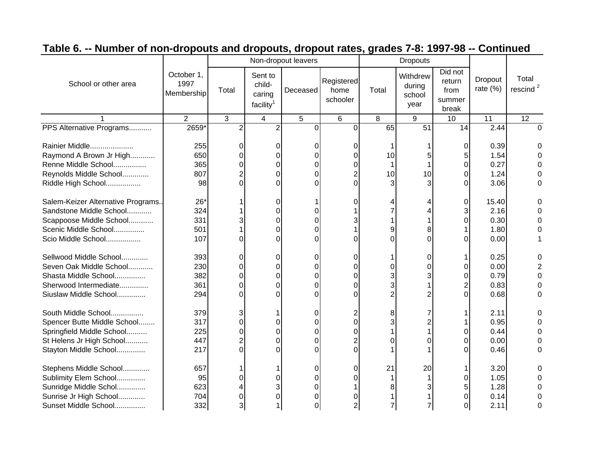|                                                 |                                  |       |                                                      | Non-dropout leavers |                                |       | <b>Dropouts</b>                      |                                              |                        |                               |
|-------------------------------------------------|----------------------------------|-------|------------------------------------------------------|---------------------|--------------------------------|-------|--------------------------------------|----------------------------------------------|------------------------|-------------------------------|
| School or other area                            | October 1,<br>1997<br>Membership | Total | Sent to<br>child-<br>caring<br>facility <sup>1</sup> | Deceased            | Registered<br>home<br>schooler | Total | Withdrew<br>during<br>school<br>year | Did not<br>return<br>from<br>summer<br>break | Dropout<br>rate $(\%)$ | Total<br>rescind <sup>2</sup> |
|                                                 | $\overline{2}$                   | 3     | 4                                                    | 5                   | 6                              | 8     | 9                                    | 10                                           | 11                     | 12                            |
| PPS Alternative Programs                        | 2659 <sup>*</sup>                |       | $\overline{2}$                                       | $\overline{0}$      | $\Omega$                       | 65    | 51                                   | 14                                           | 2.44                   | U                             |
| Rainier Middle<br>Raymond A Brown Jr High       | 255<br>650                       |       |                                                      | 0<br>0              |                                | 10    |                                      |                                              | 0.39<br>1.54           |                               |
| Renne Middle School                             | 365                              |       |                                                      | 0                   |                                |       |                                      |                                              | 0.27                   |                               |
| Reynolds Middle School                          | 807                              |       | O                                                    | 0                   |                                | 10    | 10                                   |                                              | 1.24                   |                               |
| Riddle High School                              | 98                               | ∩     | n                                                    | $\Omega$            | U                              | 3     |                                      |                                              | 3.06                   |                               |
| Salem-Keizer Alternative Programs.              | $26*$                            |       | 0                                                    |                     | O                              |       |                                      | 0                                            | 15.40                  |                               |
| Sandstone Middle School                         | 324                              |       | 0                                                    | 0                   |                                |       |                                      |                                              | 2.16                   |                               |
| Scappoose Middle School                         | 331                              |       | 0                                                    | 0                   |                                |       |                                      |                                              | 0.30                   |                               |
| Scenic Middle School                            | 501                              |       |                                                      | 0                   |                                |       |                                      |                                              | 1.80                   |                               |
| Scio Middle School                              | 107                              |       |                                                      | 0                   |                                |       | 0                                    |                                              | 0.00                   |                               |
| Sellwood Middle School                          | 393                              | 0     | 0                                                    | 0                   | O                              |       |                                      |                                              | 0.25                   | 0                             |
| Seven Oak Middle School                         | 230                              | O     |                                                      | 0                   |                                |       |                                      |                                              | 0.00                   |                               |
| Shasta Middle School                            | 382                              |       | 0                                                    | 0                   | O                              |       |                                      |                                              | 0.79                   | $\overline{0}$                |
| Sherwood Intermediate                           | 361                              | 0     | 0                                                    | 0                   |                                |       |                                      |                                              | 0.83                   | $\Omega$                      |
| Siuslaw Middle School                           | 294                              | 0     |                                                      | 0                   |                                |       |                                      |                                              | 0.68                   | 0                             |
| South Middle School                             | 379                              | 3     |                                                      | 0                   |                                |       |                                      |                                              | 2.11                   |                               |
| Spencer Butte Middle School                     | 317                              |       |                                                      | 0                   |                                |       |                                      |                                              | 0.95                   |                               |
| Springfield Middle School                       | 225                              |       |                                                      | 0                   |                                |       |                                      |                                              | 0.44                   |                               |
| St Helens Jr High School                        | 447                              |       | 0                                                    | 0                   |                                |       |                                      |                                              | 0.00                   |                               |
| Stayton Middle School                           | 217                              | U     | <sup>0</sup>                                         | $\Omega$            | O                              |       |                                      |                                              | 0.46                   | O                             |
| Stephens Middle School<br>Sublimity Elem School | 657<br>95                        |       |                                                      | 0<br>0              | 0                              | 21    | 20                                   |                                              | 3.20<br>1.05           |                               |
| Sunridge Middle Schol                           | 623                              |       |                                                      | 0                   |                                |       |                                      |                                              | 1.28                   |                               |
| Sunrise Jr High School                          | 704                              |       |                                                      | 0                   |                                |       |                                      |                                              | 0.14                   |                               |
| Sunset Middle School                            | 332                              |       |                                                      | 0                   |                                |       |                                      |                                              | 2.11                   | 0                             |
|                                                 |                                  |       |                                                      |                     |                                |       |                                      |                                              |                        |                               |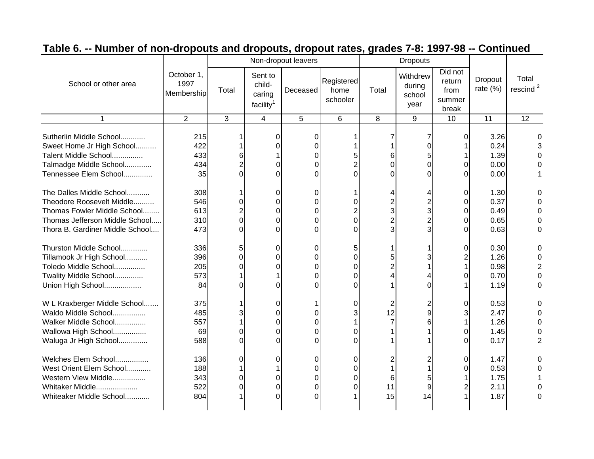|                                                                                                                                                           |                                  |                    |                                                      | Non-dropout leavers                        |                                |                     | <b>Dropouts</b>                      |                                              |                                      |                                                  |
|-----------------------------------------------------------------------------------------------------------------------------------------------------------|----------------------------------|--------------------|------------------------------------------------------|--------------------------------------------|--------------------------------|---------------------|--------------------------------------|----------------------------------------------|--------------------------------------|--------------------------------------------------|
| School or other area                                                                                                                                      | October 1,<br>1997<br>Membership | Total              | Sent to<br>child-<br>caring<br>facility <sup>1</sup> | Deceased                                   | Registered<br>home<br>schooler | Total               | Withdrew<br>during<br>school<br>year | Did not<br>return<br>from<br>summer<br>break | Dropout<br>rate $(\%)$               | Total<br>rescind <sup>2</sup>                    |
| 1                                                                                                                                                         | 2                                | 3                  | 4                                                    | 5                                          | 6                              | 8                   | 9                                    | 10                                           | 11                                   | 12                                               |
| Sutherlin Middle School<br>Sweet Home Jr High School<br>Talent Middle School<br>Talmadge Middle School<br>Tennessee Elem School                           | 215<br>422<br>433<br>434<br>35   | 6<br>0             | 0<br>U<br>0<br>U                                     | 0<br>0<br>$\Omega$<br>0<br>0               | 5<br><sup>0</sup>              | 6<br>0<br>U         |                                      | 0<br>O<br>$\Omega$                           | 3.26<br>0.24<br>1.39<br>0.00<br>0.00 |                                                  |
| The Dalles Middle School<br>Theodore Roosevelt Middle<br>Thomas Fowler Middle School<br>Thomas Jefferson Middle School<br>Thora B. Gardiner Middle School | 308<br>546<br>613<br>310<br>473  | 0<br>0<br>$\Omega$ | $\Omega$<br>0<br>0<br>0<br>$\Omega$                  | 0<br>0<br>0<br>0<br>$\Omega$               | 0<br>0<br>0                    | 3<br>$\overline{2}$ |                                      | $\Omega$<br>0<br>0<br>0<br>0                 | 1.30<br>0.37<br>0.49<br>0.65<br>0.63 | 0                                                |
| Thurston Middle School<br>Tillamook Jr High School<br>Toledo Middle School<br>Twality Middle School<br>Union High School                                  | 336<br>396<br>205<br>573<br>84   | 5<br>O<br>0<br>U   | $\Omega$<br>$\Omega$<br>0                            | 0<br>0<br>0<br>0<br>O                      | 5<br>0<br>0<br>0               | 5                   |                                      | 0                                            | 0.30<br>1.26<br>0.98<br>0.70<br>1.19 | 0<br>U<br>$\overline{2}$<br>$\Omega$<br>$\Omega$ |
| W L Kraxberger Middle School<br>Waldo Middle School<br>Walker Middle School<br>Wallowa High School<br>Waluga Jr High School                               | 375<br>485<br>557<br>69<br>588   | 0<br>0             | 0<br>$\Omega$<br>0<br>$\Omega$<br>0                  | 0<br>0<br>0<br>0                           | 0<br>3<br>0<br>0               | 2<br>12             |                                      | 0<br>0                                       | 0.53<br>2.47<br>1.26<br>1.45<br>0.17 | 2                                                |
| Welches Elem School<br>West Orient Elem School<br>Western View Middle<br>Whitaker Middle<br>Whiteaker Middle School                                       | 136<br>188<br>343<br>522<br>804  | 0<br>0<br>0        | 0<br>0<br>0<br>O                                     | 0<br>0<br>$\Omega$<br>$\Omega$<br>$\Omega$ | 0<br>0<br>0<br>0               | 6<br>11<br>15       | 14                                   | 0                                            | 1.47<br>0.53<br>1.75<br>2.11<br>1.87 | 0                                                |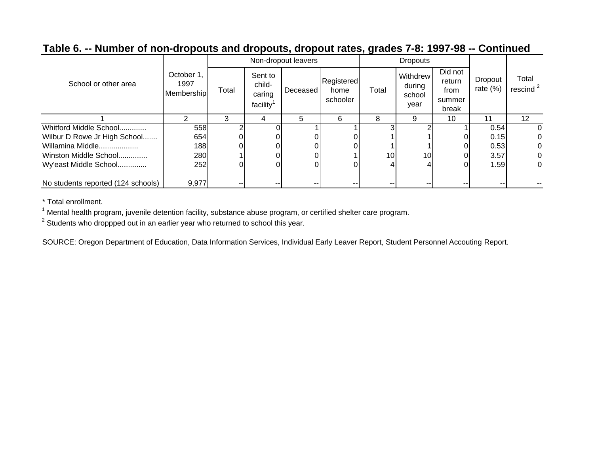|                                    |                                  |       |                                                      | Non-dropout leavers |                                |       | <b>Dropouts</b>                      |                                              |                              |                               |
|------------------------------------|----------------------------------|-------|------------------------------------------------------|---------------------|--------------------------------|-------|--------------------------------------|----------------------------------------------|------------------------------|-------------------------------|
| School or other area               | October 1.<br>1997<br>Membership | Total | Sent to<br>child-<br>caring<br>facility <sup>1</sup> | <b>Deceased</b>     | Registered<br>home<br>schooler | Total | Withdrew<br>during<br>school<br>year | Did not<br>return<br>from<br>summer<br>break | <b>Dropout</b><br>rate $(%)$ | Total<br>rescind <sup>2</sup> |
|                                    | 2                                | 3     | 4                                                    | 5                   | 6                              | 8     | 9                                    | 10                                           | 11                           | $12 \overline{ }$             |
| Whitford Middle School             | 558                              |       |                                                      |                     |                                |       |                                      |                                              | 0.54                         | 0                             |
| Wilbur D Rowe Jr High School       | 654                              |       |                                                      |                     |                                |       |                                      |                                              | 0.15                         | 0                             |
| Willamina Middle                   | 188                              |       |                                                      |                     |                                |       |                                      | 0                                            | 0.53                         | 0                             |
| Winston Middle School              | 280                              |       |                                                      |                     |                                | 10    | 10 <sup>1</sup>                      | $\Omega$                                     | 3.57                         | 0                             |
| Wy'east Middle School              | 252                              |       |                                                      |                     |                                | 4     |                                      |                                              | 1.59                         | 0                             |
| No students reported (124 schools) | 9,977                            |       | --                                                   |                     | --                             | --    |                                      | --                                           | --                           |                               |

\* Total enrollment.

 $1$  Mental health program, juvenile detention facility, substance abuse program, or certified shelter care program.

 $2$  Students who droppped out in an earlier year who returned to school this year.

SOURCE: Oregon Department of Education, Data Information Services, Individual Early Leaver Report, Student Personnel Accouting Report.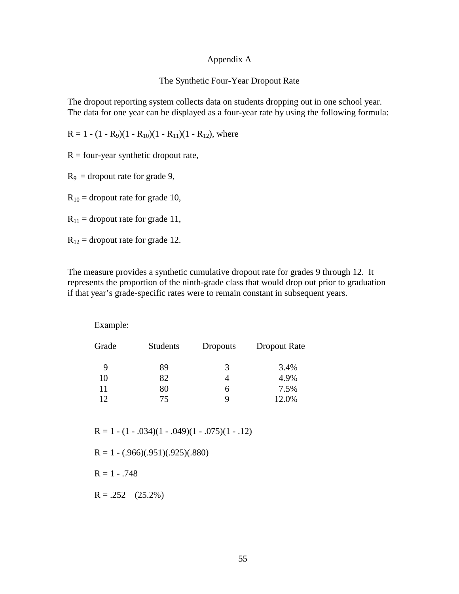### Appendix A

#### The Synthetic Four-Year Dropout Rate

The dropout reporting system collects data on students dropping out in one school year. The data for one year can be displayed as a four-year rate by using the following formula:

 $R = 1 - (1 - R_9)(1 - R_{10})(1 - R_{11})(1 - R_{12})$ , where

 $R = four-year synthetic dropout rate,$ 

 $R_9$  = dropout rate for grade 9,

 $R_{10}$  = dropout rate for grade 10,

 $R_{11}$  = dropout rate for grade 11,

 $R_{12}$  = dropout rate for grade 12.

The measure provides a synthetic cumulative dropout rate for grades 9 through 12. It represents the proportion of the ninth-grade class that would drop out prior to graduation if that year's grade-specific rates were to remain constant in subsequent years.

Example:

| Grade | <b>Students</b> | <b>Dropouts</b> | Dropout Rate |
|-------|-----------------|-----------------|--------------|
| 9     | 89              | 3               | 3.4%         |
| 10    | 82              |                 | 4.9%         |
| 11    | 80              | 6               | 7.5%         |
| 12    | 75              | Q               | 12.0%        |

 $R = 1 - (1 - .034)(1 - .049)(1 - .075)(1 - .12)$ 

 $R = 1 - (.966)(.951)(.925)(.880)$ 

 $R = 1 - .748$ 

 $R = .252$  (25.2%)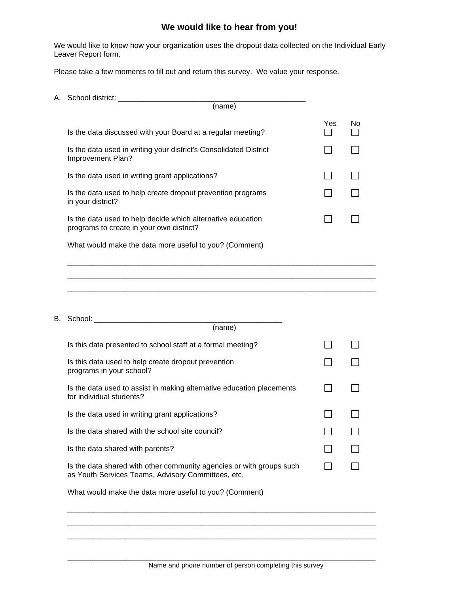## **We would like to hear from you!**

We would like to know how your organization uses the dropout data collected on the Individual Early Leaver Report form.

Please take a few moments to fill out and return this survey. We value your response.

| A. School district: |  |
|---------------------|--|
|---------------------|--|

| (name)                                                                                                                     |     |    |
|----------------------------------------------------------------------------------------------------------------------------|-----|----|
| Is the data discussed with your Board at a regular meeting?                                                                | Yes | No |
| Is the data used in writing your district's Consolidated District<br>Improvement Plan?                                     |     |    |
| Is the data used in writing grant applications?                                                                            |     |    |
| Is the data used to help create dropout prevention programs<br>in your district?                                           |     |    |
| Is the data used to help decide which alternative education<br>programs to create in your own district?                    |     |    |
| What would make the data more useful to you? (Comment)                                                                     |     |    |
|                                                                                                                            |     |    |
|                                                                                                                            |     |    |
|                                                                                                                            |     |    |
| (name)                                                                                                                     |     |    |
| Is this data presented to school staff at a formal meeting?                                                                |     |    |
| Is this data used to help create dropout prevention<br>programs in your school?                                            |     |    |
| Is the data used to assist in making alternative education placements<br>for individual students?                          |     |    |
| Is the data used in writing grant applications?                                                                            |     |    |
| Is the data shared with the school site council?                                                                           |     |    |
| Is the data shared with parents?                                                                                           |     |    |
| Is the data shared with other community agencies or with groups such<br>as Youth Services Teams, Advisory Committees, etc. |     |    |
| What would make the data more useful to you? (Comment)                                                                     |     |    |
|                                                                                                                            |     |    |
|                                                                                                                            |     |    |

\_\_\_\_\_\_\_\_\_\_\_\_\_\_\_\_\_\_\_\_\_\_\_\_\_\_\_\_\_\_\_\_\_\_\_\_\_\_\_\_\_\_\_\_\_\_\_\_\_\_\_\_\_\_\_\_\_\_\_\_\_\_\_\_\_\_\_\_\_\_\_\_\_\_

\_\_\_\_\_\_\_\_\_\_\_\_\_\_\_\_\_\_\_\_\_\_\_\_\_\_\_\_\_\_\_\_\_\_\_\_\_\_\_\_\_\_\_\_\_\_\_\_\_\_\_\_\_\_\_\_\_\_\_\_\_\_\_\_\_\_\_\_\_\_\_\_\_\_